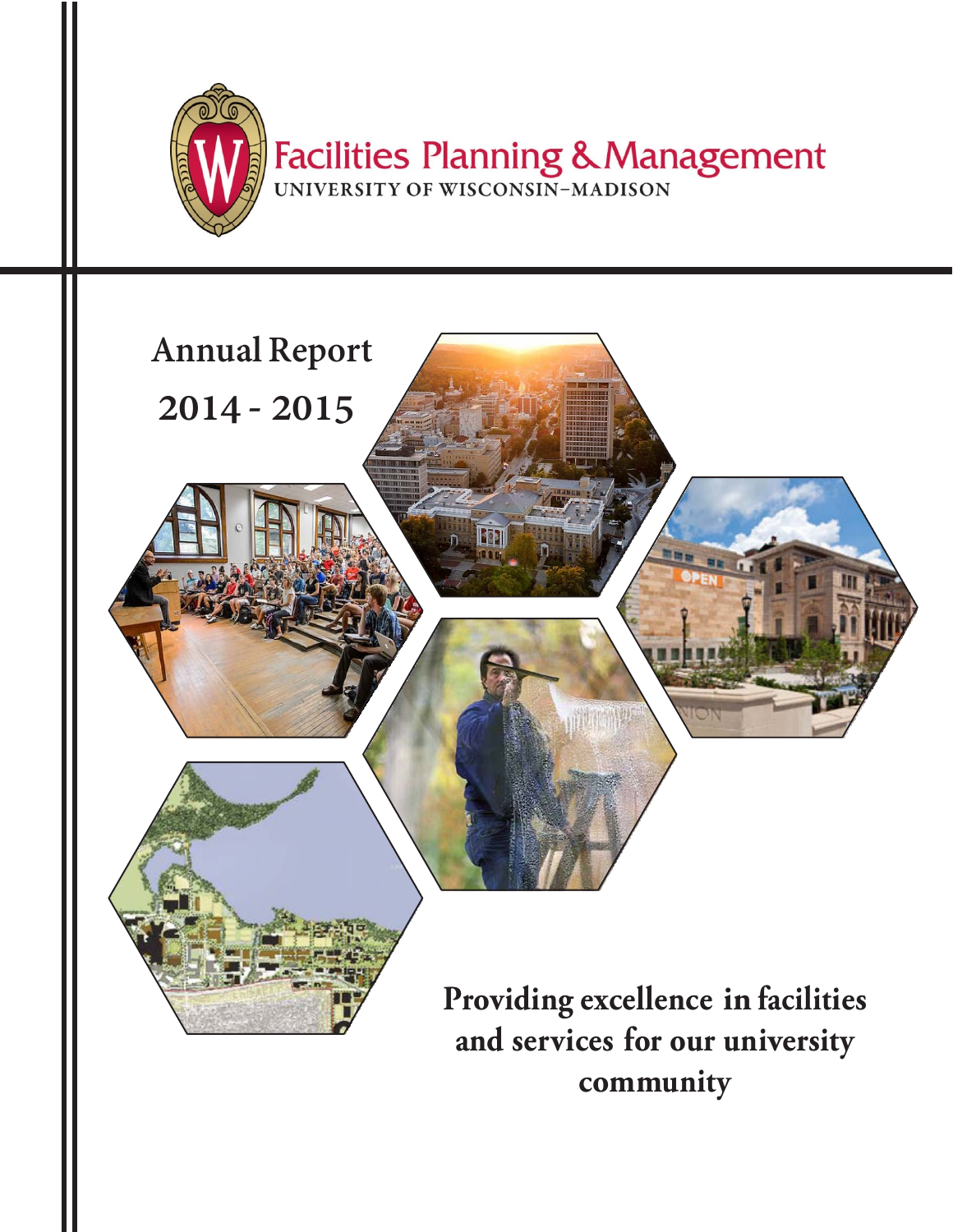



**community**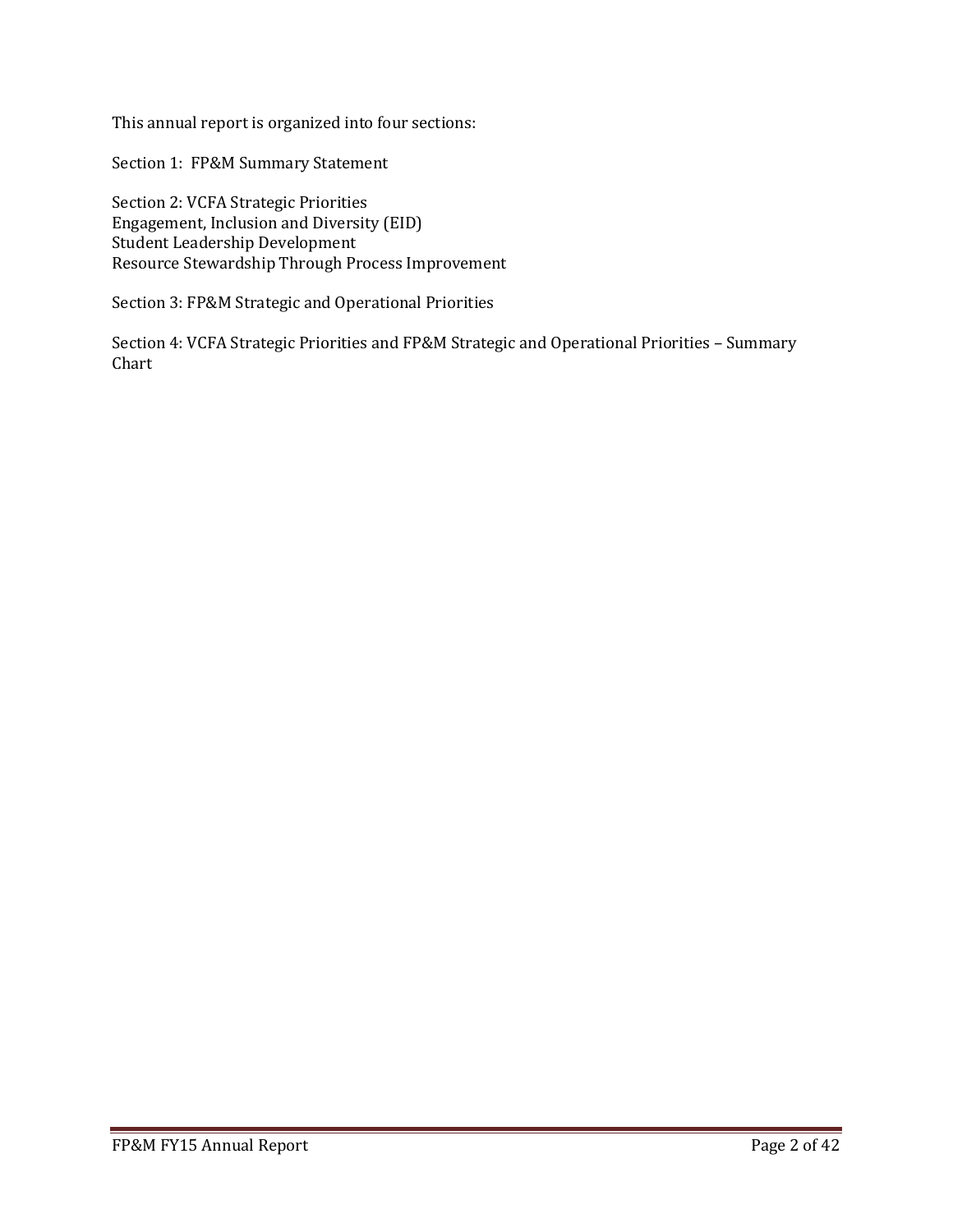This annual report is organized into four sections:

Section 1: FP&M Summary Statement

Section 2: VCFA Strategic Priorities Engagement, Inclusion and Diversity (EID) Student Leadership Development Resource Stewardship Through Process Improvement

Section 3: FP&M Strategic and Operational Priorities

Section 4: VCFA Strategic Priorities and FP&M Strategic and Operational Priorities – Summary Chart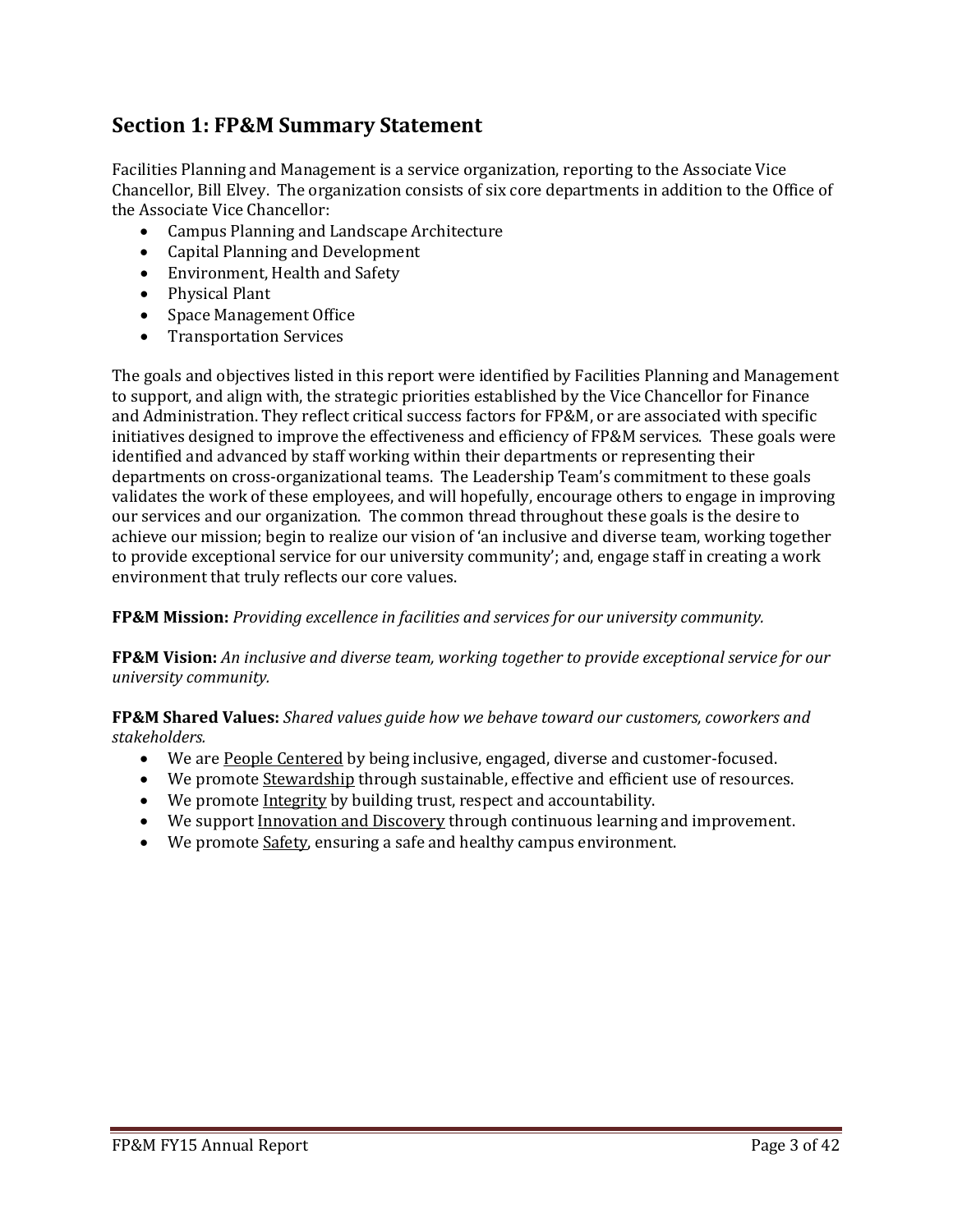# **Section 1: FP&M Summary Statement**

Facilities Planning and Management is a service organization, reporting to the Associate Vice Chancellor, Bill Elvey. The organization consists of six core departments in addition to the Office of the Associate Vice Chancellor:

- Campus Planning and Landscape Architecture
- Capital Planning and Development
- Environment, Health and Safety
- Physical Plant
- Space Management Office
- Transportation Services

The goals and objectives listed in this report were identified by Facilities Planning and Management to support, and align with, the strategic priorities established by the Vice Chancellor for Finance and Administration. They reflect critical success factors for FP&M, or are associated with specific initiatives designed to improve the effectiveness and efficiency of FP&M services. These goals were identified and advanced by staff working within their departments or representing their departments on cross-organizational teams. The Leadership Team's commitment to these goals validates the work of these employees, and will hopefully, encourage others to engage in improving our services and our organization. The common thread throughout these goals is the desire to achieve our mission; begin to realize our vision of 'an inclusive and diverse team, working together to provide exceptional service for our university community'; and, engage staff in creating a work environment that truly reflects our core values.

**FP&M Mission:** *Providing excellence in facilities and services for our university community.*

**FP&M Vision:** *An inclusive and diverse team, working together to provide exceptional service for our university community.*

**FP&M Shared Values:** *Shared values guide how we behave toward our customers, coworkers and stakeholders.*

- We are People Centered by being inclusive, engaged, diverse and customer-focused.
- We promote Stewardship through sustainable, effective and efficient use of resources.
- We promote Integrity by building trust, respect and accountability.
- We support Innovation and Discovery through continuous learning and improvement.
- We promote Safety, ensuring a safe and healthy campus environment.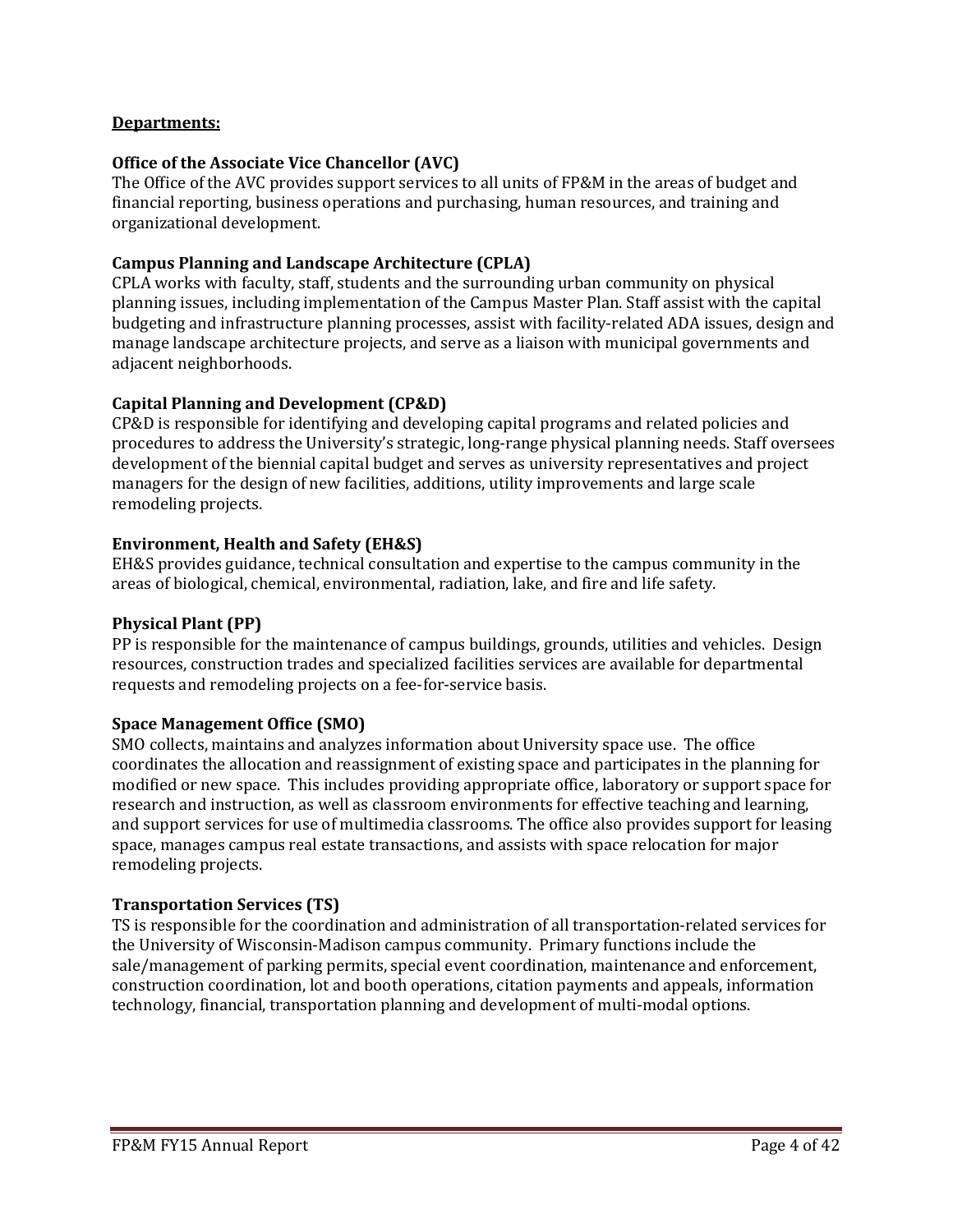### **Departments:**

### **Office of the Associate Vice Chancellor (AVC)**

The Office of the AVC provides support services to all units of FP&M in the areas of budget and financial reporting, business operations and purchasing, human resources, and training and organizational development.

#### **Campus Planning and Landscape Architecture (CPLA)**

CPLA works with faculty, staff, students and the surrounding urban community on physical planning issues, including implementation of the Campus Master Plan. Staff assist with the capital budgeting and infrastructure planning processes, assist with facility-related ADA issues, design and manage landscape architecture projects, and serve as a liaison with municipal governments and adjacent neighborhoods.

#### **Capital Planning and Development (CP&D)**

CP&D is responsible for identifying and developing capital programs and related policies and procedures to address the University's strategic, long-range physical planning needs. Staff oversees development of the biennial capital budget and serves as university representatives and project managers for the design of new facilities, additions, utility improvements and large scale remodeling projects.

#### **Environment, Health and Safety (EH&S)**

EH&S provides guidance, technical consultation and expertise to the campus community in the areas of biological, chemical, environmental, radiation, lake, and fire and life safety.

#### **Physical Plant (PP)**

PP is responsible for the maintenance of campus buildings, grounds, utilities and vehicles. Design resources, construction trades and specialized facilities services are available for departmental requests and remodeling projects on a fee-for-service basis.

#### **Space Management Office (SMO)**

SMO collects, maintains and analyzes information about University space use. The office coordinates the allocation and reassignment of existing space and participates in the planning for modified or new space. This includes providing appropriate office, laboratory or support space for research and instruction, as well as classroom environments for effective teaching and learning, and support services for use of multimedia classrooms. The office also provides support for leasing space, manages campus real estate transactions, and assists with space relocation for major remodeling projects.

#### **Transportation Services (TS)**

TS is responsible for the coordination and administration of all transportation-related services for the University of Wisconsin-Madison campus community. Primary functions include the sale/management of parking permits, special event coordination, maintenance and enforcement, construction coordination, lot and booth operations, citation payments and appeals, information technology, financial, transportation planning and development of multi-modal options.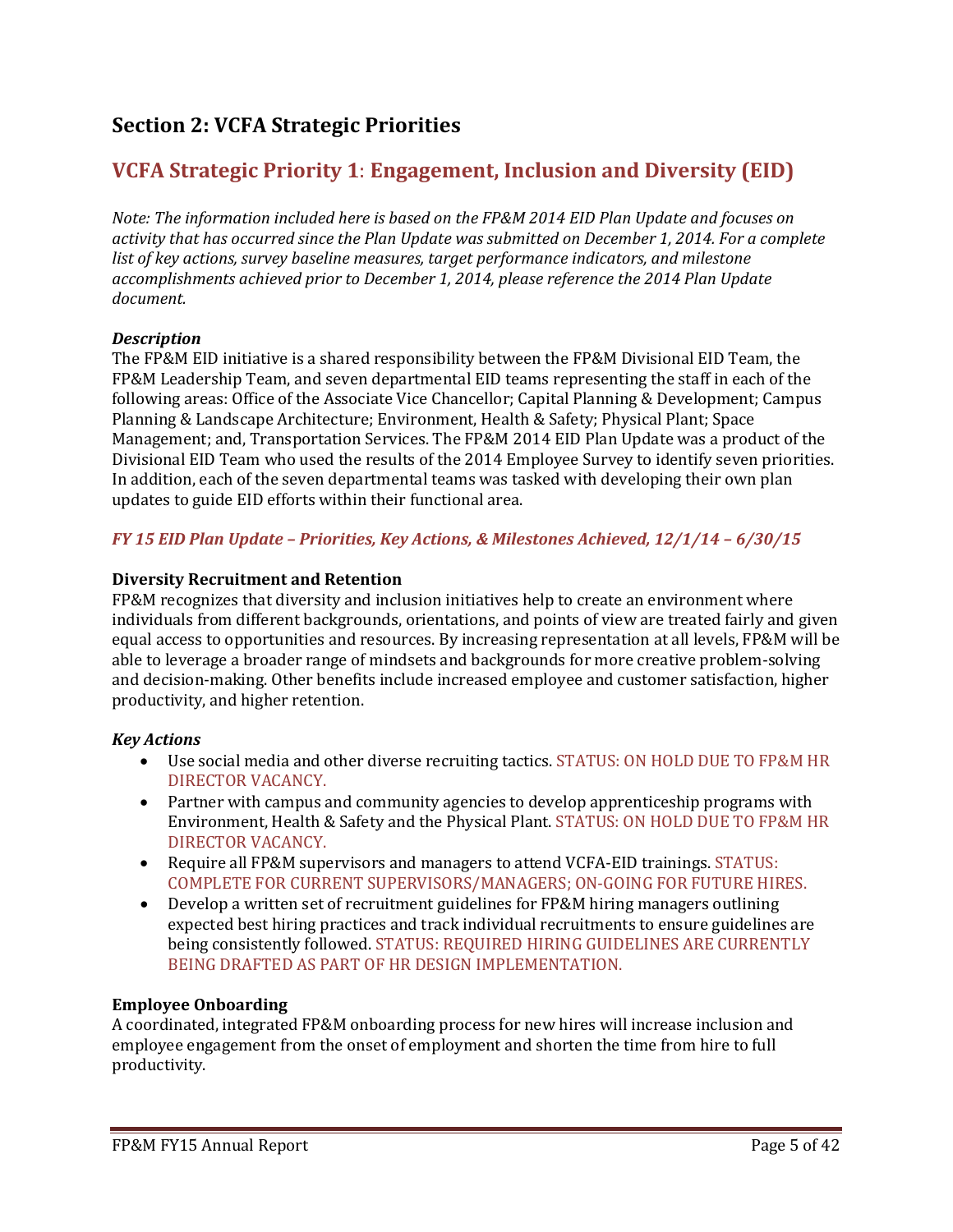# **Section 2: VCFA Strategic Priorities**

# **VCFA Strategic Priority 1**: **Engagement, Inclusion and Diversity (EID)**

*Note: The information included here is based on the FP&M 2014 EID Plan Update and focuses on activity that has occurred since the Plan Update was submitted on December 1, 2014. For a complete list of key actions, survey baseline measures, target performance indicators, and milestone accomplishments achieved prior to December 1, 2014, please reference the 2014 Plan Update document.*

# *Description*

The FP&M EID initiative is a shared responsibility between the FP&M Divisional EID Team, the FP&M Leadership Team, and seven departmental EID teams representing the staff in each of the following areas: Office of the Associate Vice Chancellor; Capital Planning & Development; Campus Planning & Landscape Architecture; Environment, Health & Safety; Physical Plant; Space Management; and, Transportation Services. The FP&M 2014 EID Plan Update was a product of the Divisional EID Team who used the results of the 2014 Employee Survey to identify seven priorities. In addition, each of the seven departmental teams was tasked with developing their own plan updates to guide EID efforts within their functional area.

# *FY 15 EID Plan Update – Priorities, Key Actions, & Milestones Achieved, 12/1/14 – 6/30/15*

#### **Diversity Recruitment and Retention**

FP&M recognizes that diversity and inclusion initiatives help to create an environment where individuals from different backgrounds, orientations, and points of view are treated fairly and given equal access to opportunities and resources. By increasing representation at all levels, FP&M will be able to leverage a broader range of mindsets and backgrounds for more creative problem-solving and decision-making. Other benefits include increased employee and customer satisfaction, higher productivity, and higher retention.

# *Key Actions*

- Use social media and other diverse recruiting tactics. STATUS: ON HOLD DUE TO FP&M HR DIRECTOR VACANCY.
- Partner with campus and community agencies to develop apprenticeship programs with Environment, Health & Safety and the Physical Plant. STATUS: ON HOLD DUE TO FP&M HR DIRECTOR VACANCY.
- Require all FP&M supervisors and managers to attend VCFA-EID trainings. STATUS: COMPLETE FOR CURRENT SUPERVISORS/MANAGERS; ON-GOING FOR FUTURE HIRES.
- Develop a written set of recruitment guidelines for FP&M hiring managers outlining expected best hiring practices and track individual recruitments to ensure guidelines are being consistently followed. STATUS: REQUIRED HIRING GUIDELINES ARE CURRENTLY BEING DRAFTED AS PART OF HR DESIGN IMPLEMENTATION.

# **Employee Onboarding**

A coordinated, integrated FP&M onboarding process for new hires will increase inclusion and employee engagement from the onset of employment and shorten the time from hire to full productivity.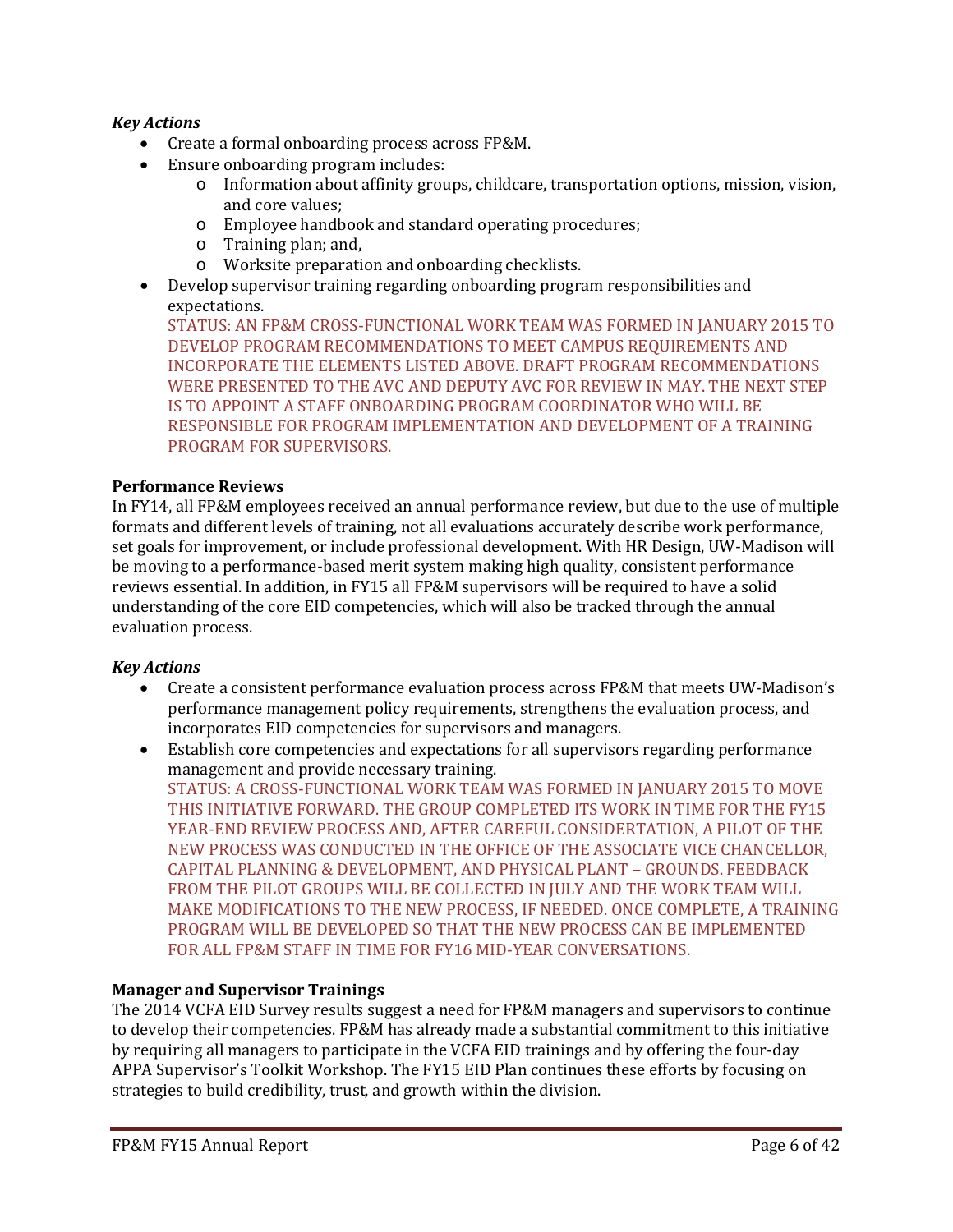# *Key Actions*

- Create a formal onboarding process across FP&M.
- Ensure onboarding program includes:
	- o Information about affinity groups, childcare, transportation options, mission, vision, and core values;
	- o Employee handbook and standard operating procedures;
	- o Training plan; and,
	- o Worksite preparation and onboarding checklists.
- Develop supervisor training regarding onboarding program responsibilities and expectations.

STATUS: AN FP&M CROSS-FUNCTIONAL WORK TEAM WAS FORMED IN JANUARY 2015 TO DEVELOP PROGRAM RECOMMENDATIONS TO MEET CAMPUS REQUIREMENTS AND INCORPORATE THE ELEMENTS LISTED ABOVE. DRAFT PROGRAM RECOMMENDATIONS WERE PRESENTED TO THE AVC AND DEPUTY AVC FOR REVIEW IN MAY. THE NEXT STEP IS TO APPOINT A STAFF ONBOARDING PROGRAM COORDINATOR WHO WILL BE RESPONSIBLE FOR PROGRAM IMPLEMENTATION AND DEVELOPMENT OF A TRAINING PROGRAM FOR SUPERVISORS.

# **Performance Reviews**

In FY14, all FP&M employees received an annual performance review, but due to the use of multiple formats and different levels of training, not all evaluations accurately describe work performance, set goals for improvement, or include professional development. With HR Design, UW-Madison will be moving to a performance-based merit system making high quality, consistent performance reviews essential. In addition, in FY15 all FP&M supervisors will be required to have a solid understanding of the core EID competencies, which will also be tracked through the annual evaluation process.

# *Key Actions*

- Create a consistent performance evaluation process across FP&M that meets UW-Madison's performance management policy requirements, strengthens the evaluation process, and incorporates EID competencies for supervisors and managers.
- Establish core competencies and expectations for all supervisors regarding performance management and provide necessary training. STATUS: A CROSS-FUNCTIONAL WORK TEAM WAS FORMED IN JANUARY 2015 TO MOVE THIS INITIATIVE FORWARD. THE GROUP COMPLETED ITS WORK IN TIME FOR THE FY15 YEAR-END REVIEW PROCESS AND, AFTER CAREFUL CONSIDERTATION, A PILOT OF THE NEW PROCESS WAS CONDUCTED IN THE OFFICE OF THE ASSOCIATE VICE CHANCELLOR, CAPITAL PLANNING & DEVELOPMENT, AND PHYSICAL PLANT – GROUNDS. FEEDBACK FROM THE PILOT GROUPS WILL BE COLLECTED IN JULY AND THE WORK TEAM WILL MAKE MODIFICATIONS TO THE NEW PROCESS, IF NEEDED. ONCE COMPLETE, A TRAINING PROGRAM WILL BE DEVELOPED SO THAT THE NEW PROCESS CAN BE IMPLEMENTED FOR ALL FP&M STAFF IN TIME FOR FY16 MID-YEAR CONVERSATIONS.

# **Manager and Supervisor Trainings**

The 2014 VCFA EID Survey results suggest a need for FP&M managers and supervisors to continue to develop their competencies. FP&M has already made a substantial commitment to this initiative by requiring all managers to participate in the VCFA EID trainings and by offering the four-day APPA Supervisor's Toolkit Workshop. The FY15 EID Plan continues these efforts by focusing on strategies to build credibility, trust, and growth within the division.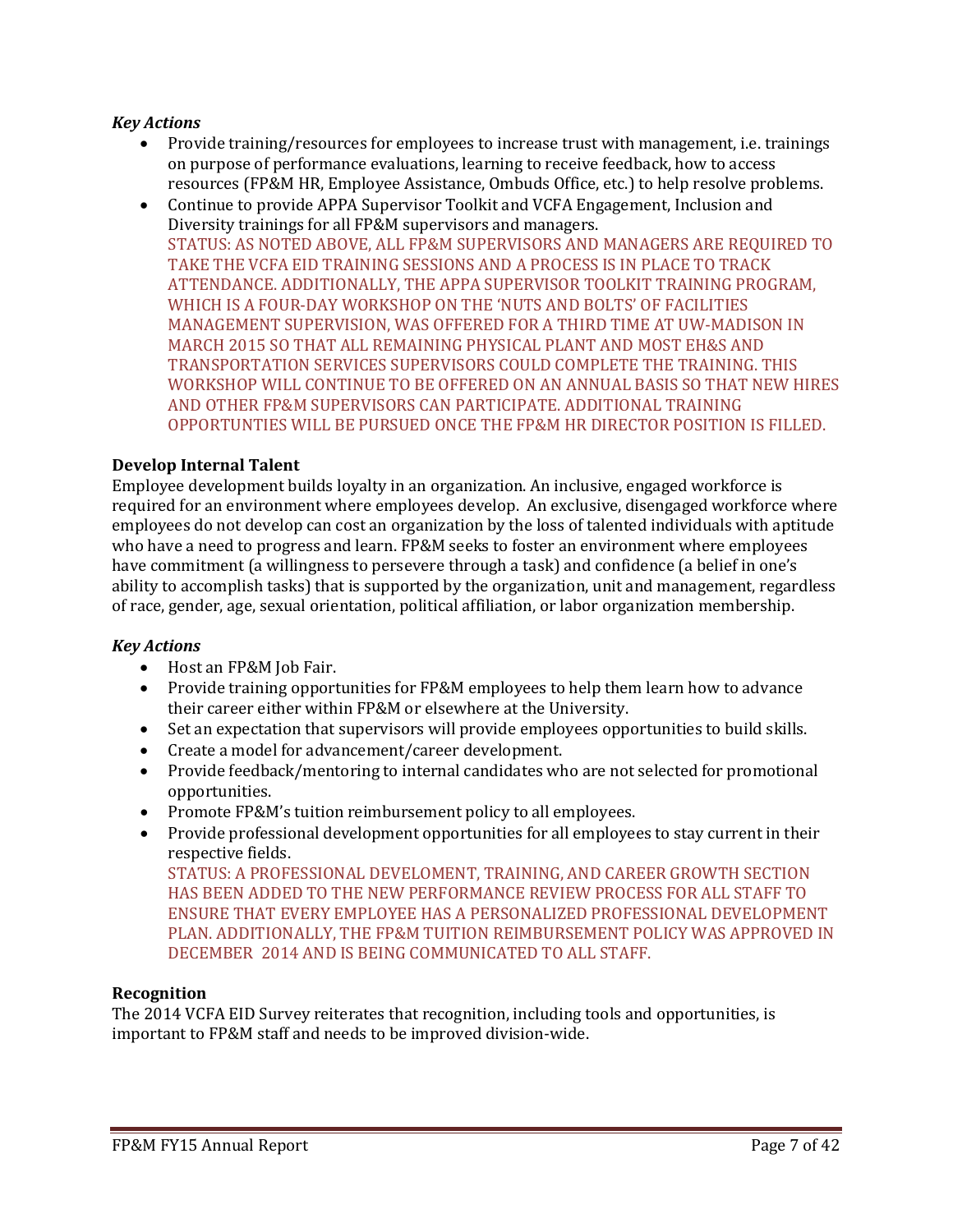### *Key Actions*

- Provide training/resources for employees to increase trust with management, i.e. trainings on purpose of performance evaluations, learning to receive feedback, how to access resources (FP&M HR, Employee Assistance, Ombuds Office, etc.) to help resolve problems.
- Continue to provide APPA Supervisor Toolkit and VCFA Engagement, Inclusion and Diversity trainings for all FP&M supervisors and managers. STATUS: AS NOTED ABOVE, ALL FP&M SUPERVISORS AND MANAGERS ARE REQUIRED TO TAKE THE VCFA EID TRAINING SESSIONS AND A PROCESS IS IN PLACE TO TRACK ATTENDANCE. ADDITIONALLY, THE APPA SUPERVISOR TOOLKIT TRAINING PROGRAM, WHICH IS A FOUR-DAY WORKSHOP ON THE 'NUTS AND BOLTS' OF FACILITIES MANAGEMENT SUPERVISION, WAS OFFERED FOR A THIRD TIME AT UW-MADISON IN MARCH 2015 SO THAT ALL REMAINING PHYSICAL PLANT AND MOST EH&S AND TRANSPORTATION SERVICES SUPERVISORS COULD COMPLETE THE TRAINING. THIS WORKSHOP WILL CONTINUE TO BE OFFERED ON AN ANNUAL BASIS SO THAT NEW HIRES AND OTHER FP&M SUPERVISORS CAN PARTICIPATE. ADDITIONAL TRAINING OPPORTUNTIES WILL BE PURSUED ONCE THE FP&M HR DIRECTOR POSITION IS FILLED.

#### **Develop Internal Talent**

Employee development builds loyalty in an organization. An inclusive, engaged workforce is required for an environment where employees develop. An exclusive, disengaged workforce where employees do not develop can cost an organization by the loss of talented individuals with aptitude who have a need to progress and learn. FP&M seeks to foster an environment where employees have commitment (a willingness to persevere through a task) and confidence (a belief in one's ability to accomplish tasks) that is supported by the organization, unit and management, regardless of race, gender, age, sexual orientation, political affiliation, or labor organization membership.

#### *Key Actions*

- Host an FP&M Job Fair.
- Provide training opportunities for FP&M employees to help them learn how to advance their career either within FP&M or elsewhere at the University.
- Set an expectation that supervisors will provide employees opportunities to build skills.
- Create a model for advancement/career development.
- Provide feedback/mentoring to internal candidates who are not selected for promotional opportunities.
- Promote FP&M's tuition reimbursement policy to all employees.
- Provide professional development opportunities for all employees to stay current in their respective fields.

STATUS: A PROFESSIONAL DEVELOMENT, TRAINING, AND CAREER GROWTH SECTION HAS BEEN ADDED TO THE NEW PERFORMANCE REVIEW PROCESS FOR ALL STAFF TO ENSURE THAT EVERY EMPLOYEE HAS A PERSONALIZED PROFESSIONAL DEVELOPMENT PLAN. ADDITIONALLY, THE FP&M TUITION REIMBURSEMENT POLICY WAS APPROVED IN DECEMBER 2014 AND IS BEING COMMUNICATED TO ALL STAFF.

#### **Recognition**

The 2014 VCFA EID Survey reiterates that recognition, including tools and opportunities, is important to FP&M staff and needs to be improved division-wide.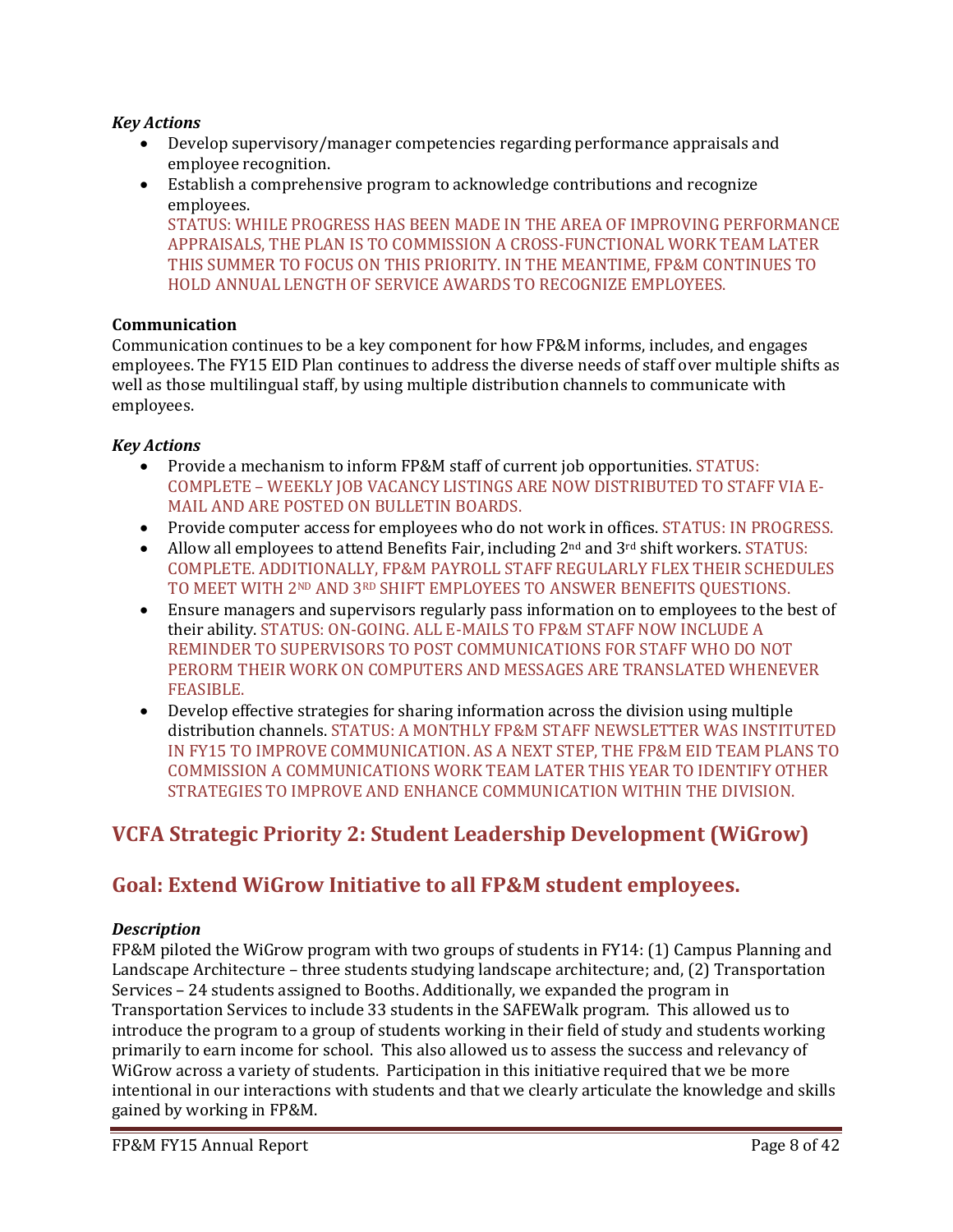### *Key Actions*

- Develop supervisory/manager competencies regarding performance appraisals and employee recognition.
- Establish a comprehensive program to acknowledge contributions and recognize employees. STATUS: WHILE PROGRESS HAS BEEN MADE IN THE AREA OF IMPROVING PERFORMANCE

APPRAISALS, THE PLAN IS TO COMMISSION A CROSS-FUNCTIONAL WORK TEAM LATER THIS SUMMER TO FOCUS ON THIS PRIORITY. IN THE MEANTIME, FP&M CONTINUES TO HOLD ANNUAL LENGTH OF SERVICE AWARDS TO RECOGNIZE EMPLOYEES.

# **Communication**

Communication continues to be a key component for how FP&M informs, includes, and engages employees. The FY15 EID Plan continues to address the diverse needs of staff over multiple shifts as well as those multilingual staff, by using multiple distribution channels to communicate with employees.

# *Key Actions*

- Provide a mechanism to inform FP&M staff of current job opportunities. STATUS: COMPLETE – WEEKLY JOB VACANCY LISTINGS ARE NOW DISTRIBUTED TO STAFF VIA E-MAIL AND ARE POSTED ON BULLETIN BOARDS.
- Provide computer access for employees who do not work in offices. STATUS: IN PROGRESS.
- Allow all employees to attend Benefits Fair, including 2<sup>nd</sup> and 3<sup>rd</sup> shift workers. STATUS: COMPLETE. ADDITIONALLY, FP&M PAYROLL STAFF REGULARLY FLEX THEIR SCHEDULES TO MEET WITH 2ND AND 3RD SHIFT EMPLOYEES TO ANSWER BENEFITS QUESTIONS.
- Ensure managers and supervisors regularly pass information on to employees to the best of their ability. STATUS: ON-GOING. ALL E-MAILS TO FP&M STAFF NOW INCLUDE A REMINDER TO SUPERVISORS TO POST COMMUNICATIONS FOR STAFF WHO DO NOT PERORM THEIR WORK ON COMPUTERS AND MESSAGES ARE TRANSLATED WHENEVER FEASIBLE.
- Develop effective strategies for sharing information across the division using multiple distribution channels. STATUS: A MONTHLY FP&M STAFF NEWSLETTER WAS INSTITUTED IN FY15 TO IMPROVE COMMUNICATION. AS A NEXT STEP, THE FP&M EID TEAM PLANS TO COMMISSION A COMMUNICATIONS WORK TEAM LATER THIS YEAR TO IDENTIFY OTHER STRATEGIES TO IMPROVE AND ENHANCE COMMUNICATION WITHIN THE DIVISION.

# **VCFA Strategic Priority 2: Student Leadership Development (WiGrow)**

# **Goal: Extend WiGrow Initiative to all FP&M student employees.**

#### *Description*

FP&M piloted the WiGrow program with two groups of students in FY14: (1) Campus Planning and Landscape Architecture – three students studying landscape architecture; and, (2) Transportation Services – 24 students assigned to Booths. Additionally, we expanded the program in Transportation Services to include 33 students in the SAFEWalk program. This allowed us to introduce the program to a group of students working in their field of study and students working primarily to earn income for school. This also allowed us to assess the success and relevancy of WiGrow across a variety of students. Participation in this initiative required that we be more intentional in our interactions with students and that we clearly articulate the knowledge and skills gained by working in FP&M.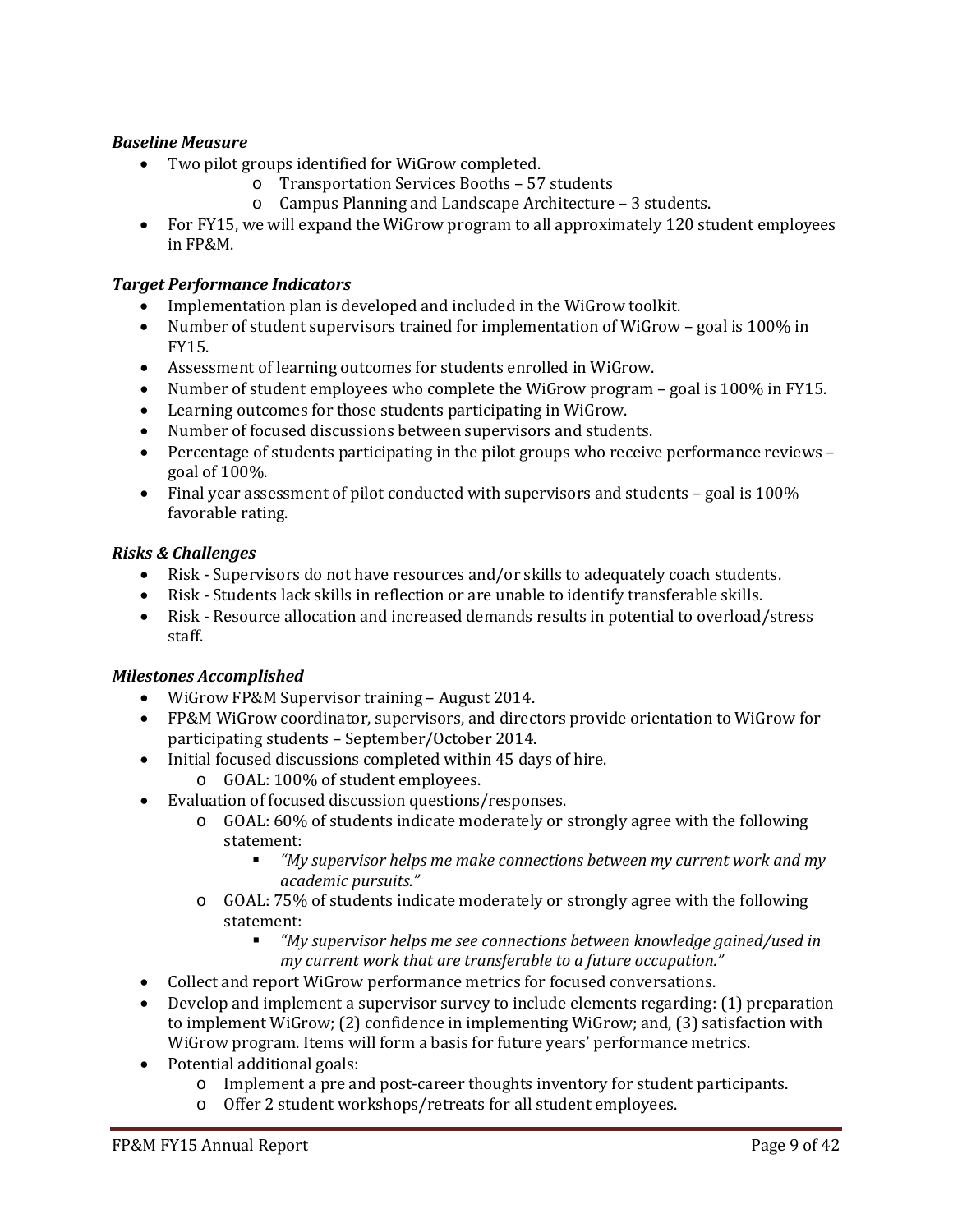# *Baseline Measure*

- Two pilot groups identified for WiGrow completed.
	- o Transportation Services Booths 57 students
	- o Campus Planning and Landscape Architecture 3 students.
- For FY15, we will expand the WiGrow program to all approximately 120 student employees in FP&M.

#### *Target Performance Indicators*

- Implementation plan is developed and included in the WiGrow toolkit.
- Number of student supervisors trained for implementation of WiGrow goal is 100% in FY15.
- Assessment of learning outcomes for students enrolled in WiGrow.
- Number of student employees who complete the WiGrow program goal is 100% in FY15.
- Learning outcomes for those students participating in WiGrow.
- Number of focused discussions between supervisors and students.
- Percentage of students participating in the pilot groups who receive performance reviews goal of 100%.
- Final year assessment of pilot conducted with supervisors and students goal is 100% favorable rating.

#### *Risks & Challenges*

- Risk Supervisors do not have resources and/or skills to adequately coach students.
- Risk Students lack skills in reflection or are unable to identify transferable skills.
- Risk Resource allocation and increased demands results in potential to overload/stress staff.

# *Milestones Accomplished*

- Wigrow FP&M Supervisor training August 2014.
- FP&M WiGrow coordinator, supervisors, and directors provide orientation to WiGrow for participating students – September/October 2014.
- Initial focused discussions completed within 45 days of hire.
	- o GOAL: 100% of student employees.
- Evaluation of focused discussion questions/responses.
	- o GOAL: 60% of students indicate moderately or strongly agree with the following statement:<br>"Wu
		- *"My supervisor helps me make connections between my current work and my academic pursuits."*
	- o GOAL: 75% of students indicate moderately or strongly agree with the following statement:<br>"*M* 
		- *"My supervisor helps me see connections between knowledge gained/used in my current work that are transferable to a future occupation."*
- Collect and report WiGrow performance metrics for focused conversations.
- Develop and implement a supervisor survey to include elements regarding: (1) preparation to implement WiGrow; (2) confidence in implementing WiGrow; and, (3) satisfaction with WiGrow program. Items will form a basis for future years' performance metrics.
- Potential additional goals:
	- o Implement a pre and post-career thoughts inventory for student participants.
	- o Offer 2 student workshops/retreats for all student employees.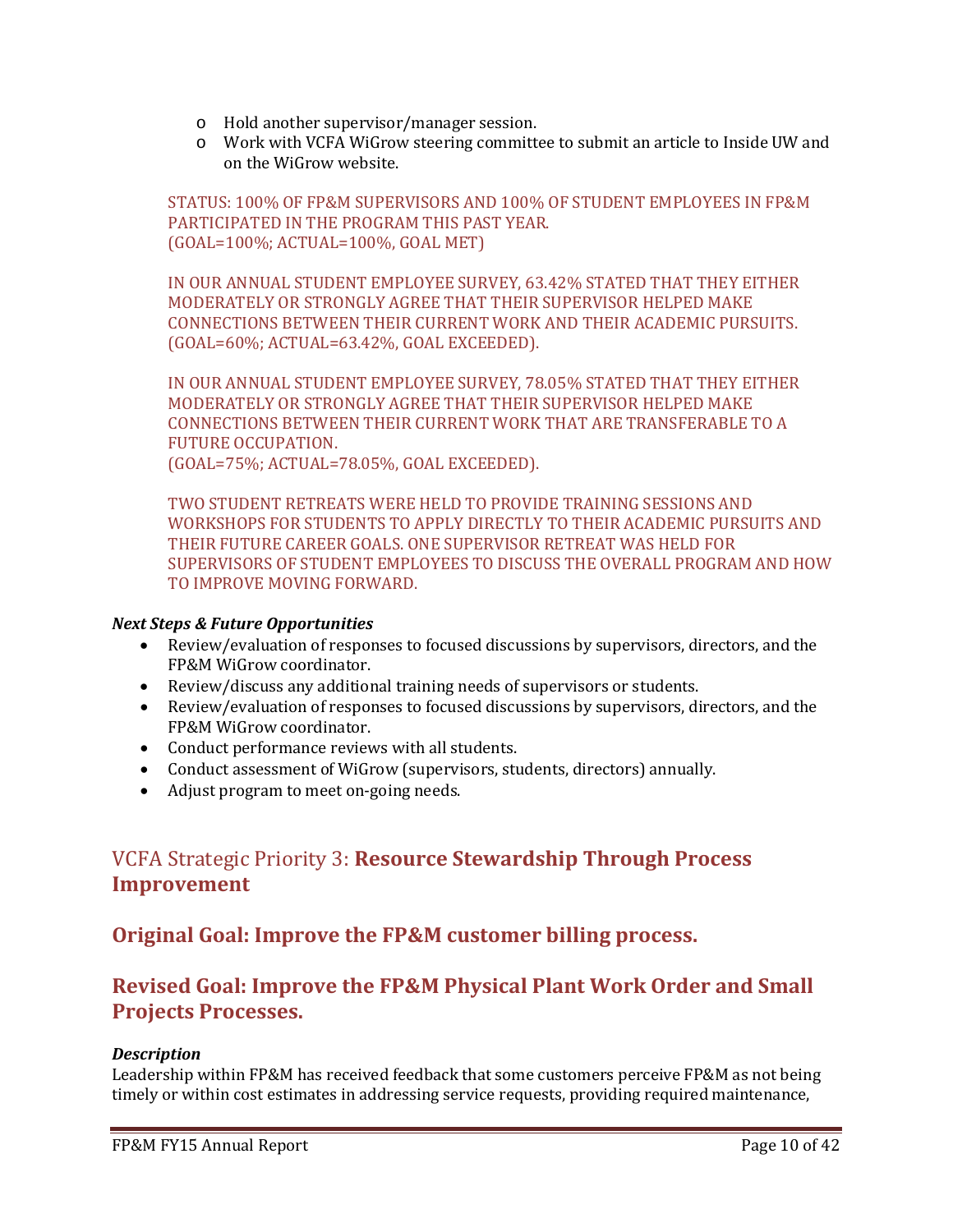- o Hold another supervisor/manager session.
- o Work with VCFA WiGrow steering committee to submit an article to Inside UW and on the WiGrow website.

STATUS: 100% OF FP&M SUPERVISORS AND 100% OF STUDENT EMPLOYEES IN FP&M PARTICIPATED IN THE PROGRAM THIS PAST YEAR. (GOAL=100%; ACTUAL=100%, GOAL MET)

IN OUR ANNUAL STUDENT EMPLOYEE SURVEY, 63.42% STATED THAT THEY EITHER MODERATELY OR STRONGLY AGREE THAT THEIR SUPERVISOR HELPED MAKE CONNECTIONS BETWEEN THEIR CURRENT WORK AND THEIR ACADEMIC PURSUITS. (GOAL=60%; ACTUAL=63.42%, GOAL EXCEEDED).

IN OUR ANNUAL STUDENT EMPLOYEE SURVEY, 78.05% STATED THAT THEY EITHER MODERATELY OR STRONGLY AGREE THAT THEIR SUPERVISOR HELPED MAKE CONNECTIONS BETWEEN THEIR CURRENT WORK THAT ARE TRANSFERABLE TO A FUTURE OCCUPATION. (GOAL=75%; ACTUAL=78.05%, GOAL EXCEEDED).

TWO STUDENT RETREATS WERE HELD TO PROVIDE TRAINING SESSIONS AND WORKSHOPS FOR STUDENTS TO APPLY DIRECTLY TO THEIR ACADEMIC PURSUITS AND THEIR FUTURE CAREER GOALS. ONE SUPERVISOR RETREAT WAS HELD FOR SUPERVISORS OF STUDENT EMPLOYEES TO DISCUSS THE OVERALL PROGRAM AND HOW TO IMPROVE MOVING FORWARD.

# *Next Steps & Future Opportunities*

- Review/evaluation of responses to focused discussions by supervisors, directors, and the FP&M WiGrow coordinator.
- Review/discuss any additional training needs of supervisors or students.
- Review/evaluation of responses to focused discussions by supervisors, directors, and the FP&M WiGrow coordinator.
- Conduct performance reviews with all students.
- Conduct assessment of WiGrow (supervisors, students, directors) annually.
- Adjust program to meet on-going needs.

# VCFA Strategic Priority 3: **Resource Stewardship Through Process Improvement**

# **Original Goal: Improve the FP&M customer billing process.**

# **Revised Goal: Improve the FP&M Physical Plant Work Order and Small Projects Processes.**

# *Description*

Leadership within FP&M has received feedback that some customers perceive FP&M as not being timely or within cost estimates in addressing service requests, providing required maintenance,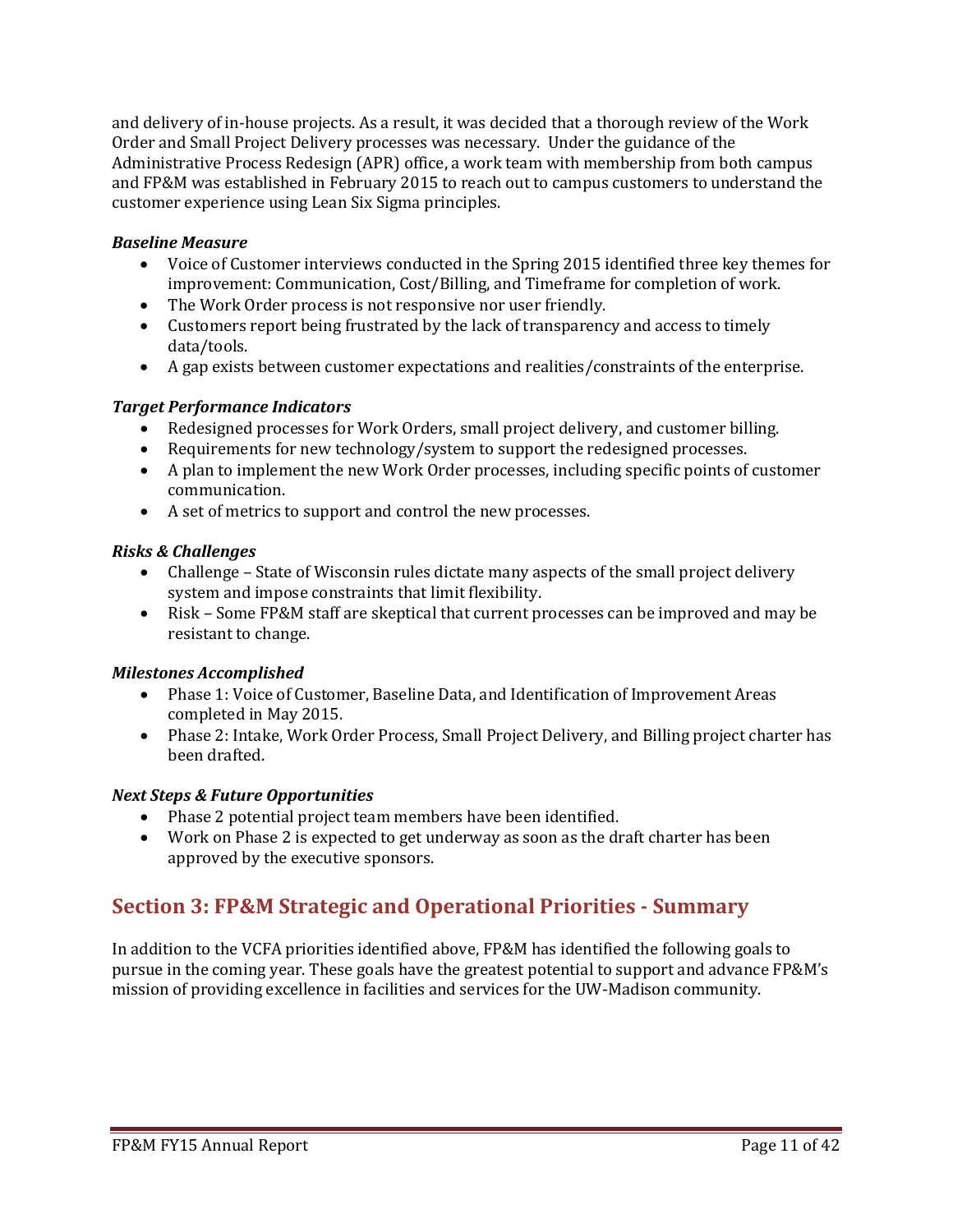and delivery of in-house projects. As a result, it was decided that a thorough review of the Work Order and Small Project Delivery processes was necessary. Under the guidance of the Administrative Process Redesign (APR) office, a work team with membership from both campus and FP&M was established in February 2015 to reach out to campus customers to understand the customer experience using Lean Six Sigma principles.

# *Baseline Measure*

- Voice of Customer interviews conducted in the Spring 2015 identified three key themes for improvement: Communication, Cost/Billing, and Timeframe for completion of work.
- The Work Order process is not responsive nor user friendly.
- Customers report being frustrated by the lack of transparency and access to timely data/tools.
- A gap exists between customer expectations and realities/constraints of the enterprise.

# *Target Performance Indicators*

- Redesigned processes for Work Orders, small project delivery, and customer billing.
- Requirements for new technology/system to support the redesigned processes.
- A plan to implement the new Work Order processes, including specific points of customer communication.
- A set of metrics to support and control the new processes.

# *Risks & Challenges*

- Challenge State of Wisconsin rules dictate many aspects of the small project delivery system and impose constraints that limit flexibility.
- Risk Some FP&M staff are skeptical that current processes can be improved and may be resistant to change.

# *Milestones Accomplished*

- Phase 1: Voice of Customer, Baseline Data, and Identification of Improvement Areas completed in May 2015.
- Phase 2: Intake, Work Order Process, Small Project Delivery, and Billing project charter has been drafted.

# *Next Steps & Future Opportunities*

- Phase 2 potential project team members have been identified.
- Work on Phase 2 is expected to get underway as soon as the draft charter has been approved by the executive sponsors.

# **Section 3: FP&M Strategic and Operational Priorities - Summary**

In addition to the VCFA priorities identified above, FP&M has identified the following goals to pursue in the coming year. These goals have the greatest potential to support and advance FP&M's mission of providing excellence in facilities and services for the UW-Madison community.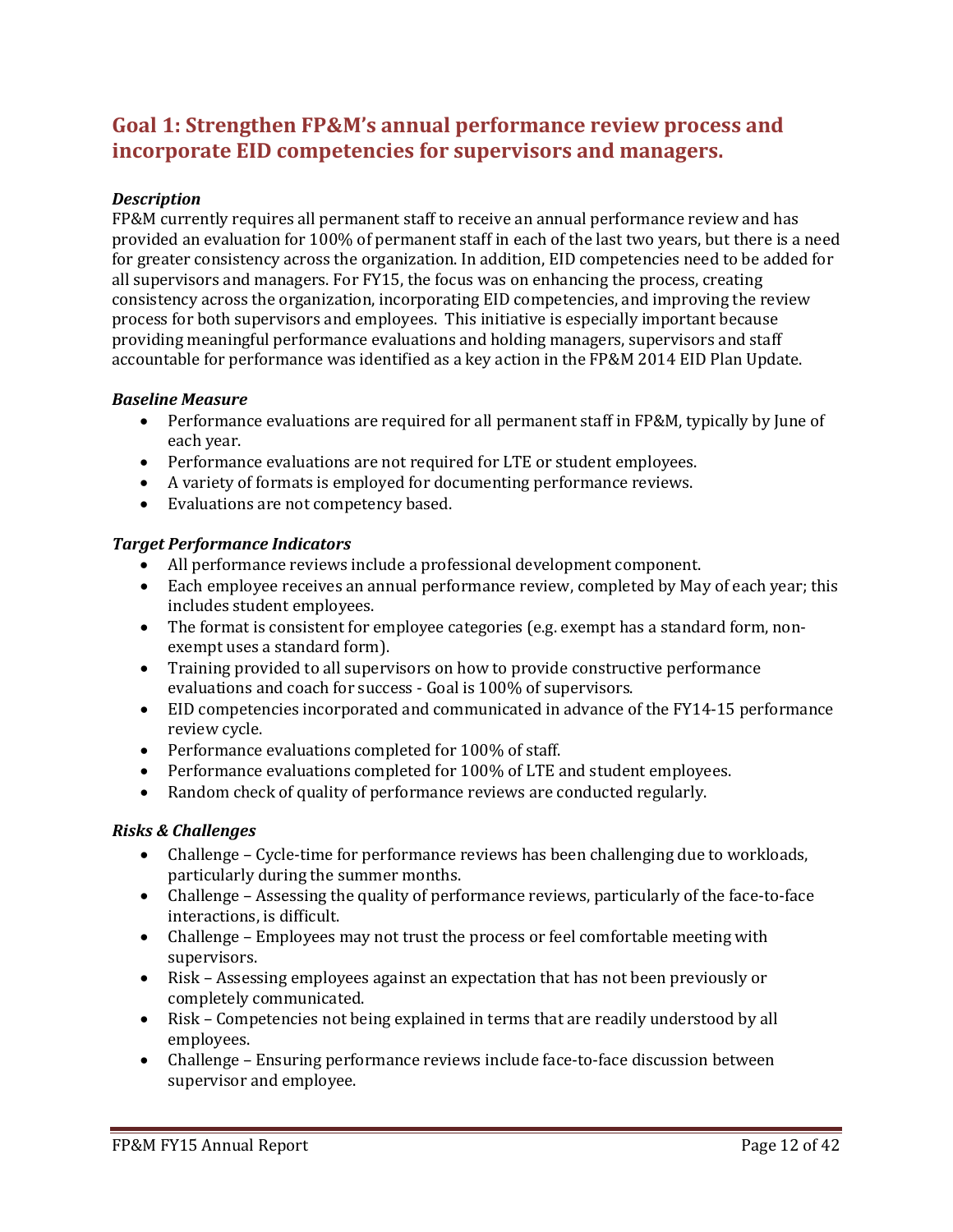# **Goal 1: Strengthen FP&M's annual performance review process and incorporate EID competencies for supervisors and managers.**

# *Description*

FP&M currently requires all permanent staff to receive an annual performance review and has provided an evaluation for 100% of permanent staff in each of the last two years, but there is a need for greater consistency across the organization. In addition, EID competencies need to be added for all supervisors and managers. For FY15, the focus was on enhancing the process, creating consistency across the organization, incorporating EID competencies, and improving the review process for both supervisors and employees. This initiative is especially important because providing meaningful performance evaluations and holding managers, supervisors and staff accountable for performance was identified as a key action in the FP&M 2014 EID Plan Update.

#### *Baseline Measure*

- Performance evaluations are required for all permanent staff in FP&M, typically by June of each year.
- Performance evaluations are not required for LTE or student employees.
- A variety of formats is employed for documenting performance reviews.
- Evaluations are not competency based.

#### *Target Performance Indicators*

- All performance reviews include a professional development component.
- Each employee receives an annual performance review, completed by May of each year; this includes student employees.
- The format is consistent for employee categories (e.g. exempt has a standard form, nonexempt uses a standard form).
- Training provided to all supervisors on how to provide constructive performance evaluations and coach for success - Goal is 100% of supervisors.
- EID competencies incorporated and communicated in advance of the FY14-15 performance review cycle.
- Performance evaluations completed for 100% of staff.
- Performance evaluations completed for 100% of LTE and student employees.
- Random check of quality of performance reviews are conducted regularly.

#### *Risks & Challenges*

- Challenge Cycle-time for performance reviews has been challenging due to workloads, particularly during the summer months.
- Challenge Assessing the quality of performance reviews, particularly of the face-to-face interactions, is difficult.
- Challenge Employees may not trust the process or feel comfortable meeting with supervisors.
- Risk Assessing employees against an expectation that has not been previously or completely communicated.
- Risk Competencies not being explained in terms that are readily understood by all employees.
- Challenge Ensuring performance reviews include face-to-face discussion between supervisor and employee.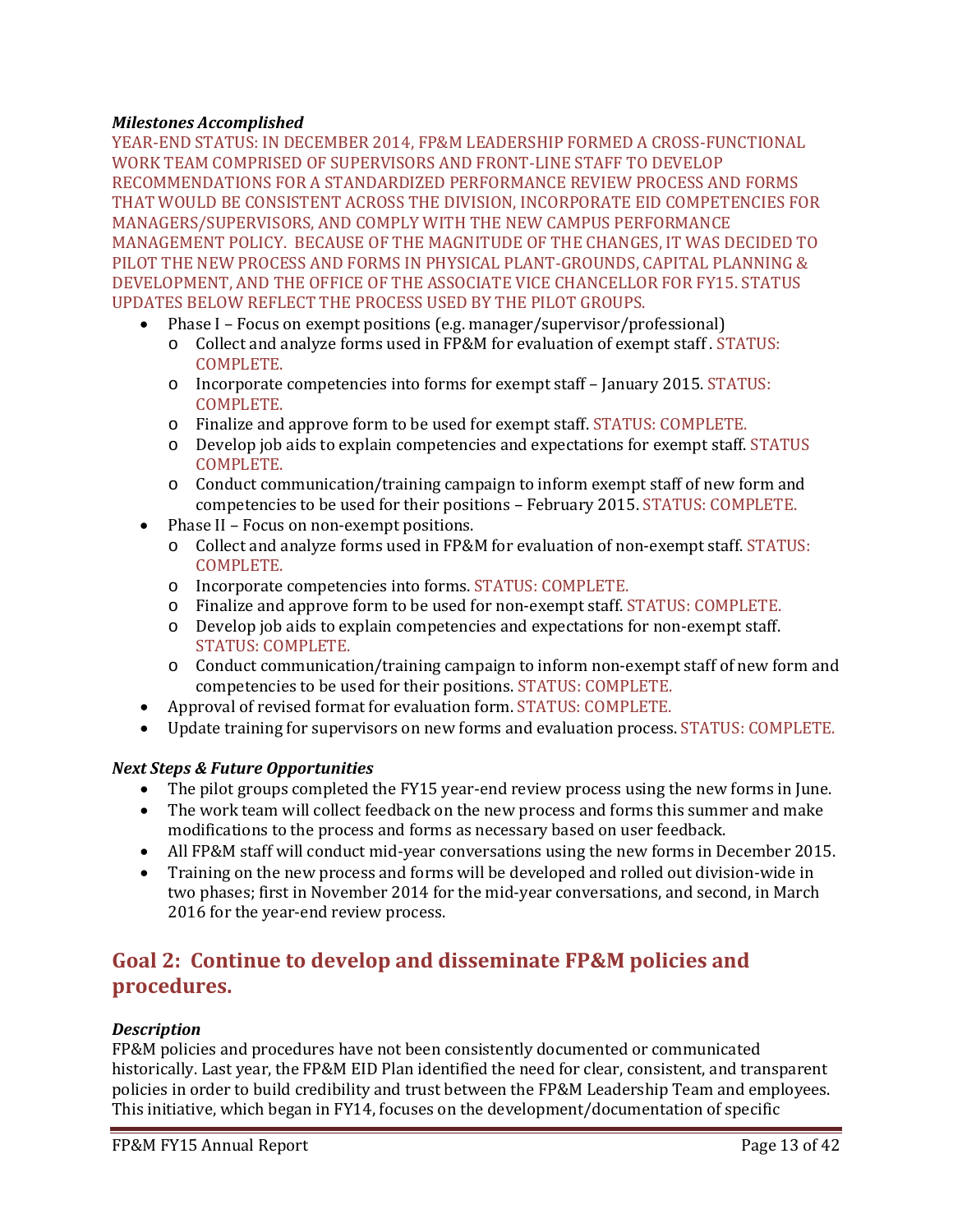# *Milestones Accomplished*

YEAR-END STATUS: IN DECEMBER 2014, FP&M LEADERSHIP FORMED A CROSS-FUNCTIONAL WORK TEAM COMPRISED OF SUPERVISORS AND FRONT-LINE STAFF TO DEVELOP RECOMMENDATIONS FOR A STANDARDIZED PERFORMANCE REVIEW PROCESS AND FORMS THAT WOULD BE CONSISTENT ACROSS THE DIVISION, INCORPORATE EID COMPETENCIES FOR MANAGERS/SUPERVISORS, AND COMPLY WITH THE NEW CAMPUS PERFORMANCE MANAGEMENT POLICY. BECAUSE OF THE MAGNITUDE OF THE CHANGES, IT WAS DECIDED TO PILOT THE NEW PROCESS AND FORMS IN PHYSICAL PLANT-GROUNDS, CAPITAL PLANNING & DEVELOPMENT, AND THE OFFICE OF THE ASSOCIATE VICE CHANCELLOR FOR FY15. STATUS UPDATES BELOW REFLECT THE PROCESS USED BY THE PILOT GROUPS.

- Phase I Focus on exempt positions (e.g. manager/supervisor/professional)
	- o Collect and analyze forms used in FP&M for evaluation of exempt staff . STATUS: COMPLETE.
	- o Incorporate competencies into forms for exempt staff January 2015. STATUS: COMPLETE.
	- o Finalize and approve form to be used for exempt staff. STATUS: COMPLETE.
	- o Develop job aids to explain competencies and expectations for exempt staff. STATUS COMPLETE.
	- o Conduct communication/training campaign to inform exempt staff of new form and competencies to be used for their positions – February 2015. STATUS: COMPLETE.
- Phase II Focus on non-exempt positions.
	- o Collect and analyze forms used in FP&M for evaluation of non-exempt staff. STATUS: COMPLETE.
	- o Incorporate competencies into forms. STATUS: COMPLETE.
	- o Finalize and approve form to be used for non-exempt staff. STATUS: COMPLETE.
	- o Develop job aids to explain competencies and expectations for non-exempt staff. STATUS: COMPLETE.
	- o Conduct communication/training campaign to inform non-exempt staff of new form and competencies to be used for their positions. STATUS: COMPLETE.
- Approval of revised format for evaluation form. STATUS: COMPLETE.
- Update training for supervisors on new forms and evaluation process. STATUS: COMPLETE.

# *Next Steps & Future Opportunities*

- The pilot groups completed the FY15 year-end review process using the new forms in June.
- The work team will collect feedback on the new process and forms this summer and make modifications to the process and forms as necessary based on user feedback.
- All FP&M staff will conduct mid-year conversations using the new forms in December 2015.
- Training on the new process and forms will be developed and rolled out division-wide in two phases; first in November 2014 for the mid-year conversations, and second, in March 2016 for the year-end review process.

# **Goal 2: Continue to develop and disseminate FP&M policies and procedures.**

# *Description*

FP&M policies and procedures have not been consistently documented or communicated historically. Last year, the FP&M EID Plan identified the need for clear, consistent, and transparent policies in order to build credibility and trust between the FP&M Leadership Team and employees. This initiative, which began in FY14, focuses on the development/documentation of specific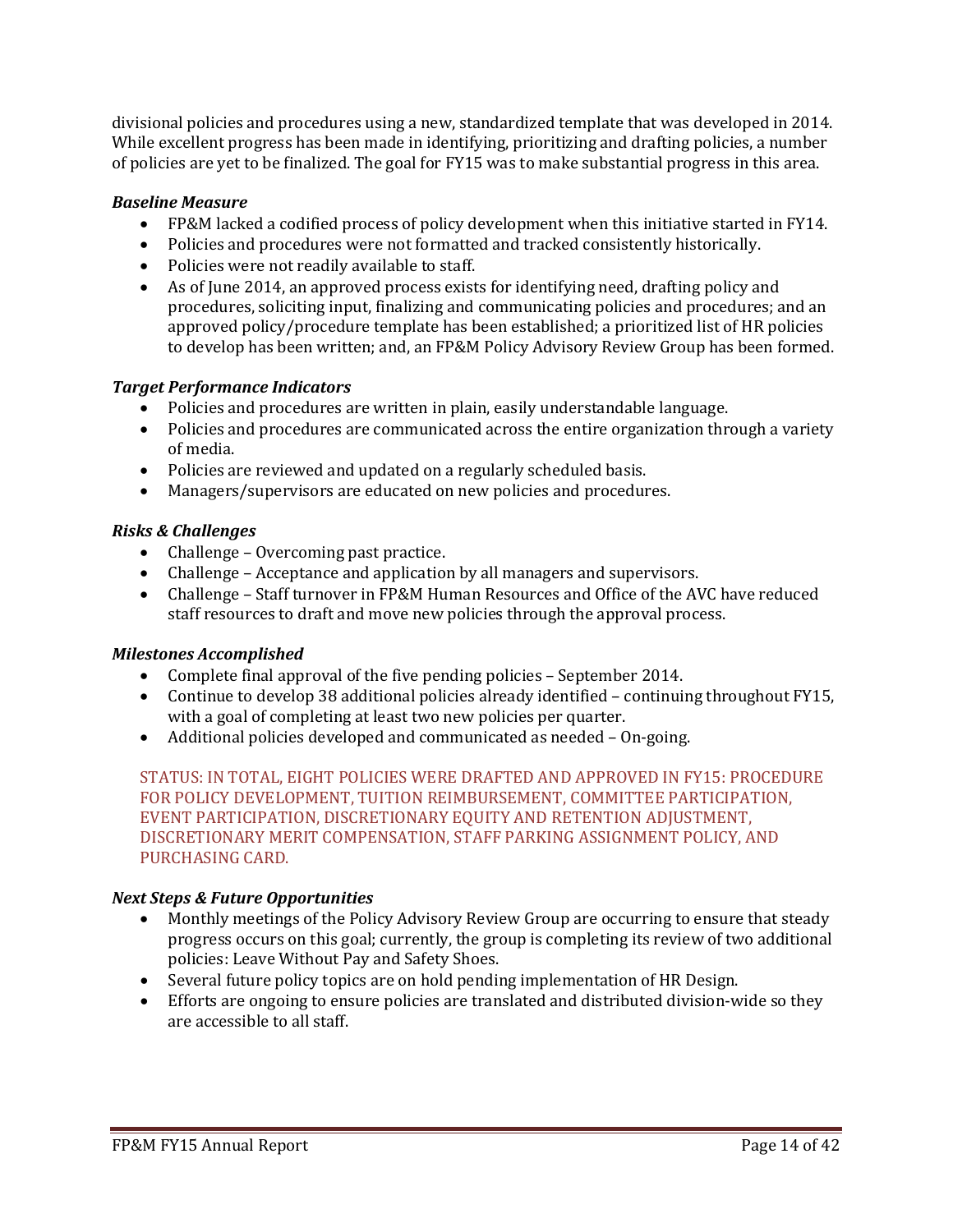divisional policies and procedures using a new, standardized template that was developed in 2014. While excellent progress has been made in identifying, prioritizing and drafting policies, a number of policies are yet to be finalized. The goal for FY15 was to make substantial progress in this area.

# *Baseline Measure*

- FP&M lacked a codified process of policy development when this initiative started in FY14.
- Policies and procedures were not formatted and tracked consistently historically.
- Policies were not readily available to staff.
- As of June 2014, an approved process exists for identifying need, drafting policy and procedures, soliciting input, finalizing and communicating policies and procedures; and an approved policy/procedure template has been established; a prioritized list of HR policies to develop has been written; and, an FP&M Policy Advisory Review Group has been formed.

# *Target Performance Indicators*

- Policies and procedures are written in plain, easily understandable language.
- Policies and procedures are communicated across the entire organization through a variety of media.
- Policies are reviewed and updated on a regularly scheduled basis.
- Managers/supervisors are educated on new policies and procedures.

# *Risks & Challenges*

- Challenge Overcoming past practice.
- Challenge Acceptance and application by all managers and supervisors.
- Challenge Staff turnover in FP&M Human Resources and Office of the AVC have reduced staff resources to draft and move new policies through the approval process.

# *Milestones Accomplished*

- Complete final approval of the five pending policies September 2014.
- Continue to develop 38 additional policies already identified continuing throughout FY15, with a goal of completing at least two new policies per quarter.
- Additional policies developed and communicated as needed On-going.

STATUS: IN TOTAL, EIGHT POLICIES WERE DRAFTED AND APPROVED IN FY15: PROCEDURE FOR POLICY DEVELOPMENT, TUITION REIMBURSEMENT, COMMITTEE PARTICIPATION, EVENT PARTICIPATION, DISCRETIONARY EQUITY AND RETENTION ADJUSTMENT, DISCRETIONARY MERIT COMPENSATION, STAFF PARKING ASSIGNMENT POLICY, AND PURCHASING CARD.

# *Next Steps & Future Opportunities*

- Monthly meetings of the Policy Advisory Review Group are occurring to ensure that steady progress occurs on this goal; currently, the group is completing its review of two additional policies: Leave Without Pay and Safety Shoes.
- Several future policy topics are on hold pending implementation of HR Design.
- Efforts are ongoing to ensure policies are translated and distributed division-wide so they are accessible to all staff.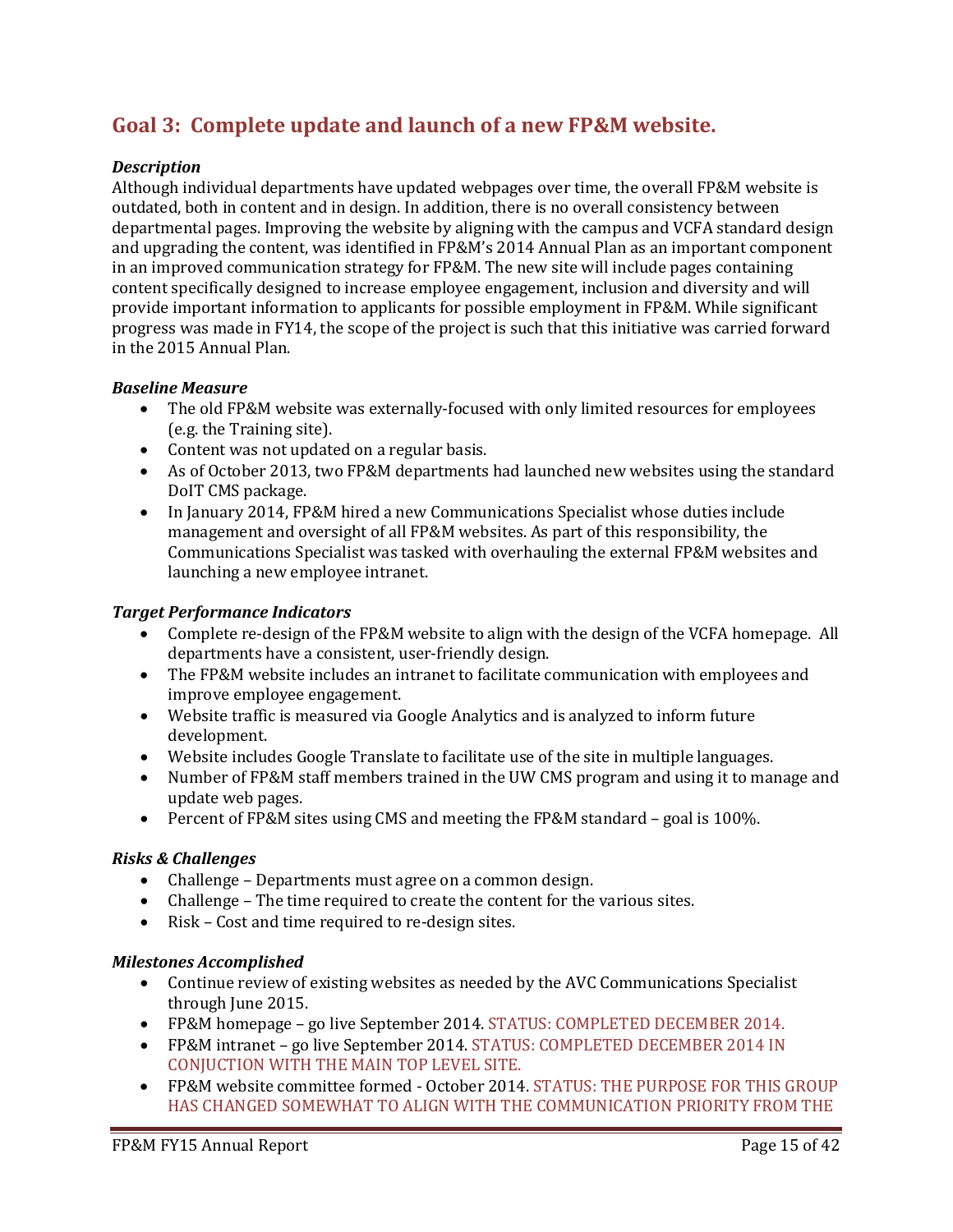# **Goal 3: Complete update and launch of a new FP&M website.**

# *Description*

Although individual departments have updated webpages over time, the overall FP&M website is outdated, both in content and in design. In addition, there is no overall consistency between departmental pages. Improving the website by aligning with the campus and VCFA standard design and upgrading the content, was identified in FP&M's 2014 Annual Plan as an important component in an improved communication strategy for FP&M. The new site will include pages containing content specifically designed to increase employee engagement, inclusion and diversity and will provide important information to applicants for possible employment in FP&M. While significant progress was made in FY14, the scope of the project is such that this initiative was carried forward in the 2015 Annual Plan.

#### *Baseline Measure*

- The old FP&M website was externally-focused with only limited resources for employees (e.g. the Training site).
- Content was not updated on a regular basis.
- As of October 2013, two FP&M departments had launched new websites using the standard DoIT CMS package.
- In January 2014, FP&M hired a new Communications Specialist whose duties include management and oversight of all FP&M websites. As part of this responsibility, the Communications Specialist was tasked with overhauling the external FP&M websites and launching a new employee intranet.

### *Target Performance Indicators*

- Complete re-design of the FP&M website to align with the design of the VCFA homepage. All departments have a consistent, user-friendly design.
- The FP&M website includes an intranet to facilitate communication with employees and improve employee engagement.
- Website traffic is measured via Google Analytics and is analyzed to inform future development.
- Website includes Google Translate to facilitate use of the site in multiple languages.
- Number of FP&M staff members trained in the UW CMS program and using it to manage and update web pages.
- Percent of FP&M sites using CMS and meeting the FP&M standard goal is 100%.

#### *Risks & Challenges*

- Challenge Departments must agree on a common design.
- Challenge The time required to create the content for the various sites.
- Risk Cost and time required to re-design sites.

#### *Milestones Accomplished*

- Continue review of existing websites as needed by the AVC Communications Specialist through June 2015.
- FP&M homepage go live September 2014. STATUS: COMPLETED DECEMBER 2014.
- FP&M intranet go live September 2014. STATUS: COMPLETED DECEMBER 2014 IN CONJUCTION WITH THE MAIN TOP LEVEL SITE.
- FP&M website committee formed October 2014. STATUS: THE PURPOSE FOR THIS GROUP HAS CHANGED SOMEWHAT TO ALIGN WITH THE COMMUNICATION PRIORITY FROM THE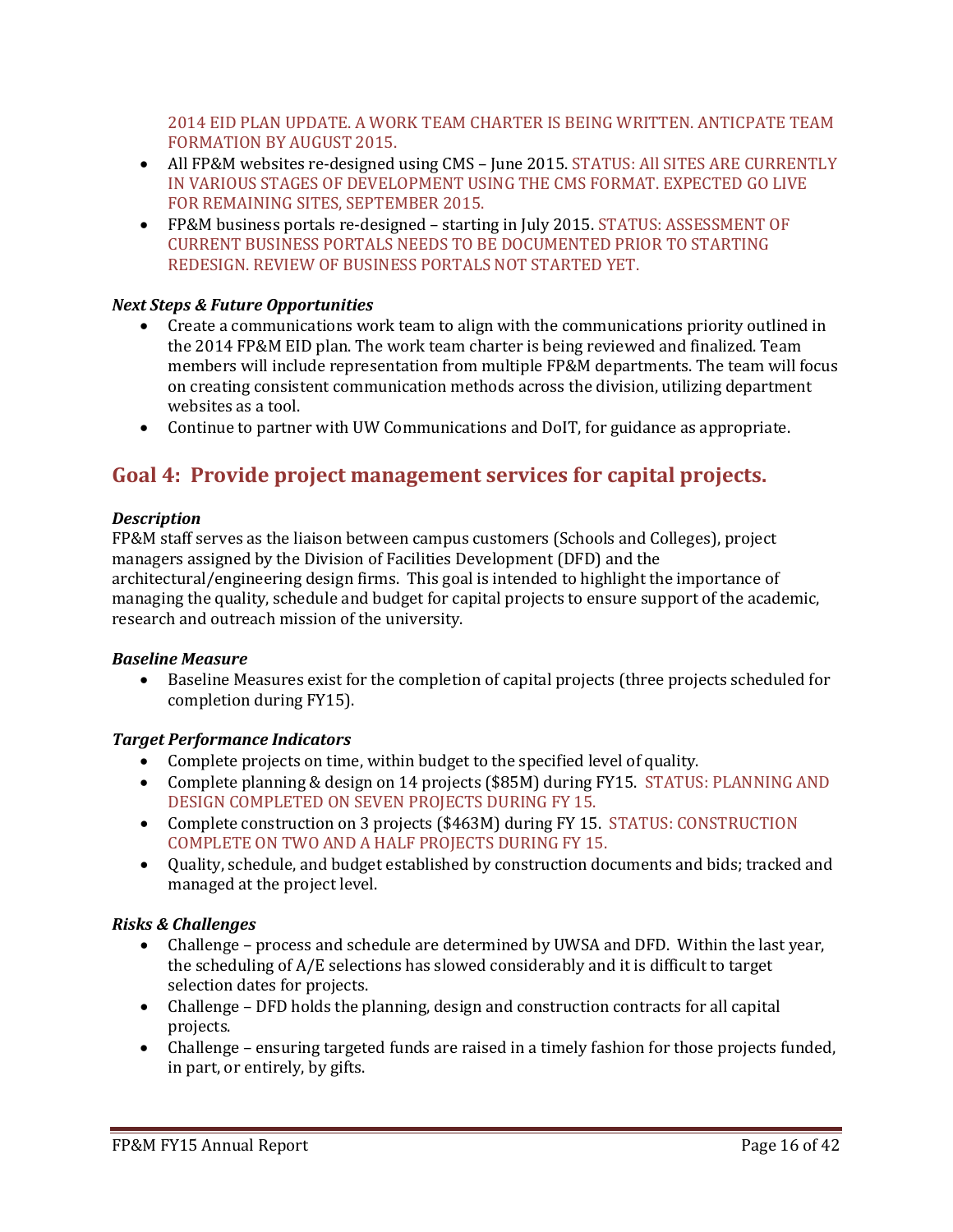2014 EID PLAN UPDATE. A WORK TEAM CHARTER IS BEING WRITTEN. ANTICPATE TEAM FORMATION BY AUGUST 2015.

- All FP&M websites re-designed using CMS June 2015. STATUS: All SITES ARE CURRENTLY IN VARIOUS STAGES OF DEVELOPMENT USING THE CMS FORMAT. EXPECTED GO LIVE FOR REMAINING SITES, SEPTEMBER 2015.
- FP&M business portals re-designed starting in July 2015. STATUS: ASSESSMENT OF CURRENT BUSINESS PORTALS NEEDS TO BE DOCUMENTED PRIOR TO STARTING REDESIGN. REVIEW OF BUSINESS PORTALS NOT STARTED YET.

# *Next Steps & Future Opportunities*

- Create a communications work team to align with the communications priority outlined in the 2014 FP&M EID plan. The work team charter is being reviewed and finalized. Team members will include representation from multiple FP&M departments. The team will focus on creating consistent communication methods across the division, utilizing department websites as a tool.
- Continue to partner with UW Communications and DoIT, for guidance as appropriate.

# **Goal 4: Provide project management services for capital projects.**

# *Description*

FP&M staff serves as the liaison between campus customers (Schools and Colleges), project managers assigned by the Division of Facilities Development (DFD) and the architectural/engineering design firms. This goal is intended to highlight the importance of managing the quality, schedule and budget for capital projects to ensure support of the academic, research and outreach mission of the university.

# *Baseline Measure*

• Baseline Measures exist for the completion of capital projects (three projects scheduled for completion during FY15).

# *Target Performance Indicators*

- Complete projects on time, within budget to the specified level of quality.
- Complete planning & design on 14 projects (\$85M) during FY15. STATUS: PLANNING AND DESIGN COMPLETED ON SEVEN PROJECTS DURING FY 15.
- Complete construction on 3 projects (\$463M) during FY 15. STATUS: CONSTRUCTION COMPLETE ON TWO AND A HALF PROJECTS DURING FY 15.
- Quality, schedule, and budget established by construction documents and bids; tracked and managed at the project level.

# *Risks & Challenges*

- Challenge process and schedule are determined by UWSA and DFD. Within the last year, the scheduling of A/E selections has slowed considerably and it is difficult to target selection dates for projects.
- Challenge DFD holds the planning, design and construction contracts for all capital projects.
- Challenge ensuring targeted funds are raised in a timely fashion for those projects funded, in part, or entirely, by gifts.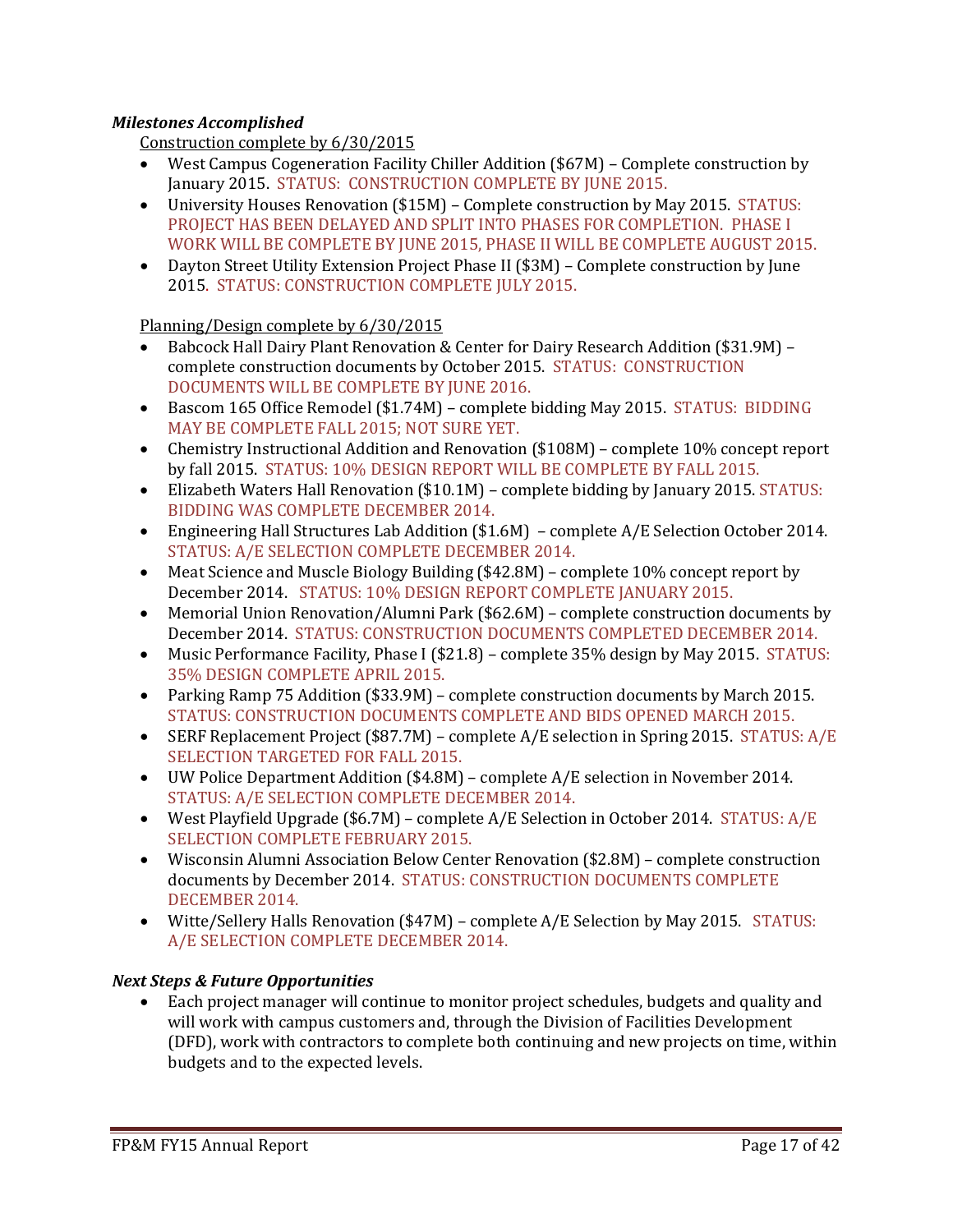# *Milestones Accomplished*

Construction complete by 6/30/2015

- West Campus Cogeneration Facility Chiller Addition (\$67M) Complete construction by January 2015. STATUS: CONSTRUCTION COMPLETE BY JUNE 2015.
- University Houses Renovation (\$15M) Complete construction by May 2015. STATUS: PROJECT HAS BEEN DELAYED AND SPLIT INTO PHASES FOR COMPLETION. PHASE I WORK WILL BE COMPLETE BY JUNE 2015, PHASE II WILL BE COMPLETE AUGUST 2015.
- Dayton Street Utility Extension Project Phase II (\$3M) Complete construction by June 2015. STATUS: CONSTRUCTION COMPLETE JULY 2015.

Planning/Design complete by 6/30/2015

- Babcock Hall Dairy Plant Renovation & Center for Dairy Research Addition (\$31.9M) complete construction documents by October 2015. STATUS: CONSTRUCTION DOCUMENTS WILL BE COMPLETE BY JUNE 2016.
- Bascom 165 Office Remodel (\$1.74M) complete bidding May 2015. STATUS: BIDDING MAY BE COMPLETE FALL 2015; NOT SURE YET.
- Chemistry Instructional Addition and Renovation (\$108M) complete 10% concept report by fall 2015. STATUS: 10% DESIGN REPORT WILL BE COMPLETE BY FALL 2015.
- Elizabeth Waters Hall Renovation (\$10.1M) complete bidding by January 2015. STATUS: BIDDING WAS COMPLETE DECEMBER 2014.
- Engineering Hall Structures Lab Addition (\$1.6M) complete A/E Selection October 2014. STATUS: A/E SELECTION COMPLETE DECEMBER 2014.
- Meat Science and Muscle Biology Building (\$42.8M) complete 10% concept report by December 2014. STATUS: 10% DESIGN REPORT COMPLETE JANUARY 2015.
- Memorial Union Renovation/Alumni Park (\$62.6M) complete construction documents by December 2014. STATUS: CONSTRUCTION DOCUMENTS COMPLETED DECEMBER 2014.
- Music Performance Facility, Phase I (\$21.8) complete 35% design by May 2015. STATUS: 35% DESIGN COMPLETE APRIL 2015.
- Parking Ramp 75 Addition (\$33.9M) complete construction documents by March 2015. STATUS: CONSTRUCTION DOCUMENTS COMPLETE AND BIDS OPENED MARCH 2015.
- SERF Replacement Project (\$87.7M) complete A/E selection in Spring 2015. STATUS: A/E SELECTION TARGETED FOR FALL 2015.
- UW Police Department Addition (\$4.8M) complete A/E selection in November 2014. STATUS: A/E SELECTION COMPLETE DECEMBER 2014.
- West Playfield Upgrade (\$6.7M) complete A/E Selection in October 2014. STATUS: A/E SELECTION COMPLETE FEBRUARY 2015.
- Wisconsin Alumni Association Below Center Renovation (\$2.8M) complete construction documents by December 2014. STATUS: CONSTRUCTION DOCUMENTS COMPLETE DECEMBER 2014.
- Witte/Sellery Halls Renovation (\$47M) complete A/E Selection by May 2015. STATUS: A/E SELECTION COMPLETE DECEMBER 2014.

# *Next Steps & Future Opportunities*

• Each project manager will continue to monitor project schedules, budgets and quality and will work with campus customers and, through the Division of Facilities Development (DFD), work with contractors to complete both continuing and new projects on time, within budgets and to the expected levels.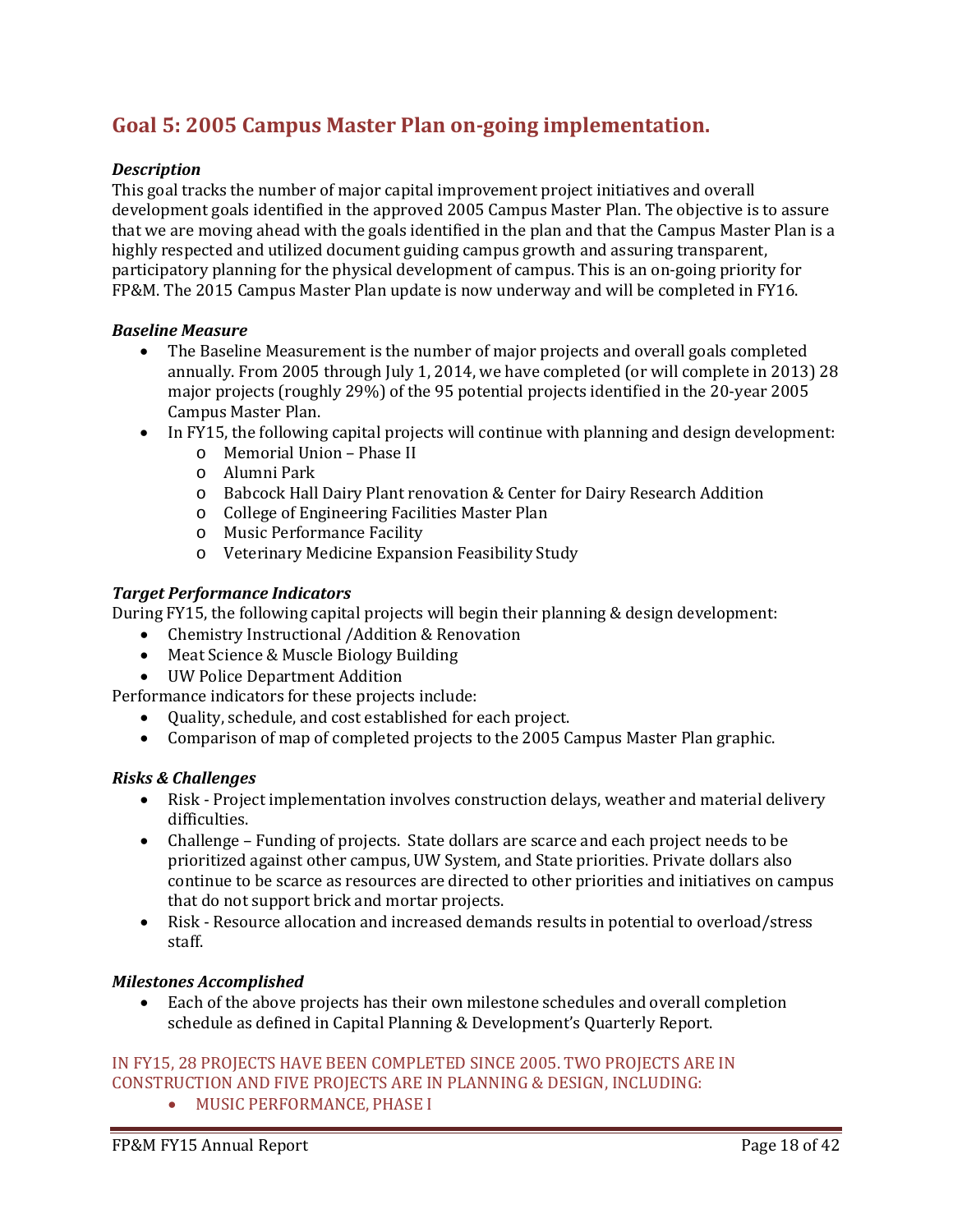# **Goal 5: 2005 Campus Master Plan on-going implementation.**

# *Description*

This goal tracks the number of major capital improvement project initiatives and overall development goals identified in the approved 2005 Campus Master Plan. The objective is to assure that we are moving ahead with the goals identified in the plan and that the Campus Master Plan is a highly respected and utilized document guiding campus growth and assuring transparent, participatory planning for the physical development of campus. This is an on-going priority for FP&M. The 2015 Campus Master Plan update is now underway and will be completed in FY16.

#### *Baseline Measure*

- The Baseline Measurement is the number of major projects and overall goals completed annually. From 2005 through July 1, 2014, we have completed (or will complete in 2013) 28 major projects (roughly 29%) of the 95 potential projects identified in the 20-year 2005 Campus Master Plan.
- In FY15, the following capital projects will continue with planning and design development:
	- o Memorial Union Phase II
	- o Alumni Park
	- o Babcock Hall Dairy Plant renovation & Center for Dairy Research Addition
	- o College of Engineering Facilities Master Plan
	- o Music Performance Facility
	- o Veterinary Medicine Expansion Feasibility Study

#### *Target Performance Indicators*

During FY15, the following capital projects will begin their planning & design development:

- Chemistry Instructional /Addition & Renovation
- Meat Science & Muscle Biology Building
- UW Police Department Addition

Performance indicators for these projects include:

- Quality, schedule, and cost established for each project.
- Comparison of map of completed projects to the 2005 Campus Master Plan graphic.

# *Risks & Challenges*

- Risk Project implementation involves construction delays, weather and material delivery difficulties.
- Challenge Funding of projects. State dollars are scarce and each project needs to be prioritized against other campus, UW System, and State priorities. Private dollars also continue to be scarce as resources are directed to other priorities and initiatives on campus that do not support brick and mortar projects.
- Risk Resource allocation and increased demands results in potential to overload/stress staff.

#### *Milestones Accomplished*

• Each of the above projects has their own milestone schedules and overall completion schedule as defined in Capital Planning & Development's Quarterly Report.

# IN FY15, 28 PROJECTS HAVE BEEN COMPLETED SINCE 2005. TWO PROJECTS ARE IN CONSTRUCTION AND FIVE PROJECTS ARE IN PLANNING & DESIGN, INCLUDING:

• MUSIC PERFORMANCE, PHASE I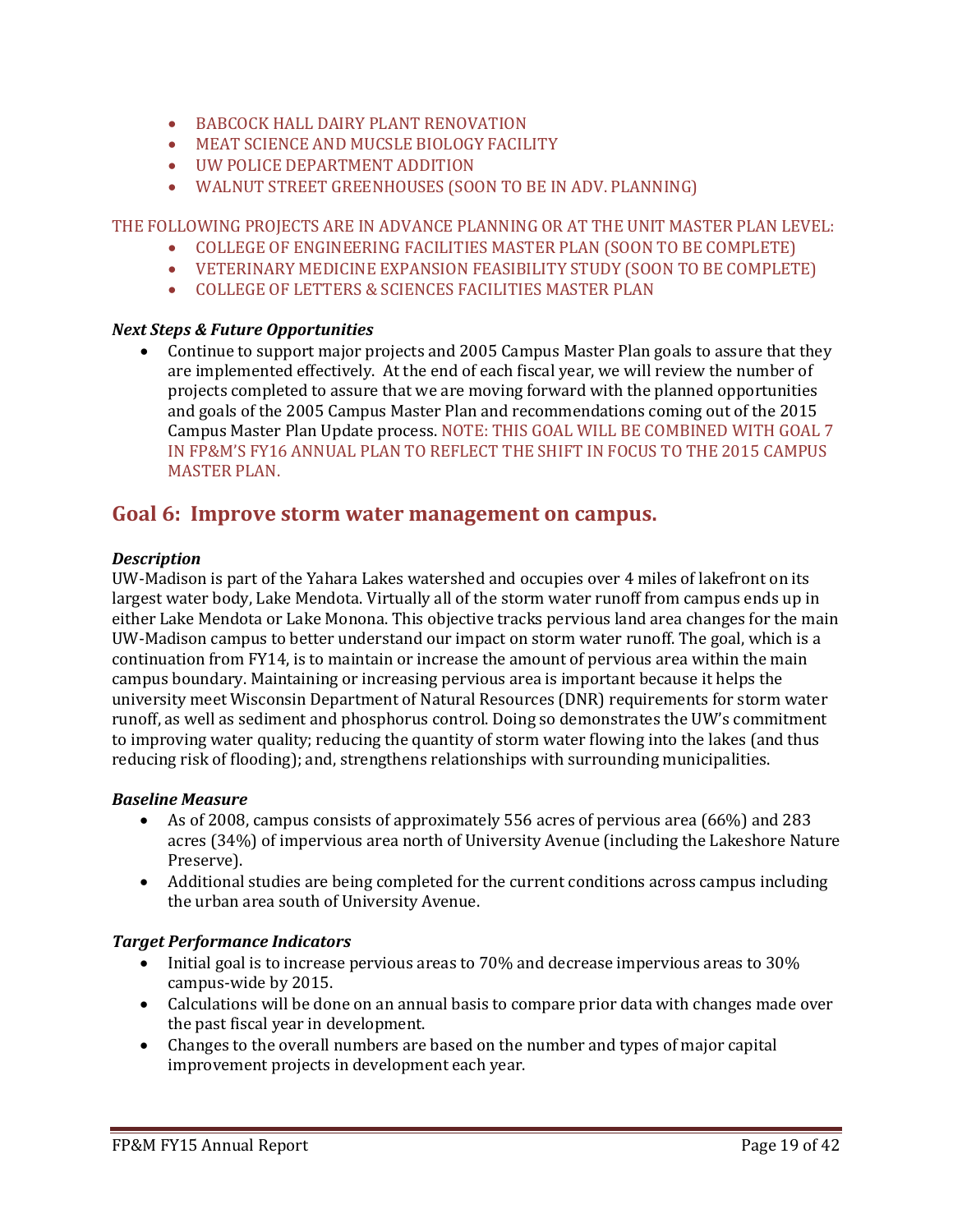- BABCOCK HALL DAIRY PLANT RENOVATION
- MEAT SCIENCE AND MUCSLE BIOLOGY FACILITY
- UW POLICE DEPARTMENT ADDITION
- WALNUT STREET GREENHOUSES (SOON TO BE IN ADV. PLANNING)

THE FOLLOWING PROJECTS ARE IN ADVANCE PLANNING OR AT THE UNIT MASTER PLAN LEVEL:

- COLLEGE OF ENGINEERING FACILITIES MASTER PLAN (SOON TO BE COMPLETE)
- VETERINARY MEDICINE EXPANSION FEASIBILITY STUDY (SOON TO BE COMPLETE)
- COLLEGE OF LETTERS & SCIENCES FACILITIES MASTER PLAN

# *Next Steps & Future Opportunities*

• Continue to support major projects and 2005 Campus Master Plan goals to assure that they are implemented effectively. At the end of each fiscal year, we will review the number of projects completed to assure that we are moving forward with the planned opportunities and goals of the 2005 Campus Master Plan and recommendations coming out of the 2015 Campus Master Plan Update process. NOTE: THIS GOAL WILL BE COMBINED WITH GOAL 7 IN FP&M'S FY16 ANNUAL PLAN TO REFLECT THE SHIFT IN FOCUS TO THE 2015 CAMPUS MASTER PLAN.

# **Goal 6: Improve storm water management on campus.**

# *Description*

UW-Madison is part of the Yahara Lakes watershed and occupies over 4 miles of lakefront on its largest water body, Lake Mendota. Virtually all of the storm water runoff from campus ends up in either Lake Mendota or Lake Monona. This objective tracks pervious land area changes for the main UW-Madison campus to better understand our impact on storm water runoff. The goal, which is a continuation from FY14, is to maintain or increase the amount of pervious area within the main campus boundary. Maintaining or increasing pervious area is important because it helps the university meet Wisconsin Department of Natural Resources (DNR) requirements for storm water runoff, as well as sediment and phosphorus control. Doing so demonstrates the UW's commitment to improving water quality; reducing the quantity of storm water flowing into the lakes (and thus reducing risk of flooding); and, strengthens relationships with surrounding municipalities.

# *Baseline Measure*

- As of 2008, campus consists of approximately 556 acres of pervious area (66%) and 283 acres (34%) of impervious area north of University Avenue (including the Lakeshore Nature Preserve).
- Additional studies are being completed for the current conditions across campus including the urban area south of University Avenue.

# *Target Performance Indicators*

- Initial goal is to increase pervious areas to 70% and decrease impervious areas to 30% campus-wide by 2015.
- Calculations will be done on an annual basis to compare prior data with changes made over the past fiscal year in development.
- Changes to the overall numbers are based on the number and types of major capital improvement projects in development each year.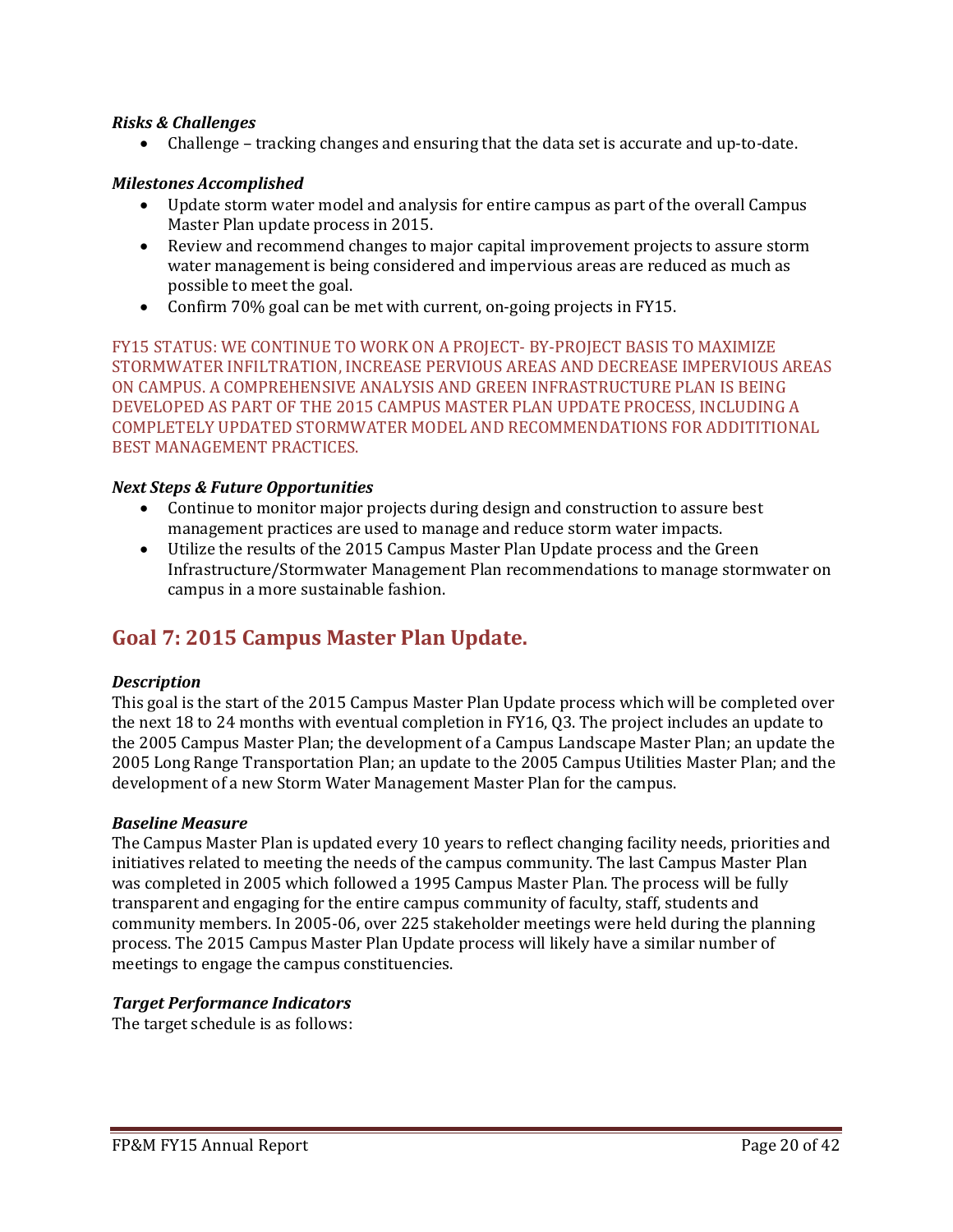### *Risks & Challenges*

• Challenge – tracking changes and ensuring that the data set is accurate and up-to-date.

#### *Milestones Accomplished*

- Update storm water model and analysis for entire campus as part of the overall Campus Master Plan update process in 2015.
- Review and recommend changes to major capital improvement projects to assure storm water management is being considered and impervious areas are reduced as much as possible to meet the goal.
- Confirm 70% goal can be met with current, on-going projects in FY15.

FY15 STATUS: WE CONTINUE TO WORK ON A PROJECT- BY-PROJECT BASIS TO MAXIMIZE STORMWATER INFILTRATION, INCREASE PERVIOUS AREAS AND DECREASE IMPERVIOUS AREAS ON CAMPUS. A COMPREHENSIVE ANALYSIS AND GREEN INFRASTRUCTURE PLAN IS BEING DEVELOPED AS PART OF THE 2015 CAMPUS MASTER PLAN UPDATE PROCESS, INCLUDING A COMPLETELY UPDATED STORMWATER MODEL AND RECOMMENDATIONS FOR ADDITITIONAL BEST MANAGEMENT PRACTICES.

#### *Next Steps & Future Opportunities*

- Continue to monitor major projects during design and construction to assure best management practices are used to manage and reduce storm water impacts.
- Utilize the results of the 2015 Campus Master Plan Update process and the Green Infrastructure/Stormwater Management Plan recommendations to manage stormwater on campus in a more sustainable fashion.

# **Goal 7: 2015 Campus Master Plan Update.**

#### *Description*

This goal is the start of the 2015 Campus Master Plan Update process which will be completed over the next 18 to 24 months with eventual completion in FY16, Q3. The project includes an update to the 2005 Campus Master Plan; the development of a Campus Landscape Master Plan; an update the 2005 Long Range Transportation Plan; an update to the 2005 Campus Utilities Master Plan; and the development of a new Storm Water Management Master Plan for the campus.

#### *Baseline Measure*

The Campus Master Plan is updated every 10 years to reflect changing facility needs, priorities and initiatives related to meeting the needs of the campus community. The last Campus Master Plan was completed in 2005 which followed a 1995 Campus Master Plan. The process will be fully transparent and engaging for the entire campus community of faculty, staff, students and community members. In 2005-06, over 225 stakeholder meetings were held during the planning process. The 2015 Campus Master Plan Update process will likely have a similar number of meetings to engage the campus constituencies.

# *Target Performance Indicators*

The target schedule is as follows: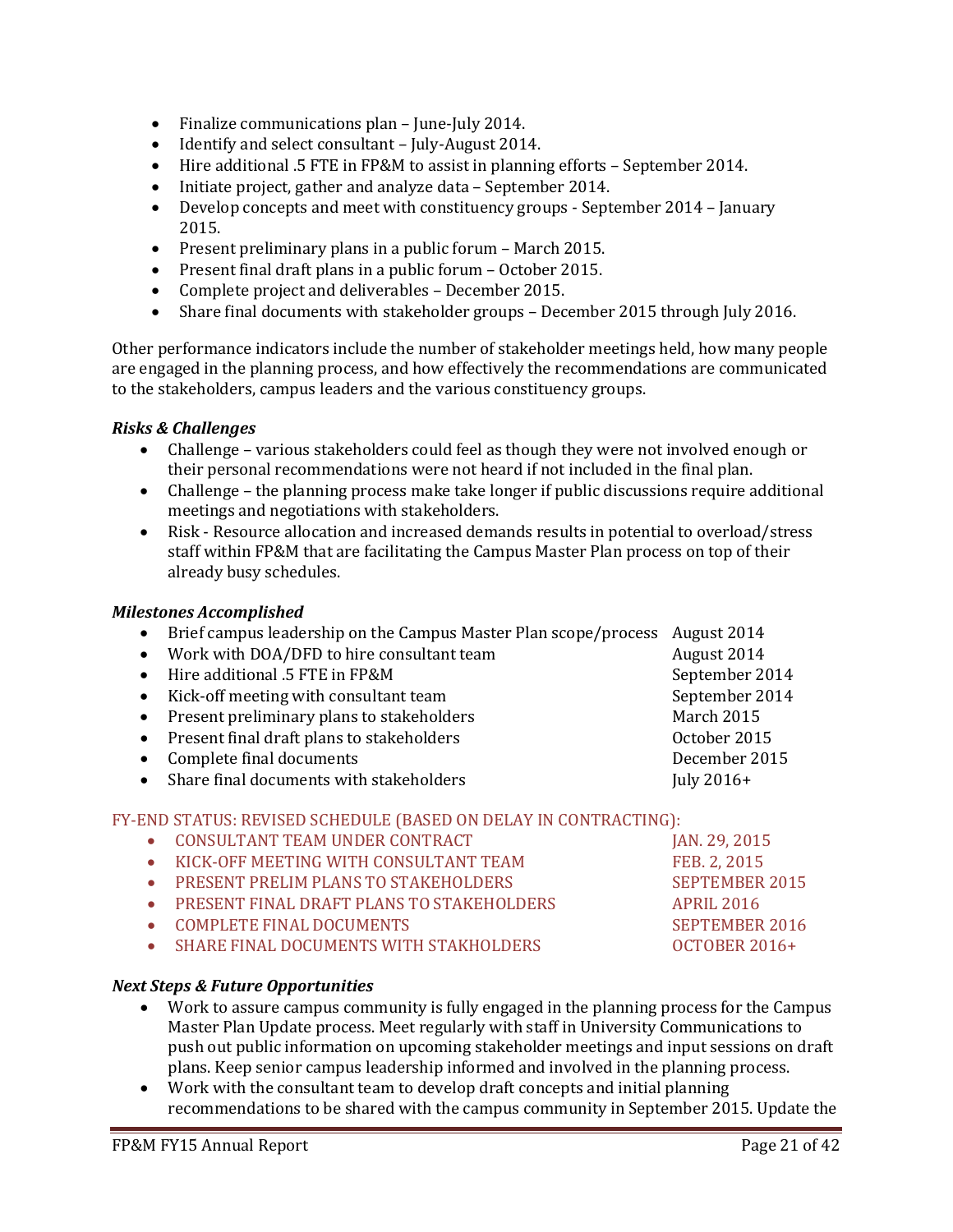- Finalize communications plan June-July 2014.
- Identify and select consultant July-August 2014.<br>• Hire additional .5 FTE in FP&M to assist in plannin
- Hire additional .5 FTE in FP&M to assist in planning efforts September 2014.
- Initiate project, gather and analyze data September 2014.<br>• Develop concepts and meet with constituency groups Sept
- Develop concepts and meet with constituency groups September 2014 January 2015.
- Present preliminary plans in a public forum March 2015.
- Present final draft plans in a public forum October 2015.<br>• Complete project and deliverables December 2015.
- Complete project and deliverables December 2015.
- Share final documents with stakeholder groups December 2015 through July 2016.

Other performance indicators include the number of stakeholder meetings held, how many people are engaged in the planning process, and how effectively the recommendations are communicated to the stakeholders, campus leaders and the various constituency groups.

# *Risks & Challenges*

- Challenge various stakeholders could feel as though they were not involved enough or their personal recommendations were not heard if not included in the final plan.
- Challenge the planning process make take longer if public discussions require additional meetings and negotiations with stakeholders.
- Risk Resource allocation and increased demands results in potential to overload/stress staff within FP&M that are facilitating the Campus Master Plan process on top of their already busy schedules.

#### *Milestones Accomplished*

- Brief campus leadership on the Campus Master Plan scope/process August 2014<br>• Work with DOA/DFD to hire consultant team **August 2014**
- Work with DOA/DFD to hire consultant team August 2014 • Hire additional .5 FTE in FP&M September 2014<br>• Kick-off meeting with consultant team September 2014 • Kick-off meeting with consultant team September 2<br>• Present preliminary plans to stakeholders March 2015 • Present preliminary plans to stakeholders March 2015<br>• Present final draft plans to stakeholders (October 2015) • Present final draft plans to stakeholders October 2015 • Complete final documents<br>• Share final documents with stakeholders **December 2016** Final documents with stakeholders
- Share final documents with stakeholders

# FY-END STATUS: REVISED SCHEDULE (BASED ON DELAY IN CONTRACTING):<br>CONSULTANT TEAM UNDER CONTRACT [AN. 29, 2015]

- 
- CONSULTANT TEAM UNDER CONTRACT JAN. 29, 2015 • KICK-OFF MEETING WITH CONSULTANT TEAM FEB. 2, 2015<br>• PRESENT PRELIM PLANS TO STAKEHOLDERS SEPTEMBER 2015 • PRESENT PRELIM PLANS TO STAKEHOLDERS SEPTEMBER 2015 • PRESENT FINAL DRAFT PLANS TO STAKEHOLDERS APRIL 2016
- 
- COMPLETE FINAL DOCUMENTS SEPTEMBER 2016 **SHARE FINAL DOCUMENTS WITH STAKHOLDERS**

# *Next Steps & Future Opportunities*

- Work to assure campus community is fully engaged in the planning process for the Campus Master Plan Update process. Meet regularly with staff in University Communications to push out public information on upcoming stakeholder meetings and input sessions on draft plans. Keep senior campus leadership informed and involved in the planning process.
- Work with the consultant team to develop draft concepts and initial planning recommendations to be shared with the campus community in September 2015. Update the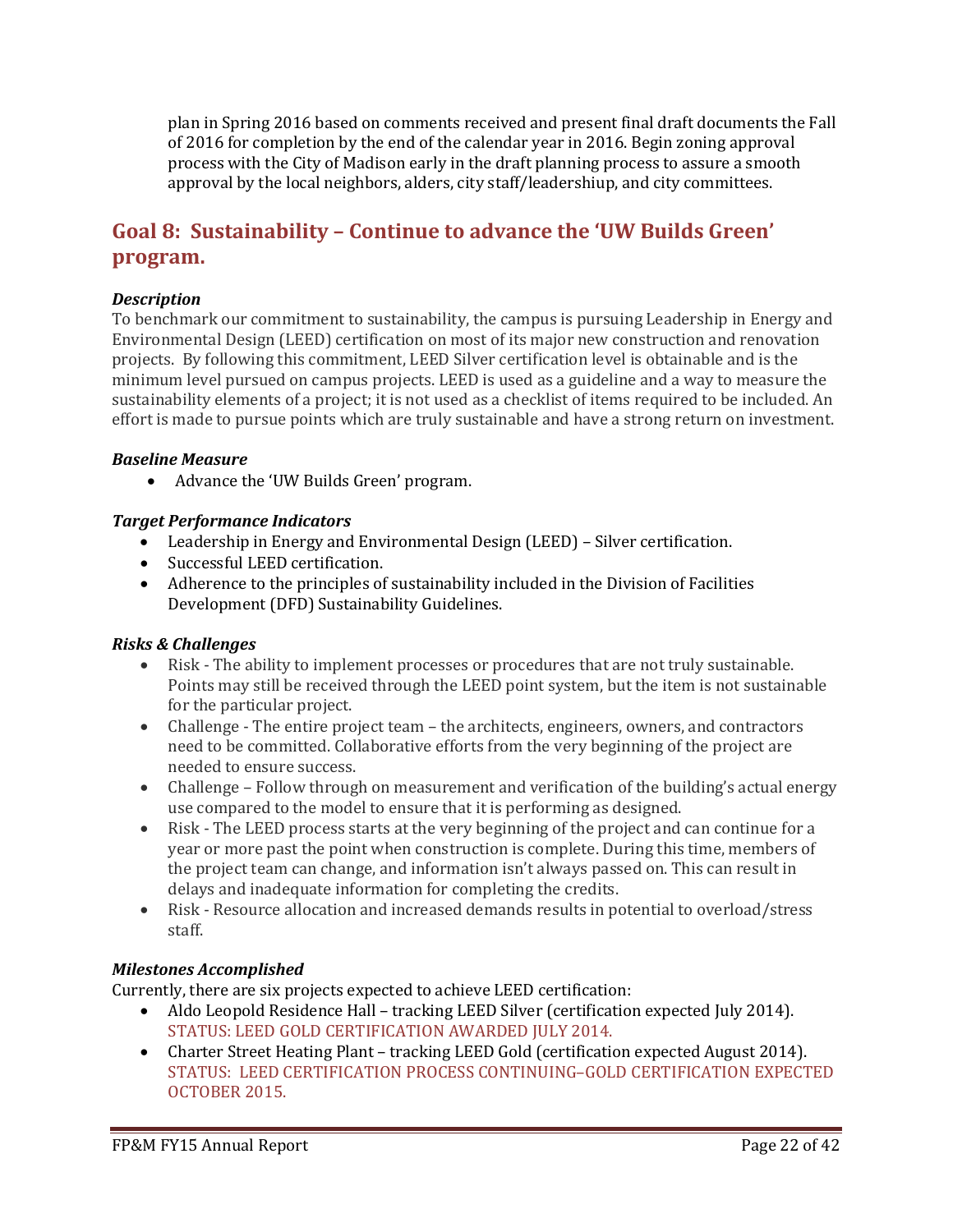plan in Spring 2016 based on comments received and present final draft documents the Fall of 2016 for completion by the end of the calendar year in 2016. Begin zoning approval process with the City of Madison early in the draft planning process to assure a smooth approval by the local neighbors, alders, city staff/leadershiup, and city committees.

# **Goal 8: Sustainability – Continue to advance the 'UW Builds Green' program.**

# *Description*

To benchmark our commitment to sustainability, the campus is pursuing Leadership in Energy and Environmental Design (LEED) certification on most of its major new construction and renovation projects.By following this commitment, LEED Silver certification level is obtainable and is the minimum level pursued on campus projects. LEED is used as a guideline and a way to measure the sustainability elements of a project; it is not used as a checklist of items required to be included. An effort is made to pursue points which are truly sustainable and have a strong return on investment.

#### *Baseline Measure*

• Advance the 'UW Builds Green' program.

# *Target Performance Indicators*

- Leadership in Energy and Environmental Design (LEED) Silver certification.
- Successful LEED certification.
- Adherence to the principles of sustainability included in the Division of Facilities Development (DFD) Sustainability Guidelines.

# *Risks & Challenges*

- Risk The ability to implement processes or procedures that are not truly sustainable. Points may still be received through the LEED point system, but the item is not sustainable for the particular project.
- Challenge The entire project team the architects, engineers, owners, and contractors need to be committed. Collaborative efforts from the very beginning of the project are needed to ensure success.
- Challenge Follow through on measurement and verification of the building's actual energy use compared to the model to ensure that it is performing as designed.
- Risk The LEED process starts at the very beginning of the project and can continue for a year or more past the point when construction is complete. During this time, members of the project team can change, and information isn't always passed on. This can result in delays and inadequate information for completing the credits.
- Risk Resource allocation and increased demands results in potential to overload/stress staff.

# *Milestones Accomplished*

Currently, there are six projects expected to achieve LEED certification:

- Aldo Leopold Residence Hall tracking LEED Silver (certification expected July 2014). STATUS: LEED GOLD CERTIFICATION AWARDED JULY 2014.
- Charter Street Heating Plant tracking LEED Gold (certification expected August 2014). STATUS: LEED CERTIFICATION PROCESS CONTINUING–GOLD CERTIFICATION EXPECTED OCTOBER 2015.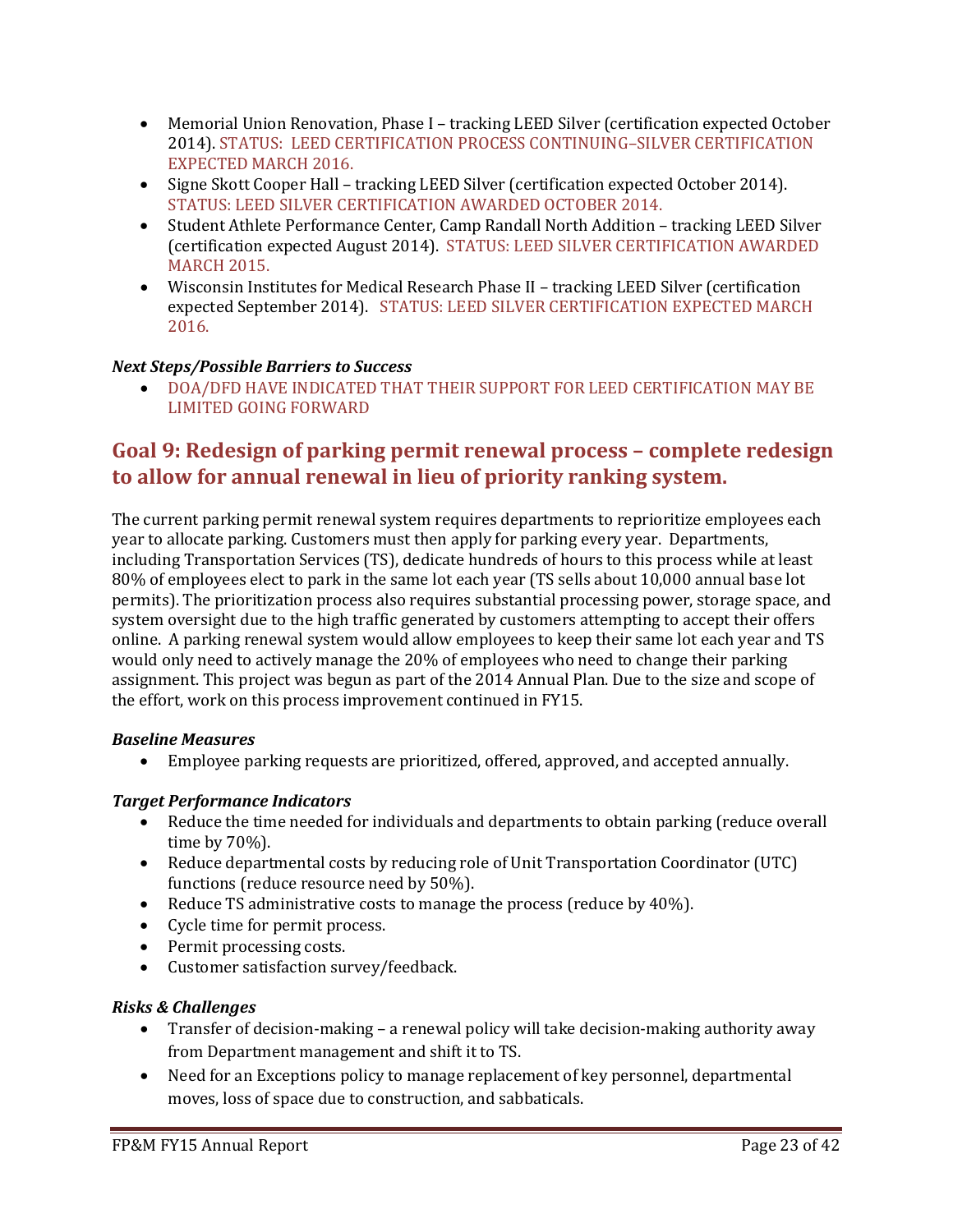- Memorial Union Renovation, Phase I tracking LEED Silver (certification expected October 2014). STATUS: LEED CERTIFICATION PROCESS CONTINUING–SILVER CERTIFICATION EXPECTED MARCH 2016.
- Signe Skott Cooper Hall tracking LEED Silver (certification expected October 2014). STATUS: LEED SILVER CERTIFICATION AWARDED OCTOBER 2014.
- Student Athlete Performance Center, Camp Randall North Addition tracking LEED Silver (certification expected August 2014). STATUS: LEED SILVER CERTIFICATION AWARDED MARCH 2015.
- Wisconsin Institutes for Medical Research Phase II tracking LEED Silver (certification expected September 2014). STATUS: LEED SILVER CERTIFICATION EXPECTED MARCH 2016.

# *Next Steps/Possible Barriers to Success*

• DOA/DFD HAVE INDICATED THAT THEIR SUPPORT FOR LEED CERTIFICATION MAY BE LIMITED GOING FORWARD

# **Goal 9: Redesign of parking permit renewal process – complete redesign to allow for annual renewal in lieu of priority ranking system.**

The current parking permit renewal system requires departments to reprioritize employees each year to allocate parking. Customers must then apply for parking every year. Departments, including Transportation Services (TS), dedicate hundreds of hours to this process while at least 80% of employees elect to park in the same lot each year (TS sells about 10,000 annual base lot permits). The prioritization process also requires substantial processing power, storage space, and system oversight due to the high traffic generated by customers attempting to accept their offers online. A parking renewal system would allow employees to keep their same lot each year and TS would only need to actively manage the 20% of employees who need to change their parking assignment. This project was begun as part of the 2014 Annual Plan. Due to the size and scope of the effort, work on this process improvement continued in FY15.

# *Baseline Measures*

• Employee parking requests are prioritized, offered, approved, and accepted annually.

# *Target Performance Indicators*

- Reduce the time needed for individuals and departments to obtain parking (reduce overall time by 70%).
- Reduce departmental costs by reducing role of Unit Transportation Coordinator (UTC) functions (reduce resource need by 50%).
- Reduce TS administrative costs to manage the process (reduce by 40%).
- Cycle time for permit process.
- Permit processing costs.
- Customer satisfaction survey/feedback.

# *Risks & Challenges*

- Transfer of decision-making a renewal policy will take decision-making authority away from Department management and shift it to TS.
- Need for an Exceptions policy to manage replacement of key personnel, departmental moves, loss of space due to construction, and sabbaticals.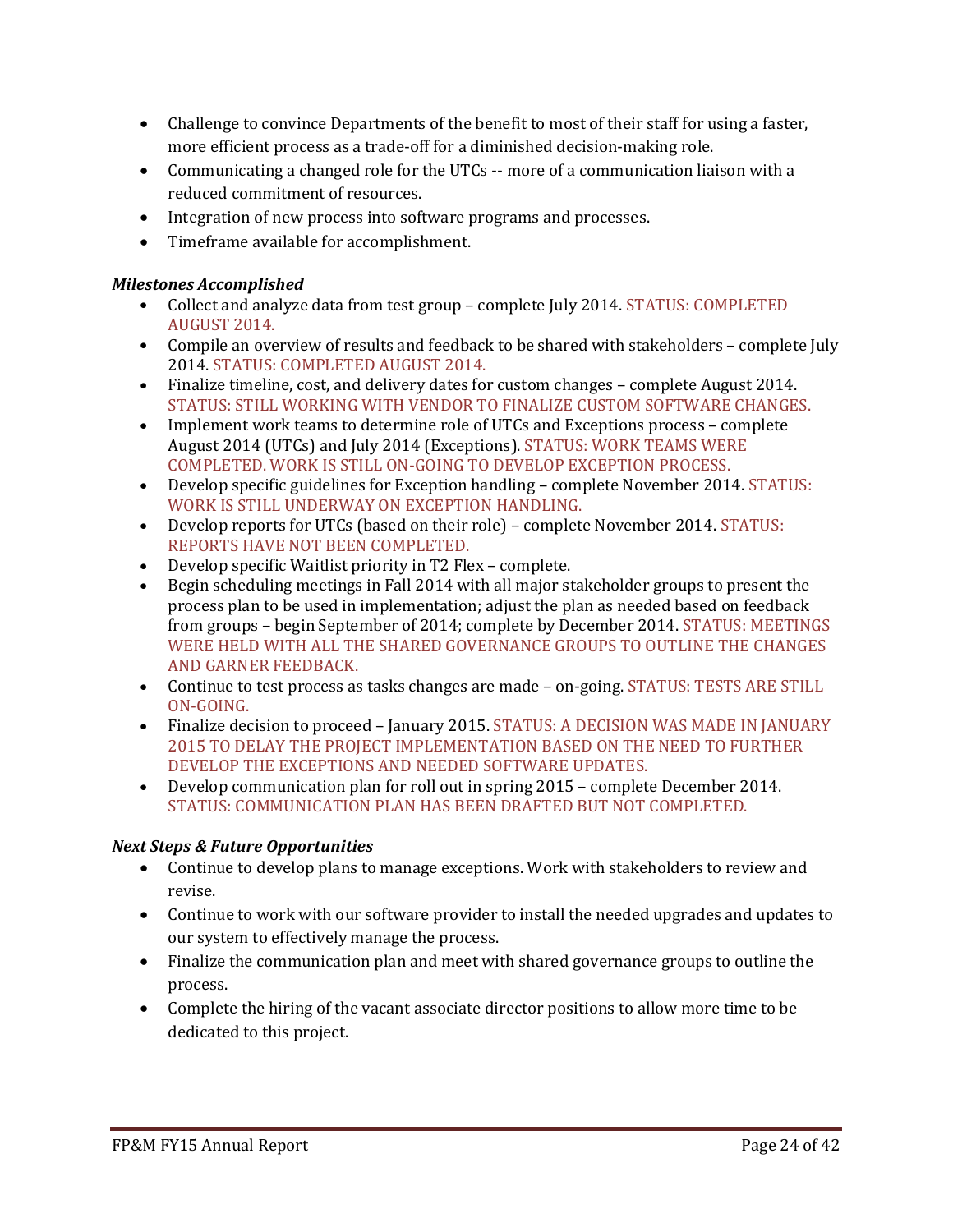- Challenge to convince Departments of the benefit to most of their staff for using a faster, more efficient process as a trade-off for a diminished decision-making role.
- Communicating a changed role for the UTCs -- more of a communication liaison with a reduced commitment of resources.
- Integration of new process into software programs and processes.
- Timeframe available for accomplishment.

# *Milestones Accomplished*

- Collect and analyze data from test group complete July 2014. STATUS: COMPLETED AUGUST 2014.
- Compile an overview of results and feedback to be shared with stakeholders complete July 2014. STATUS: COMPLETED AUGUST 2014.
- Finalize timeline, cost, and delivery dates for custom changes complete August 2014. STATUS: STILL WORKING WITH VENDOR TO FINALIZE CUSTOM SOFTWARE CHANGES.
- Implement work teams to determine role of UTCs and Exceptions process complete August 2014 (UTCs) and July 2014 (Exceptions). STATUS: WORK TEAMS WERE COMPLETED. WORK IS STILL ON-GOING TO DEVELOP EXCEPTION PROCESS.
- Develop specific guidelines for Exception handling complete November 2014. STATUS: WORK IS STILL UNDERWAY ON EXCEPTION HANDLING.
- Develop reports for UTCs (based on their role) complete November 2014. STATUS: REPORTS HAVE NOT BEEN COMPLETED.
- Develop specific Waitlist priority in T2 Flex complete.
- Begin scheduling meetings in Fall 2014 with all major stakeholder groups to present the process plan to be used in implementation; adjust the plan as needed based on feedback from groups – begin September of 2014; complete by December 2014. STATUS: MEETINGS WERE HELD WITH ALL THE SHARED GOVERNANCE GROUPS TO OUTLINE THE CHANGES AND GARNER FEEDBACK.
- Continue to test process as tasks changes are made on-going. STATUS: TESTS ARE STILL ON-GOING.
- Finalize decision to proceed January 2015. STATUS: A DECISION WAS MADE IN JANUARY 2015 TO DELAY THE PROJECT IMPLEMENTATION BASED ON THE NEED TO FURTHER DEVELOP THE EXCEPTIONS AND NEEDED SOFTWARE UPDATES.
- Develop communication plan for roll out in spring 2015 complete December 2014. STATUS: COMMUNICATION PLAN HAS BEEN DRAFTED BUT NOT COMPLETED.

# *Next Steps & Future Opportunities*

- Continue to develop plans to manage exceptions. Work with stakeholders to review and revise.
- Continue to work with our software provider to install the needed upgrades and updates to our system to effectively manage the process.
- Finalize the communication plan and meet with shared governance groups to outline the process.
- Complete the hiring of the vacant associate director positions to allow more time to be dedicated to this project.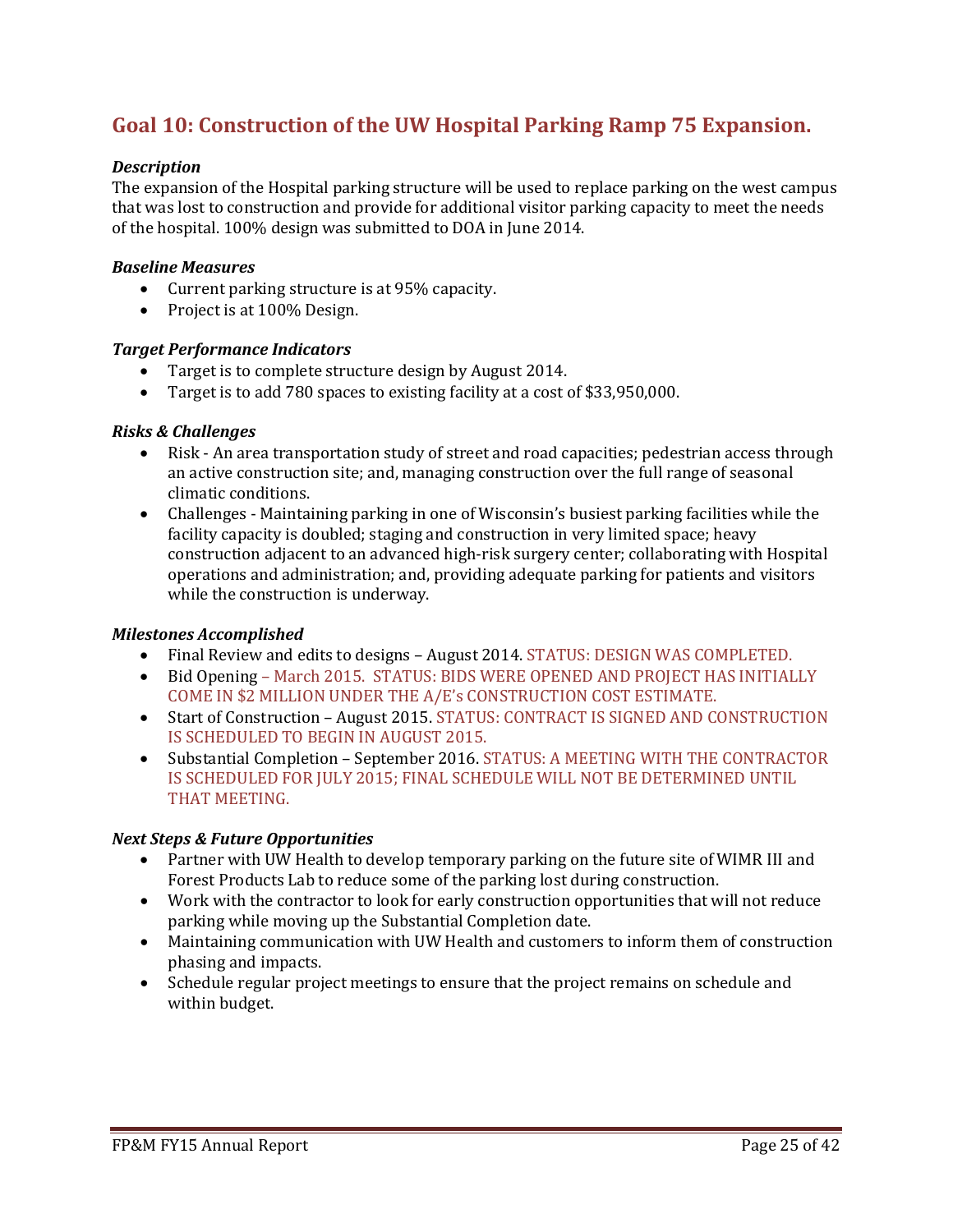# **Goal 10: Construction of the UW Hospital Parking Ramp 75 Expansion.**

### *Description*

The expansion of the Hospital parking structure will be used to replace parking on the west campus that was lost to construction and provide for additional visitor parking capacity to meet the needs of the hospital. 100% design was submitted to DOA in June 2014.

#### *Baseline Measures*

- Current parking structure is at 95% capacity.
- Project is at 100% Design.

#### *Target Performance Indicators*

- Target is to complete structure design by August 2014.
- Target is to add 780 spaces to existing facility at a cost of \$33,950,000.

#### *Risks & Challenges*

- Risk An area transportation study of street and road capacities; pedestrian access through an active construction site; and, managing construction over the full range of seasonal climatic conditions.
- Challenges Maintaining parking in one of Wisconsin's busiest parking facilities while the facility capacity is doubled; staging and construction in very limited space; heavy construction adjacent to an advanced high-risk surgery center; collaborating with Hospital operations and administration; and, providing adequate parking for patients and visitors while the construction is underway.

#### *Milestones Accomplished*

- Final Review and edits to designs August 2014. STATUS: DESIGN WAS COMPLETED.
- Bid Opening March 2015. STATUS: BIDS WERE OPENED AND PROJECT HAS INITIALLY COME IN \$2 MILLION UNDER THE A/E's CONSTRUCTION COST ESTIMATE.
- Start of Construction August 2015. STATUS: CONTRACT IS SIGNED AND CONSTRUCTION IS SCHEDULED TO BEGIN IN AUGUST 2015.
- Substantial Completion September 2016. STATUS: A MEETING WITH THE CONTRACTOR IS SCHEDULED FOR JULY 2015; FINAL SCHEDULE WILL NOT BE DETERMINED UNTIL THAT MEETING.

#### *Next Steps & Future Opportunities*

- Partner with UW Health to develop temporary parking on the future site of WIMR III and Forest Products Lab to reduce some of the parking lost during construction.
- Work with the contractor to look for early construction opportunities that will not reduce parking while moving up the Substantial Completion date.
- Maintaining communication with UW Health and customers to inform them of construction phasing and impacts.
- Schedule regular project meetings to ensure that the project remains on schedule and within budget.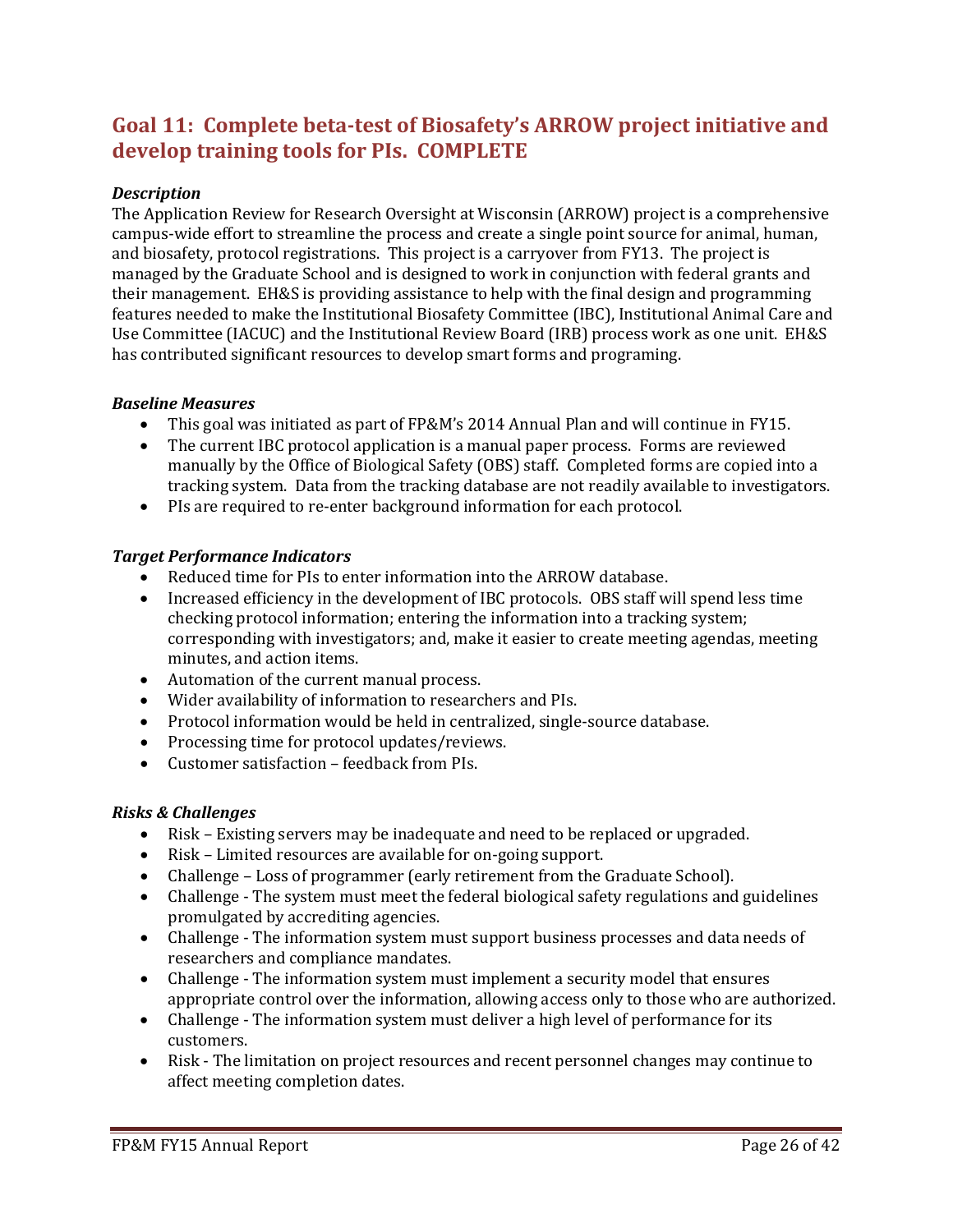# **Goal 11: Complete beta-test of Biosafety's ARROW project initiative and develop training tools for PIs. COMPLETE**

# *Description*

The Application Review for Research Oversight at Wisconsin (ARROW) project is a comprehensive campus-wide effort to streamline the process and create a single point source for animal, human, and biosafety, protocol registrations. This project is a carryover from FY13. The project is managed by the Graduate School and is designed to work in conjunction with federal grants and their management. EH&S is providing assistance to help with the final design and programming features needed to make the Institutional Biosafety Committee (IBC), Institutional Animal Care and Use Committee (IACUC) and the Institutional Review Board (IRB) process work as one unit. EH&S has contributed significant resources to develop smart forms and programing.

# *Baseline Measures*

- This goal was initiated as part of FP&M's 2014 Annual Plan and will continue in FY15.
- The current IBC protocol application is a manual paper process. Forms are reviewed manually by the Office of Biological Safety (OBS) staff. Completed forms are copied into a tracking system. Data from the tracking database are not readily available to investigators.
- PIs are required to re-enter background information for each protocol.

# *Target Performance Indicators*

- Reduced time for PIs to enter information into the ARROW database.
- Increased efficiency in the development of IBC protocols. OBS staff will spend less time checking protocol information; entering the information into a tracking system; corresponding with investigators; and, make it easier to create meeting agendas, meeting minutes, and action items.
- Automation of the current manual process.
- Wider availability of information to researchers and PIs.
- Protocol information would be held in centralized, single-source database.
- Processing time for protocol updates/reviews.
- Customer satisfaction feedback from PIs.

# *Risks & Challenges*

- Risk Existing servers may be inadequate and need to be replaced or upgraded.
- Risk Limited resources are available for on-going support.
- Challenge Loss of programmer (early retirement from the Graduate School).
- Challenge The system must meet the federal biological safety regulations and guidelines promulgated by accrediting agencies.
- Challenge The information system must support business processes and data needs of researchers and compliance mandates.
- Challenge The information system must implement a security model that ensures appropriate control over the information, allowing access only to those who are authorized.
- Challenge The information system must deliver a high level of performance for its customers.
- Risk The limitation on project resources and recent personnel changes may continue to affect meeting completion dates.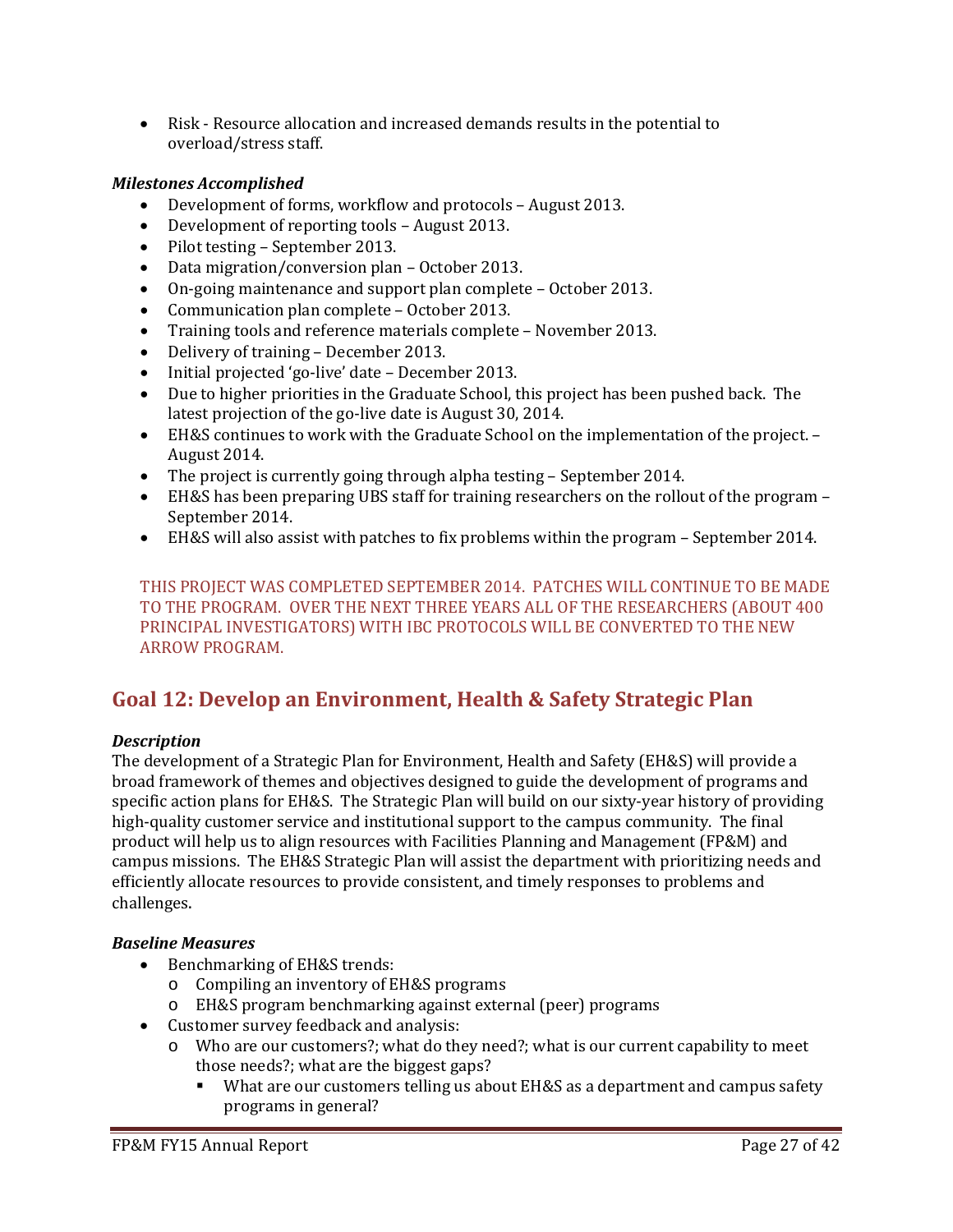• Risk - Resource allocation and increased demands results in the potential to overload/stress staff.

# *Milestones Accomplished*

- Development of forms, workflow and protocols August 2013.
- Development of reporting tools August 2013.
- Pilot testing September 2013.
- Data migration/conversion plan October 2013.
- On-going maintenance and support plan complete October 2013.
- Communication plan complete October 2013.
- Training tools and reference materials complete November 2013.
- Delivery of training December 2013.
- Initial projected 'go-live' date December 2013.
- Due to higher priorities in the Graduate School, this project has been pushed back. The latest projection of the go-live date is August 30, 2014.
- EH&S continues to work with the Graduate School on the implementation of the project. August 2014.
- The project is currently going through alpha testing September 2014.
- EH&S has been preparing UBS staff for training researchers on the rollout of the program September 2014.
- EH&S will also assist with patches to fix problems within the program September 2014.

THIS PROJECT WAS COMPLETED SEPTEMBER 2014. PATCHES WILL CONTINUE TO BE MADE TO THE PROGRAM. OVER THE NEXT THREE YEARS ALL OF THE RESEARCHERS (ABOUT 400 PRINCIPAL INVESTIGATORS) WITH IBC PROTOCOLS WILL BE CONVERTED TO THE NEW ARROW PROGRAM.

# **Goal 12: Develop an Environment, Health & Safety Strategic Plan**

# *Description*

The development of a Strategic Plan for Environment, Health and Safety (EH&S) will provide a broad framework of themes and objectives designed to guide the development of programs and specific action plans for EH&S. The Strategic Plan will build on our sixty-year history of providing high-quality customer service and institutional support to the campus community. The final product will help us to align resources with Facilities Planning and Management (FP&M) and campus missions. The EH&S Strategic Plan will assist the department with prioritizing needs and efficiently allocate resources to provide consistent, and timely responses to problems and challenges.

# *Baseline Measures*

- Benchmarking of EH&S trends:
	- o Compiling an inventory of EH&S programs
	- o EH&S program benchmarking against external (peer) programs
- Customer survey feedback and analysis:
	- o Who are our customers?; what do they need?; what is our current capability to meet those needs?; what are the biggest gaps?
		- What are our customers telling us about EH&S as a department and campus safety programs in general?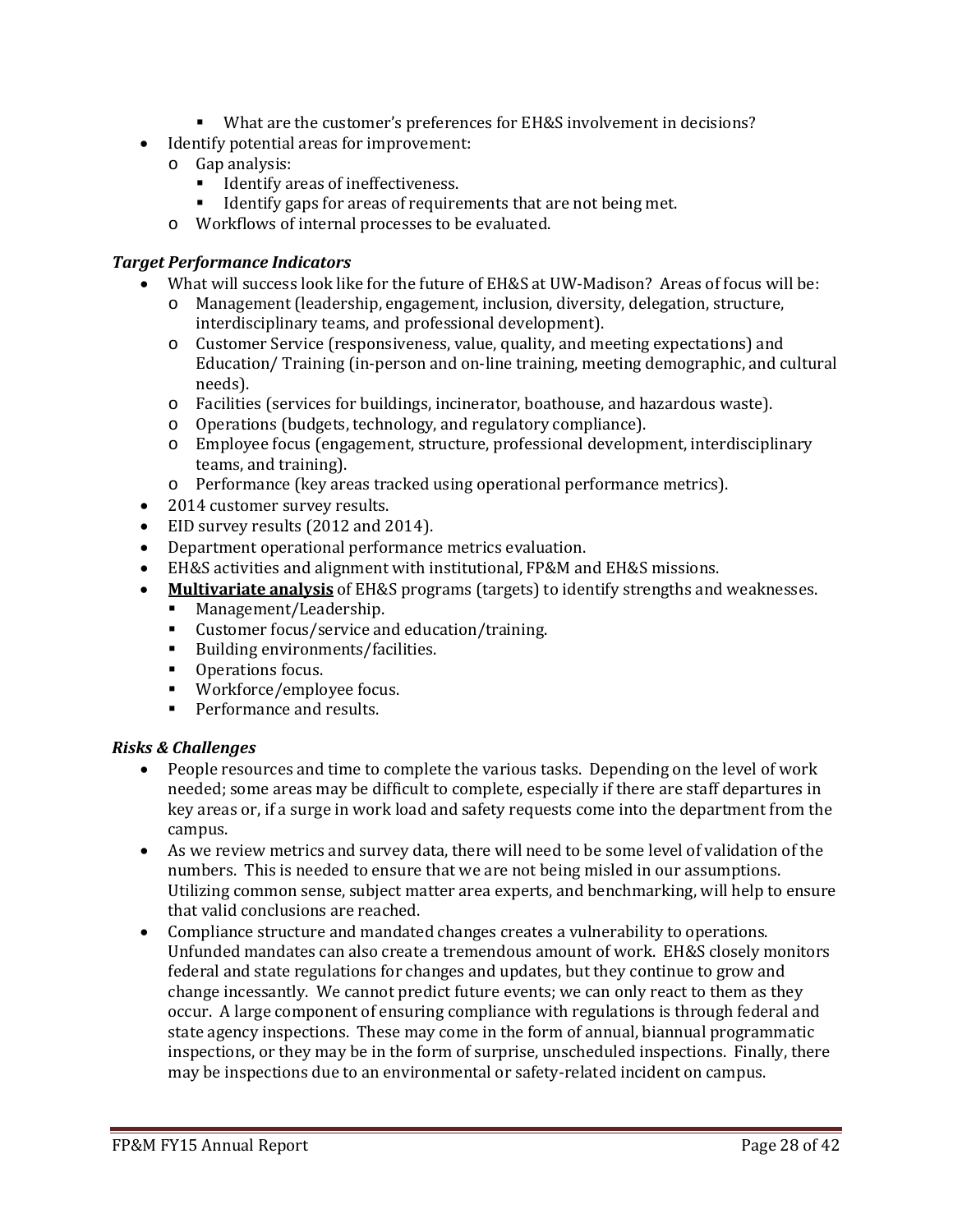- What are the customer's preferences for EH&S involvement in decisions?
- Identify potential areas for improvement:
	- o Gap analysis:
		- Identify areas of ineffectiveness.<br>■ Identify gaps for areas of require
		- Identify gaps for areas of requirements that are not being met.
	- o Workflows of internal processes to be evaluated.

#### *Target Performance Indicators*

- What will success look like for the future of EH&S at UW-Madison? Areas of focus will be:
	- o Management (leadership, engagement, inclusion, diversity, delegation, structure, interdisciplinary teams, and professional development).
	- o Customer Service (responsiveness, value, quality, and meeting expectations) and Education/ Training (in-person and on-line training, meeting demographic, and cultural needs).
	- o Facilities (services for buildings, incinerator, boathouse, and hazardous waste).
	- o Operations (budgets, technology, and regulatory compliance).
	- o Employee focus (engagement, structure, professional development, interdisciplinary teams, and training).
	- o Performance (key areas tracked using operational performance metrics).
- 2014 customer survey results.
- EID survey results (2012 and 2014).
- Department operational performance metrics evaluation.
- EH&S activities and alignment with institutional, FP&M and EH&S missions.
- **Multivariate analysis** of EH&S programs (targets) to identify strengths and weaknesses.
	- Management/Leadership.
	- Customer focus/service and education/training.
	- Building environments/facilities.
	- **•** Operations focus.
	- Workforce/employee focus.
	- **Performance and results.**

#### *Risks & Challenges*

- People resources and time to complete the various tasks. Depending on the level of work needed; some areas may be difficult to complete, especially if there are staff departures in key areas or, if a surge in work load and safety requests come into the department from the campus.
- As we review metrics and survey data, there will need to be some level of validation of the numbers. This is needed to ensure that we are not being misled in our assumptions. Utilizing common sense, subject matter area experts, and benchmarking, will help to ensure that valid conclusions are reached.
- Compliance structure and mandated changes creates a vulnerability to operations. Unfunded mandates can also create a tremendous amount of work. EH&S closely monitors federal and state regulations for changes and updates, but they continue to grow and change incessantly. We cannot predict future events; we can only react to them as they occur. A large component of ensuring compliance with regulations is through federal and state agency inspections. These may come in the form of annual, biannual programmatic inspections, or they may be in the form of surprise, unscheduled inspections. Finally, there may be inspections due to an environmental or safety-related incident on campus.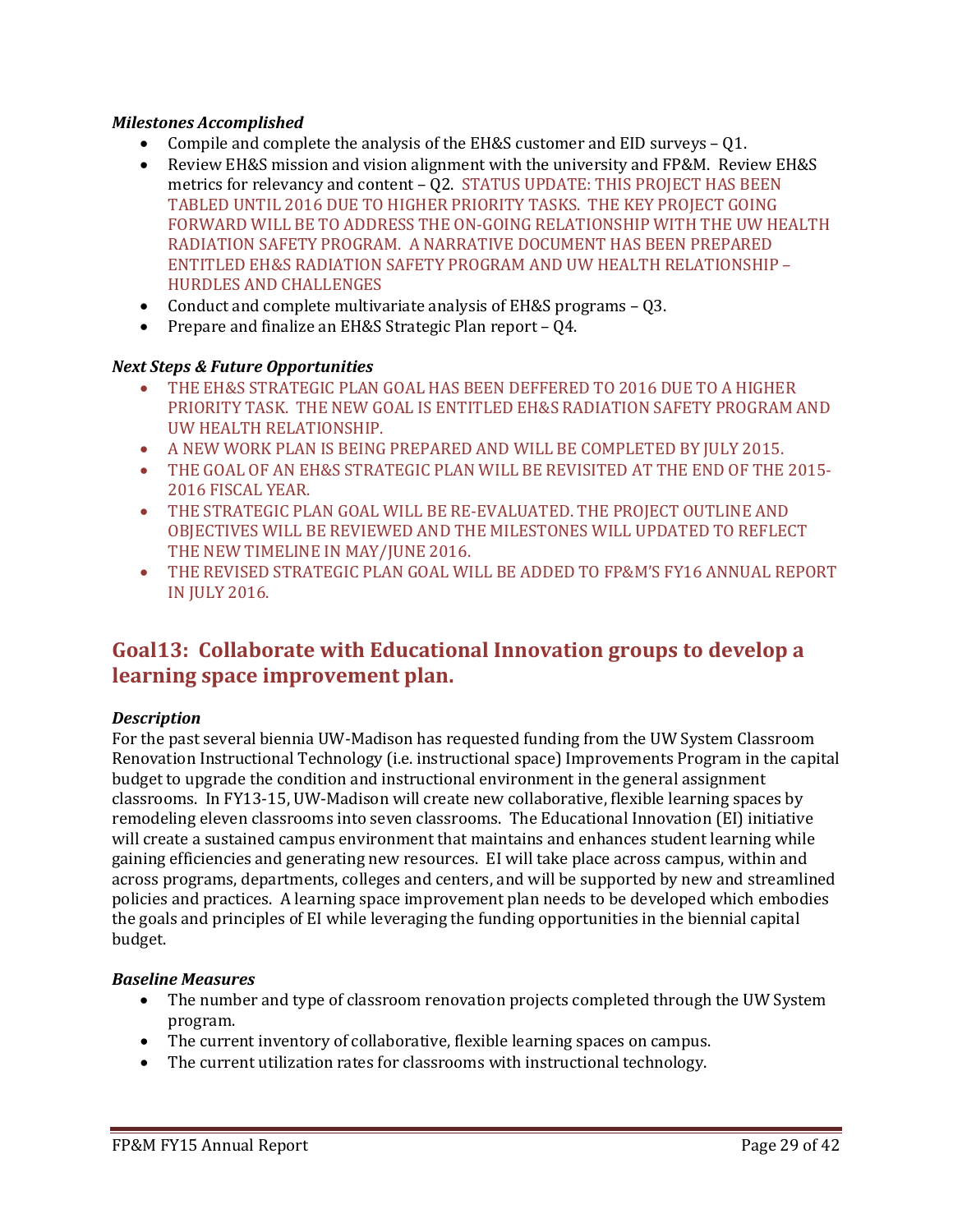# *Milestones Accomplished*

- Compile and complete the analysis of the EH&S customer and EID surveys Q1.
- Review EH&S mission and vision alignment with the university and FP&M. Review EH&S metrics for relevancy and content – Q2. STATUS UPDATE: THIS PROJECT HAS BEEN TABLED UNTIL 2016 DUE TO HIGHER PRIORITY TASKS. THE KEY PROJECT GOING FORWARD WILL BE TO ADDRESS THE ON-GOING RELATIONSHIP WITH THE UW HEALTH RADIATION SAFETY PROGRAM. A NARRATIVE DOCUMENT HAS BEEN PREPARED ENTITLED EH&S RADIATION SAFETY PROGRAM AND UW HEALTH RELATIONSHIP – HURDLES AND CHALLENGES
- Conduct and complete multivariate analysis of EH&S programs Q3.
- Prepare and finalize an EH&S Strategic Plan report Q4.

# *Next Steps & Future Opportunities*

- THE EH&S STRATEGIC PLAN GOAL HAS BEEN DEFFERED TO 2016 DUE TO A HIGHER PRIORITY TASK. THE NEW GOAL IS ENTITLED EH&S RADIATION SAFETY PROGRAM AND UW HEALTH RELATIONSHIP.
- A NEW WORK PLAN IS BEING PREPARED AND WILL BE COMPLETED BY JULY 2015.
- THE GOAL OF AN EH&S STRATEGIC PLAN WILL BE REVISITED AT THE END OF THE 2015- 2016 FISCAL YEAR.
- THE STRATEGIC PLAN GOAL WILL BE RE-EVALUATED. THE PROJECT OUTLINE AND OBJECTIVES WILL BE REVIEWED AND THE MILESTONES WILL UPDATED TO REFLECT THE NEW TIMELINE IN MAY/JUNE 2016.
- THE REVISED STRATEGIC PLAN GOAL WILL BE ADDED TO FP&M'S FY16 ANNUAL REPORT IN JULY 2016.

# **Goal13: Collaborate with Educational Innovation groups to develop a learning space improvement plan.**

# *Description*

For the past several biennia UW-Madison has requested funding from the UW System Classroom Renovation Instructional Technology (i.e. instructional space) Improvements Program in the capital budget to upgrade the condition and instructional environment in the general assignment classrooms. In FY13-15, UW-Madison will create new collaborative, flexible learning spaces by remodeling eleven classrooms into seven classrooms. The Educational Innovation (EI) initiative will create a sustained campus environment that maintains and enhances student learning while gaining efficiencies and generating new resources. EI will take place across campus, within and across programs, departments, colleges and centers, and will be supported by new and streamlined policies and practices. A learning space improvement plan needs to be developed which embodies the goals and principles of EI while leveraging the funding opportunities in the biennial capital budget.

# *Baseline Measures*

- The number and type of classroom renovation projects completed through the UW System program.
- The current inventory of collaborative, flexible learning spaces on campus.
- The current utilization rates for classrooms with instructional technology.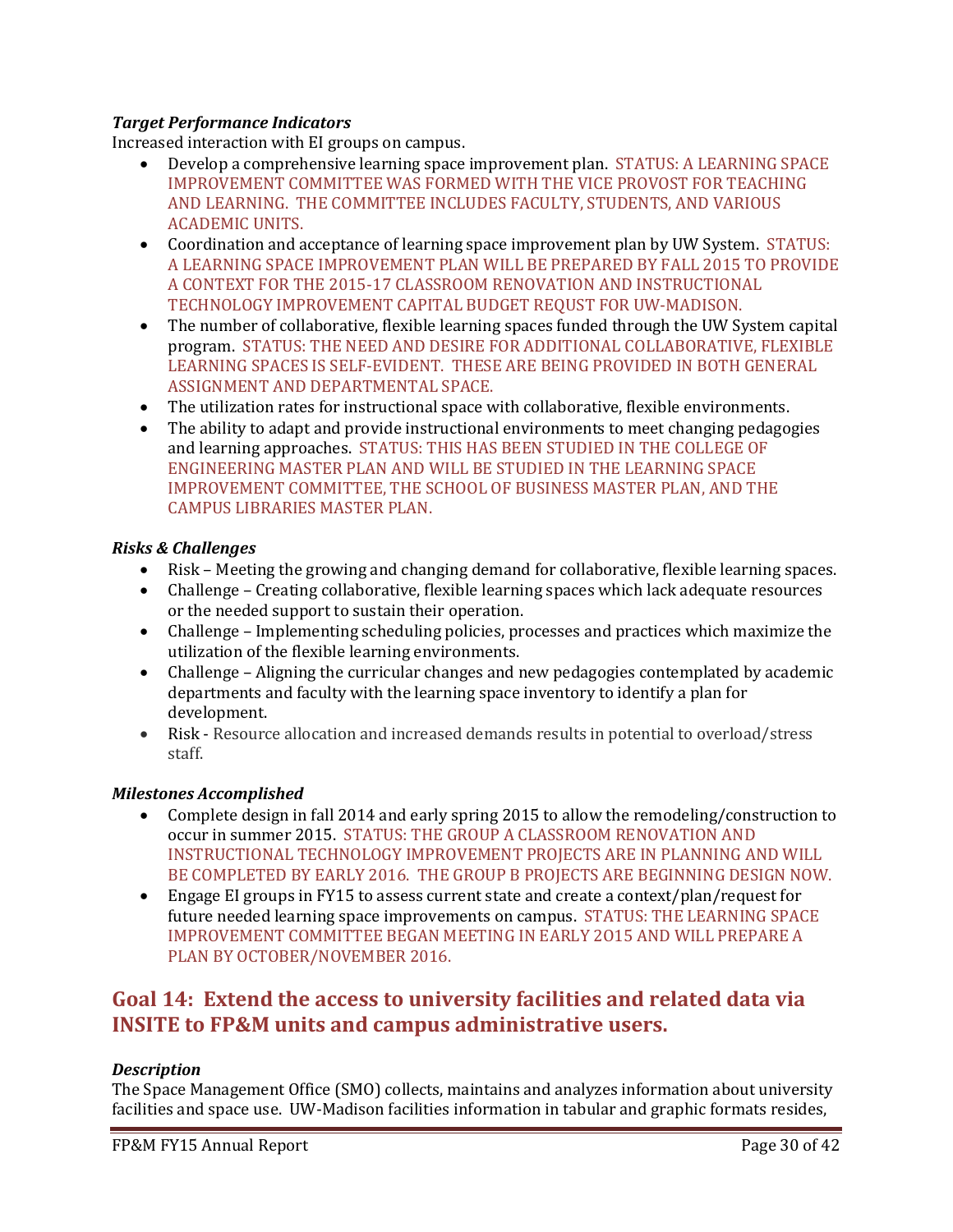# *Target Performance Indicators*

Increased interaction with EI groups on campus.

- Develop a comprehensive learning space improvement plan. STATUS: A LEARNING SPACE IMPROVEMENT COMMITTEE WAS FORMED WITH THE VICE PROVOST FOR TEACHING AND LEARNING. THE COMMITTEE INCLUDES FACULTY, STUDENTS, AND VARIOUS ACADEMIC UNITS.
- Coordination and acceptance of learning space improvement plan by UW System. STATUS: A LEARNING SPACE IMPROVEMENT PLAN WILL BE PREPARED BY FALL 2015 TO PROVIDE A CONTEXT FOR THE 2015-17 CLASSROOM RENOVATION AND INSTRUCTIONAL TECHNOLOGY IMPROVEMENT CAPITAL BUDGET REQUST FOR UW-MADISON.
- The number of collaborative, flexible learning spaces funded through the UW System capital program. STATUS: THE NEED AND DESIRE FOR ADDITIONAL COLLABORATIVE, FLEXIBLE LEARNING SPACES IS SELF-EVIDENT. THESE ARE BEING PROVIDED IN BOTH GENERAL ASSIGNMENT AND DEPARTMENTAL SPACE.
- The utilization rates for instructional space with collaborative, flexible environments.
- The ability to adapt and provide instructional environments to meet changing pedagogies and learning approaches. STATUS: THIS HAS BEEN STUDIED IN THE COLLEGE OF ENGINEERING MASTER PLAN AND WILL BE STUDIED IN THE LEARNING SPACE IMPROVEMENT COMMITTEE, THE SCHOOL OF BUSINESS MASTER PLAN, AND THE CAMPUS LIBRARIES MASTER PLAN.

# *Risks & Challenges*

- Risk Meeting the growing and changing demand for collaborative, flexible learning spaces.
- Challenge Creating collaborative, flexible learning spaces which lack adequate resources or the needed support to sustain their operation.
- Challenge Implementing scheduling policies, processes and practices which maximize the utilization of the flexible learning environments.
- Challenge Aligning the curricular changes and new pedagogies contemplated by academic departments and faculty with the learning space inventory to identify a plan for development.
- Risk Resource allocation and increased demands results in potential to overload/stress staff.

# *Milestones Accomplished*

- Complete design in fall 2014 and early spring 2015 to allow the remodeling/construction to occur in summer 2015. STATUS: THE GROUP A CLASSROOM RENOVATION AND INSTRUCTIONAL TECHNOLOGY IMPROVEMENT PROJECTS ARE IN PLANNING AND WILL BE COMPLETED BY EARLY 2016. THE GROUP B PROJECTS ARE BEGINNING DESIGN NOW.
- Engage EI groups in FY15 to assess current state and create a context/plan/request for future needed learning space improvements on campus. STATUS: THE LEARNING SPACE IMPROVEMENT COMMITTEE BEGAN MEETING IN EARLY 2O15 AND WILL PREPARE A PLAN BY OCTOBER/NOVEMBER 2016.

# **Goal 14: Extend the access to university facilities and related data via INSITE to FP&M units and campus administrative users.**

# *Description*

The Space Management Office (SMO) collects, maintains and analyzes information about university facilities and space use. UW-Madison facilities information in tabular and graphic formats resides,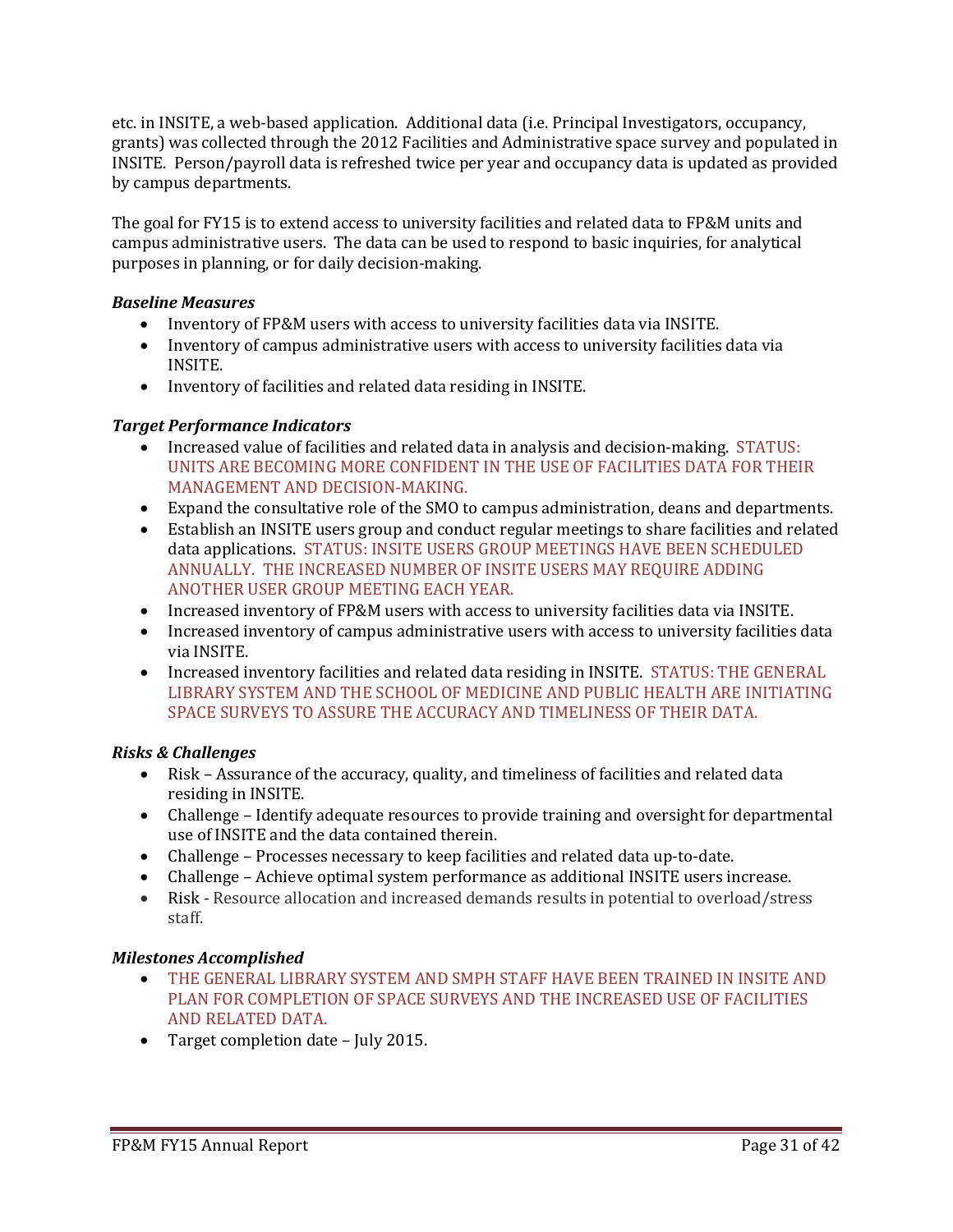etc. in INSITE, a web-based application. Additional data (i.e. Principal Investigators, occupancy, grants) was collected through the 2012 Facilities and Administrative space survey and populated in INSITE. Person/payroll data is refreshed twice per year and occupancy data is updated as provided by campus departments.

The goal for FY15 is to extend access to university facilities and related data to FP&M units and campus administrative users. The data can be used to respond to basic inquiries, for analytical purposes in planning, or for daily decision-making.

# *Baseline Measures*

- Inventory of FP&M users with access to university facilities data via INSITE.
- Inventory of campus administrative users with access to university facilities data via INSITE.
- Inventory of facilities and related data residing in INSITE.

# *Target Performance Indicators*

- Increased value of facilities and related data in analysis and decision-making. STATUS: UNITS ARE BECOMING MORE CONFIDENT IN THE USE OF FACILITIES DATA FOR THEIR MANAGEMENT AND DECISION-MAKING.
- Expand the consultative role of the SMO to campus administration, deans and departments.
- Establish an INSITE users group and conduct regular meetings to share facilities and related data applications. STATUS: INSITE USERS GROUP MEETINGS HAVE BEEN SCHEDULED ANNUALLY. THE INCREASED NUMBER OF INSITE USERS MAY REQUIRE ADDING ANOTHER USER GROUP MEETING EACH YEAR.
- Increased inventory of FP&M users with access to university facilities data via INSITE.
- Increased inventory of campus administrative users with access to university facilities data via INSITE.
- Increased inventory facilities and related data residing in INSITE. STATUS: THE GENERAL LIBRARY SYSTEM AND THE SCHOOL OF MEDICINE AND PUBLIC HEALTH ARE INITIATING SPACE SURVEYS TO ASSURE THE ACCURACY AND TIMELINESS OF THEIR DATA.

# *Risks & Challenges*

- Risk Assurance of the accuracy, quality, and timeliness of facilities and related data residing in INSITE.
- Challenge Identify adequate resources to provide training and oversight for departmental use of INSITE and the data contained therein.
- Challenge Processes necessary to keep facilities and related data up-to-date.
- Challenge Achieve optimal system performance as additional INSITE users increase.
- Risk Resource allocation and increased demands results in potential to overload/stress staff.

# *Milestones Accomplished*

- THE GENERAL LIBRARY SYSTEM AND SMPH STAFF HAVE BEEN TRAINED IN INSITE AND PLAN FOR COMPLETION OF SPACE SURVEYS AND THE INCREASED USE OF FACILITIES AND RELATED DATA.
- Target completion date July 2015.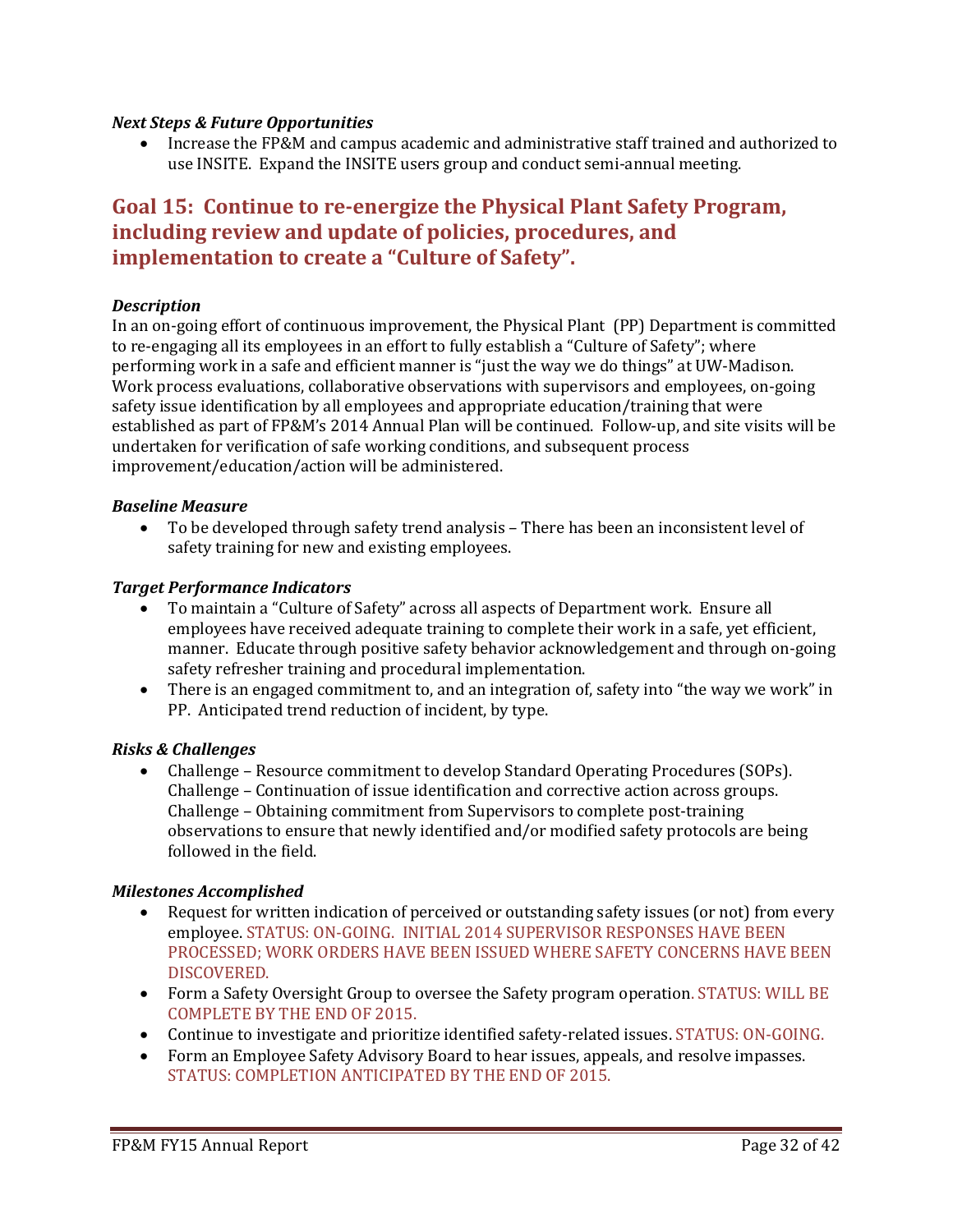#### *Next Steps & Future Opportunities*

• Increase the FP&M and campus academic and administrative staff trained and authorized to use INSITE. Expand the INSITE users group and conduct semi-annual meeting.

# **Goal 15: Continue to re-energize the Physical Plant Safety Program, including review and update of policies, procedures, and implementation to create a "Culture of Safety".**

#### *Description*

In an on-going effort of continuous improvement, the Physical Plant (PP) Department is committed to re-engaging all its employees in an effort to fully establish a "Culture of Safety"; where performing work in a safe and efficient manner is "just the way we do things" at UW-Madison. Work process evaluations, collaborative observations with supervisors and employees, on-going safety issue identification by all employees and appropriate education/training that were established as part of FP&M's 2014 Annual Plan will be continued. Follow-up, and site visits will be undertaken for verification of safe working conditions, and subsequent process improvement/education/action will be administered.

#### *Baseline Measure*

• To be developed through safety trend analysis – There has been an inconsistent level of safety training for new and existing employees.

#### *Target Performance Indicators*

- To maintain a "Culture of Safety" across all aspects of Department work. Ensure all employees have received adequate training to complete their work in a safe, yet efficient, manner. Educate through positive safety behavior acknowledgement and through on-going safety refresher training and procedural implementation.
- There is an engaged commitment to, and an integration of, safety into "the way we work" in PP. Anticipated trend reduction of incident, by type.

# *Risks & Challenges*

• Challenge – Resource commitment to develop Standard Operating Procedures (SOPs). Challenge – Continuation of issue identification and corrective action across groups. Challenge – Obtaining commitment from Supervisors to complete post-training observations to ensure that newly identified and/or modified safety protocols are being followed in the field.

# *Milestones Accomplished*

- Request for written indication of perceived or outstanding safety issues (or not) from every employee. STATUS: ON-GOING. INITIAL 2014 SUPERVISOR RESPONSES HAVE BEEN PROCESSED; WORK ORDERS HAVE BEEN ISSUED WHERE SAFETY CONCERNS HAVE BEEN DISCOVERED.
- Form a Safety Oversight Group to oversee the Safety program operation. STATUS: WILL BE COMPLETE BY THE END OF 2015.
- Continue to investigate and prioritize identified safety-related issues. STATUS: ON-GOING.
- Form an Employee Safety Advisory Board to hear issues, appeals, and resolve impasses. STATUS: COMPLETION ANTICIPATED BY THE END OF 2015.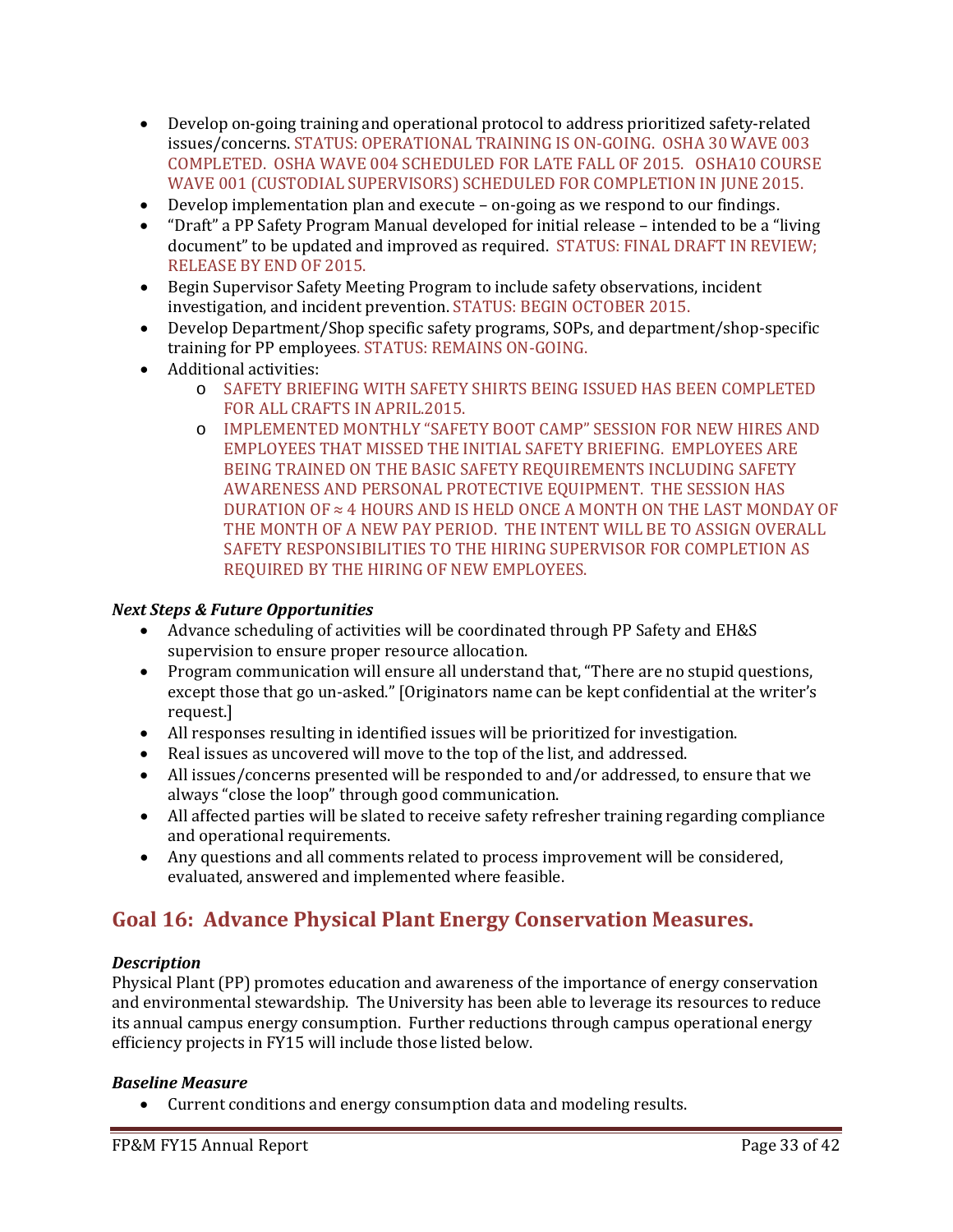- Develop on-going training and operational protocol to address prioritized safety-related issues/concerns. STATUS: OPERATIONAL TRAINING IS ON-GOING. OSHA 30 WAVE 003 COMPLETED. OSHA WAVE 004 SCHEDULED FOR LATE FALL OF 2015. OSHA10 COURSE WAVE 001 (CUSTODIAL SUPERVISORS) SCHEDULED FOR COMPLETION IN JUNE 2015.
- Develop implementation plan and execute on-going as we respond to our findings.
- "Draft" a PP Safety Program Manual developed for initial release intended to be a "living document" to be updated and improved as required. STATUS: FINAL DRAFT IN REVIEW; RELEASE BY END OF 2015.
- Begin Supervisor Safety Meeting Program to include safety observations, incident investigation, and incident prevention. STATUS: BEGIN OCTOBER 2015.
- Develop Department/Shop specific safety programs, SOPs, and department/shop-specific training for PP employees. STATUS: REMAINS ON-GOING.
- Additional activities:
	- o SAFETY BRIEFING WITH SAFETY SHIRTS BEING ISSUED HAS BEEN COMPLETED FOR ALL CRAFTS IN APRIL.2015.
	- o IMPLEMENTED MONTHLY "SAFETY BOOT CAMP" SESSION FOR NEW HIRES AND EMPLOYEES THAT MISSED THE INITIAL SAFETY BRIEFING. EMPLOYEES ARE BEING TRAINED ON THE BASIC SAFETY REQUIREMENTS INCLUDING SAFETY AWARENESS AND PERSONAL PROTECTIVE EQUIPMENT. THE SESSION HAS DURATION OF ≈ 4 HOURS AND IS HELD ONCE A MONTH ON THE LAST MONDAY OF THE MONTH OF A NEW PAY PERIOD. THE INTENT WILL BE TO ASSIGN OVERALL SAFETY RESPONSIBILITIES TO THE HIRING SUPERVISOR FOR COMPLETION AS REQUIRED BY THE HIRING OF NEW EMPLOYEES.

# *Next Steps & Future Opportunities*

- Advance scheduling of activities will be coordinated through PP Safety and EH&S supervision to ensure proper resource allocation.
- Program communication will ensure all understand that, "There are no stupid questions, except those that go un-asked." [Originators name can be kept confidential at the writer's request.]
- All responses resulting in identified issues will be prioritized for investigation.
- Real issues as uncovered will move to the top of the list, and addressed.
- All issues/concerns presented will be responded to and/or addressed, to ensure that we always "close the loop" through good communication.
- All affected parties will be slated to receive safety refresher training regarding compliance and operational requirements.
- Any questions and all comments related to process improvement will be considered, evaluated, answered and implemented where feasible.

# **Goal 16: Advance Physical Plant Energy Conservation Measures.**

# *Description*

Physical Plant (PP) promotes education and awareness of the importance of energy conservation and environmental stewardship. The University has been able to leverage its resources to reduce its annual campus energy consumption. Further reductions through campus operational energy efficiency projects in FY15 will include those listed below.

#### *Baseline Measure*

• Current conditions and energy consumption data and modeling results.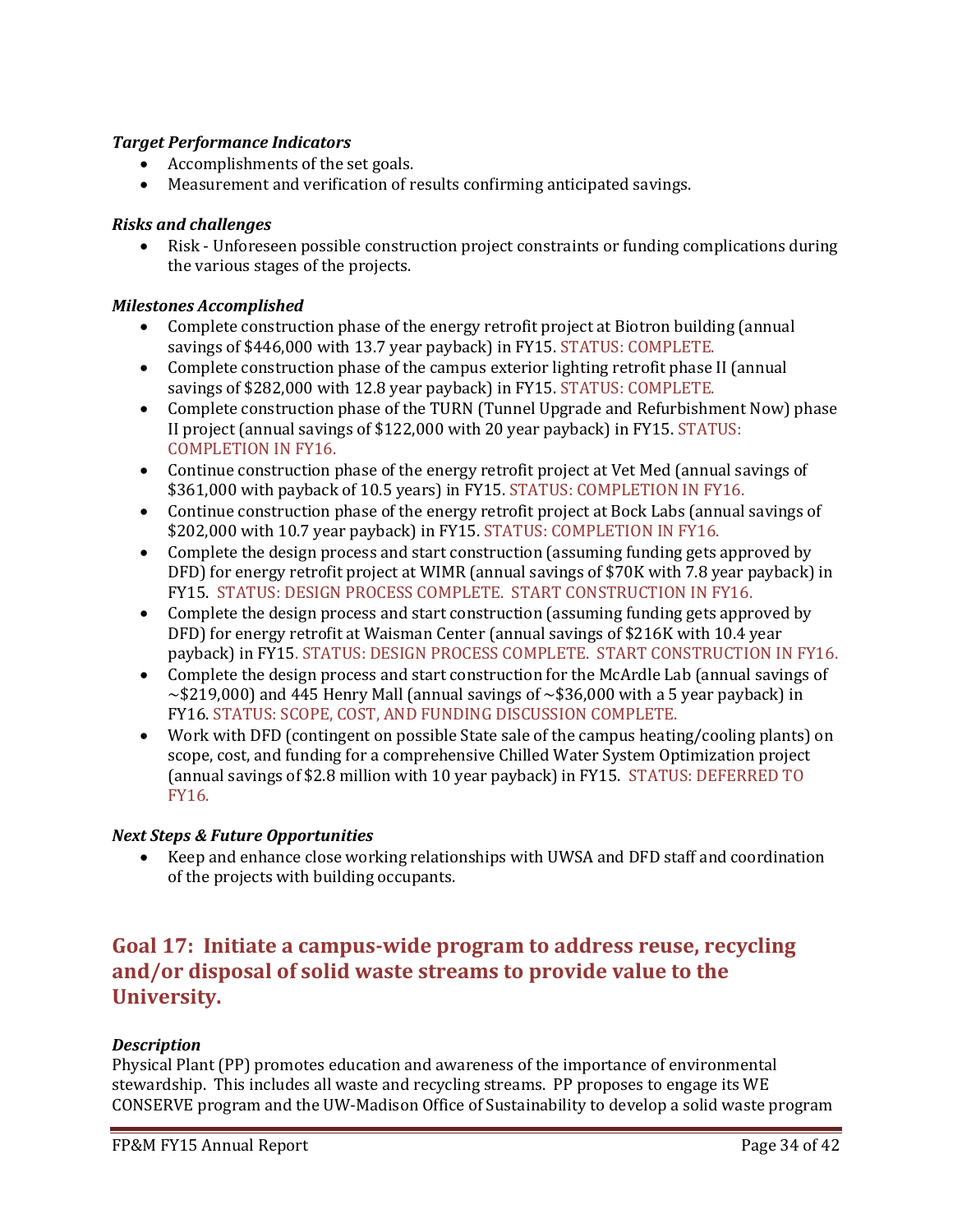# *Target Performance Indicators*

- Accomplishments of the set goals.
- Measurement and verification of results confirming anticipated savings.

# *Risks and challenges*

• Risk - Unforeseen possible construction project constraints or funding complications during the various stages of the projects.

# *Milestones Accomplished*

- Complete construction phase of the energy retrofit project at Biotron building (annual savings of \$446,000 with 13.7 year payback) in FY15. STATUS: COMPLETE.
- Complete construction phase of the campus exterior lighting retrofit phase II (annual savings of \$282,000 with 12.8 year payback) in FY15. STATUS: COMPLETE.
- Complete construction phase of the TURN (Tunnel Upgrade and Refurbishment Now) phase II project (annual savings of \$122,000 with 20 year payback) in FY15. STATUS: COMPLETION IN FY16.
- Continue construction phase of the energy retrofit project at Vet Med (annual savings of \$361,000 with payback of 10.5 years) in FY15. STATUS: COMPLETION IN FY16.
- Continue construction phase of the energy retrofit project at Bock Labs (annual savings of \$202,000 with 10.7 year payback) in FY15. STATUS: COMPLETION IN FY16.
- Complete the design process and start construction (assuming funding gets approved by DFD) for energy retrofit project at WIMR (annual savings of \$70K with 7.8 year payback) in FY15. STATUS: DESIGN PROCESS COMPLETE. START CONSTRUCTION IN FY16.
- Complete the design process and start construction (assuming funding gets approved by DFD) for energy retrofit at Waisman Center (annual savings of \$216K with 10.4 year payback) in FY15. STATUS: DESIGN PROCESS COMPLETE. START CONSTRUCTION IN FY16.
- Complete the design process and start construction for the McArdle Lab (annual savings of  $\sim$ \$219,000) and 445 Henry Mall (annual savings of  $\sim$ \$36,000 with a 5 year payback) in FY16. STATUS: SCOPE, COST, AND FUNDING DISCUSSION COMPLETE.
- Work with DFD (contingent on possible State sale of the campus heating/cooling plants) on scope, cost, and funding for a comprehensive Chilled Water System Optimization project (annual savings of \$2.8 million with 10 year payback) in FY15. STATUS: DEFERRED TO FY16.

# *Next Steps & Future Opportunities*

• Keep and enhance close working relationships with UWSA and DFD staff and coordination of the projects with building occupants.

# **Goal 17: Initiate a campus-wide program to address reuse, recycling and/or disposal of solid waste streams to provide value to the University.**

# *Description*

Physical Plant (PP) promotes education and awareness of the importance of environmental stewardship. This includes all waste and recycling streams. PP proposes to engage its WE CONSERVE program and the UW-Madison Office of Sustainability to develop a solid waste program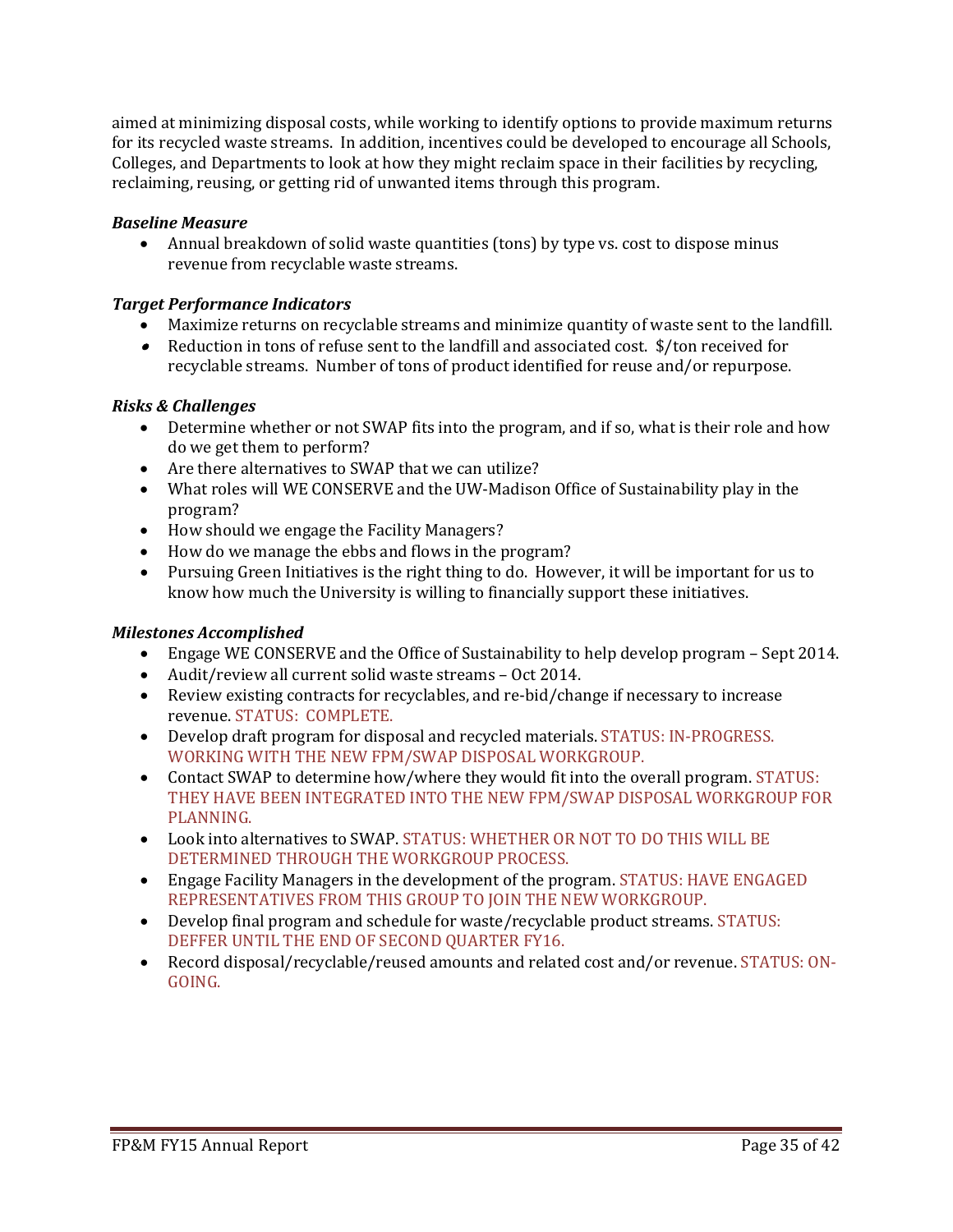aimed at minimizing disposal costs, while working to identify options to provide maximum returns for its recycled waste streams. In addition, incentives could be developed to encourage all Schools, Colleges, and Departments to look at how they might reclaim space in their facilities by recycling, reclaiming, reusing, or getting rid of unwanted items through this program.

# *Baseline Measure*

• Annual breakdown of solid waste quantities (tons) by type vs. cost to dispose minus revenue from recyclable waste streams.

# *Target Performance Indicators*

- Maximize returns on recyclable streams and minimize quantity of waste sent to the landfill.
- $\bullet$  Reduction in tons of refuse sent to the landfill and associated cost.  $\$/$  ton received for recyclable streams. Number of tons of product identified for reuse and/or repurpose.

# *Risks & Challenges*

- Determine whether or not SWAP fits into the program, and if so, what is their role and how do we get them to perform?
- Are there alternatives to SWAP that we can utilize?
- What roles will WE CONSERVE and the UW-Madison Office of Sustainability play in the program?
- How should we engage the Facility Managers?
- How do we manage the ebbs and flows in the program?
- Pursuing Green Initiatives is the right thing to do. However, it will be important for us to know how much the University is willing to financially support these initiatives.

# *Milestones Accomplished*

- Engage WE CONSERVE and the Office of Sustainability to help develop program Sept 2014.
- Audit/review all current solid waste streams Oct 2014.
- Review existing contracts for recyclables, and re-bid/change if necessary to increase revenue. STATUS: COMPLETE.
- Develop draft program for disposal and recycled materials. STATUS: IN-PROGRESS. WORKING WITH THE NEW FPM/SWAP DISPOSAL WORKGROUP.
- Contact SWAP to determine how/where they would fit into the overall program. STATUS: THEY HAVE BEEN INTEGRATED INTO THE NEW FPM/SWAP DISPOSAL WORKGROUP FOR PLANNING.
- Look into alternatives to SWAP. STATUS: WHETHER OR NOT TO DO THIS WILL BE DETERMINED THROUGH THE WORKGROUP PROCESS.
- Engage Facility Managers in the development of the program. STATUS: HAVE ENGAGED REPRESENTATIVES FROM THIS GROUP TO JOIN THE NEW WORKGROUP.
- Develop final program and schedule for waste/recyclable product streams. STATUS: DEFFER UNTIL THE END OF SECOND QUARTER FY16.
- Record disposal/recyclable/reused amounts and related cost and/or revenue. STATUS: ON-GOING.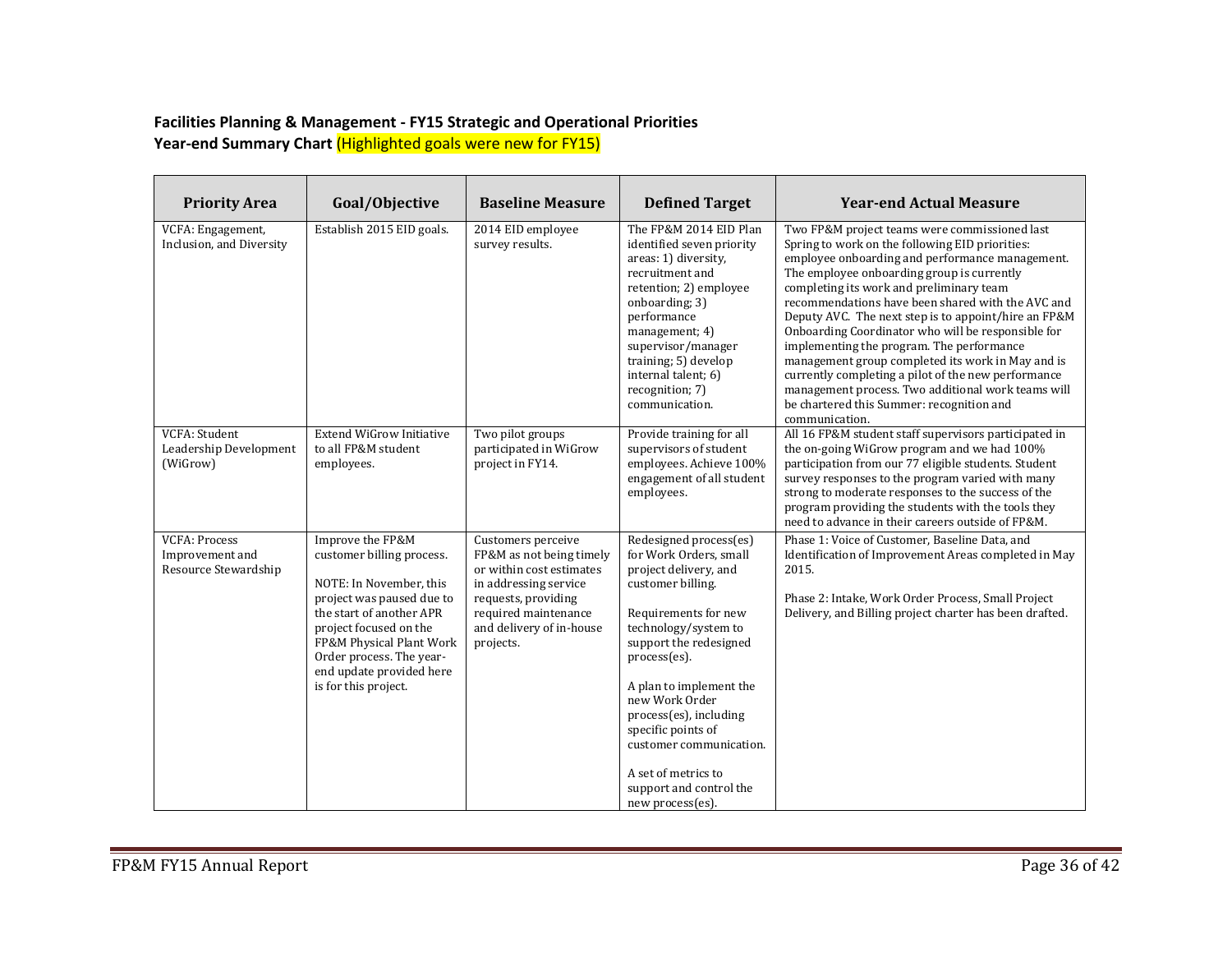### **Facilities Planning & Management - FY15 Strategic and Operational Priorities Year-end Summary Chart** (Highlighted goals were new for FY15)

| <b>Priority Area</b>                                            | Goal/Objective                                                                                                                                                                                                                                                          | <b>Baseline Measure</b>                                                                                                                                                                     | <b>Defined Target</b>                                                                                                                                                                                                                                                                                                                                                                  | <b>Year-end Actual Measure</b>                                                                                                                                                                                                                                                                                                                                                                                                                                                                                                                                                                                                                                                                 |
|-----------------------------------------------------------------|-------------------------------------------------------------------------------------------------------------------------------------------------------------------------------------------------------------------------------------------------------------------------|---------------------------------------------------------------------------------------------------------------------------------------------------------------------------------------------|----------------------------------------------------------------------------------------------------------------------------------------------------------------------------------------------------------------------------------------------------------------------------------------------------------------------------------------------------------------------------------------|------------------------------------------------------------------------------------------------------------------------------------------------------------------------------------------------------------------------------------------------------------------------------------------------------------------------------------------------------------------------------------------------------------------------------------------------------------------------------------------------------------------------------------------------------------------------------------------------------------------------------------------------------------------------------------------------|
| VCFA: Engagement,<br>Inclusion, and Diversity                   | Establish 2015 EID goals.                                                                                                                                                                                                                                               | 2014 EID employee<br>survey results.                                                                                                                                                        | The FP&M 2014 EID Plan<br>identified seven priority<br>areas: 1) diversity,<br>recruitment and<br>retention; 2) employee<br>onboarding; 3)<br>performance<br>management; 4)<br>supervisor/manager<br>training; 5) develop<br>internal talent; 6)<br>recognition; 7)<br>communication.                                                                                                  | Two FP&M project teams were commissioned last<br>Spring to work on the following EID priorities:<br>employee onboarding and performance management.<br>The employee onboarding group is currently<br>completing its work and preliminary team<br>recommendations have been shared with the AVC and<br>Deputy AVC. The next step is to appoint/hire an FP&M<br>Onboarding Coordinator who will be responsible for<br>implementing the program. The performance<br>management group completed its work in May and is<br>currently completing a pilot of the new performance<br>management process. Two additional work teams will<br>be chartered this Summer: recognition and<br>communication. |
| VCFA: Student<br>Leadership Development<br>(WiGrow)             | <b>Extend WiGrow Initiative</b><br>to all FP&M student<br>employees.                                                                                                                                                                                                    | Two pilot groups<br>participated in WiGrow<br>project in FY14.                                                                                                                              | Provide training for all<br>supervisors of student<br>employees. Achieve 100%<br>engagement of all student<br>employees.                                                                                                                                                                                                                                                               | All 16 FP&M student staff supervisors participated in<br>the on-going WiGrow program and we had 100%<br>participation from our 77 eligible students. Student<br>survey responses to the program varied with many<br>strong to moderate responses to the success of the<br>program providing the students with the tools they<br>need to advance in their careers outside of FP&M.                                                                                                                                                                                                                                                                                                              |
| <b>VCFA: Process</b><br>Improvement and<br>Resource Stewardship | Improve the FP&M<br>customer billing process.<br>NOTE: In November, this<br>project was paused due to<br>the start of another APR<br>project focused on the<br>FP&M Physical Plant Work<br>Order process. The year-<br>end update provided here<br>is for this project. | Customers perceive<br>FP&M as not being timely<br>or within cost estimates<br>in addressing service<br>requests, providing<br>required maintenance<br>and delivery of in-house<br>projects. | Redesigned process(es)<br>for Work Orders, small<br>project delivery, and<br>customer billing.<br>Requirements for new<br>technology/system to<br>support the redesigned<br>process(es).<br>A plan to implement the<br>new Work Order<br>process(es), including<br>specific points of<br>customer communication.<br>A set of metrics to<br>support and control the<br>new process(es). | Phase 1: Voice of Customer, Baseline Data, and<br>Identification of Improvement Areas completed in May<br>2015.<br>Phase 2: Intake, Work Order Process, Small Project<br>Delivery, and Billing project charter has been drafted.                                                                                                                                                                                                                                                                                                                                                                                                                                                               |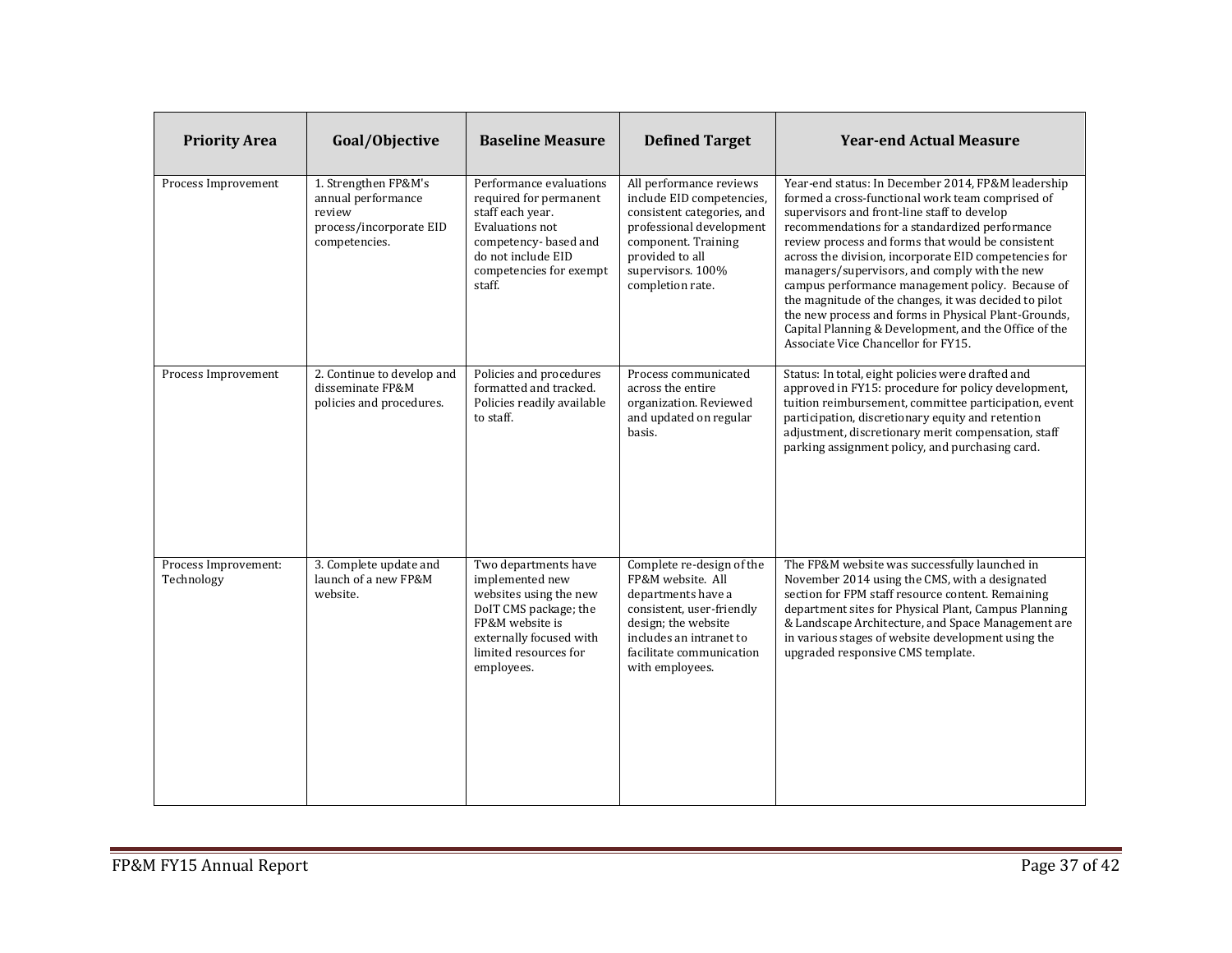| <b>Priority Area</b>               | Goal/Objective                                                                                   | <b>Baseline Measure</b>                                                                                                                                                         | <b>Defined Target</b>                                                                                                                                                                              | <b>Year-end Actual Measure</b>                                                                                                                                                                                                                                                                                                                                                                                                                                                                                                                                                                                                              |
|------------------------------------|--------------------------------------------------------------------------------------------------|---------------------------------------------------------------------------------------------------------------------------------------------------------------------------------|----------------------------------------------------------------------------------------------------------------------------------------------------------------------------------------------------|---------------------------------------------------------------------------------------------------------------------------------------------------------------------------------------------------------------------------------------------------------------------------------------------------------------------------------------------------------------------------------------------------------------------------------------------------------------------------------------------------------------------------------------------------------------------------------------------------------------------------------------------|
| Process Improvement                | 1. Strengthen FP&M's<br>annual performance<br>review<br>process/incorporate EID<br>competencies. | Performance evaluations<br>required for permanent<br>staff each year.<br>Evaluations not<br>competency-based and<br>do not include EID<br>competencies for exempt<br>staff.     | All performance reviews<br>include EID competencies,<br>consistent categories, and<br>professional development<br>component. Training<br>provided to all<br>supervisors. 100%<br>completion rate.  | Year-end status: In December 2014, FP&M leadership<br>formed a cross-functional work team comprised of<br>supervisors and front-line staff to develop<br>recommendations for a standardized performance<br>review process and forms that would be consistent<br>across the division, incorporate EID competencies for<br>managers/supervisors, and comply with the new<br>campus performance management policy. Because of<br>the magnitude of the changes, it was decided to pilot<br>the new process and forms in Physical Plant-Grounds,<br>Capital Planning & Development, and the Office of the<br>Associate Vice Chancellor for FY15. |
| Process Improvement                | 2. Continue to develop and<br>disseminate FP&M<br>policies and procedures.                       | Policies and procedures<br>formatted and tracked.<br>Policies readily available<br>to staff.                                                                                    | Process communicated<br>across the entire<br>organization. Reviewed<br>and updated on regular<br>basis.                                                                                            | Status: In total, eight policies were drafted and<br>approved in FY15: procedure for policy development,<br>tuition reimbursement, committee participation, event<br>participation, discretionary equity and retention<br>adjustment, discretionary merit compensation, staff<br>parking assignment policy, and purchasing card.                                                                                                                                                                                                                                                                                                            |
| Process Improvement:<br>Technology | 3. Complete update and<br>launch of a new FP&M<br>website.                                       | Two departments have<br>implemented new<br>websites using the new<br>DoIT CMS package; the<br>FP&M website is<br>externally focused with<br>limited resources for<br>employees. | Complete re-design of the<br>FP&M website. All<br>departments have a<br>consistent, user-friendly<br>design; the website<br>includes an intranet to<br>facilitate communication<br>with employees. | The FP&M website was successfully launched in<br>November 2014 using the CMS, with a designated<br>section for FPM staff resource content. Remaining<br>department sites for Physical Plant, Campus Planning<br>& Landscape Architecture, and Space Management are<br>in various stages of website development using the<br>upgraded responsive CMS template.                                                                                                                                                                                                                                                                               |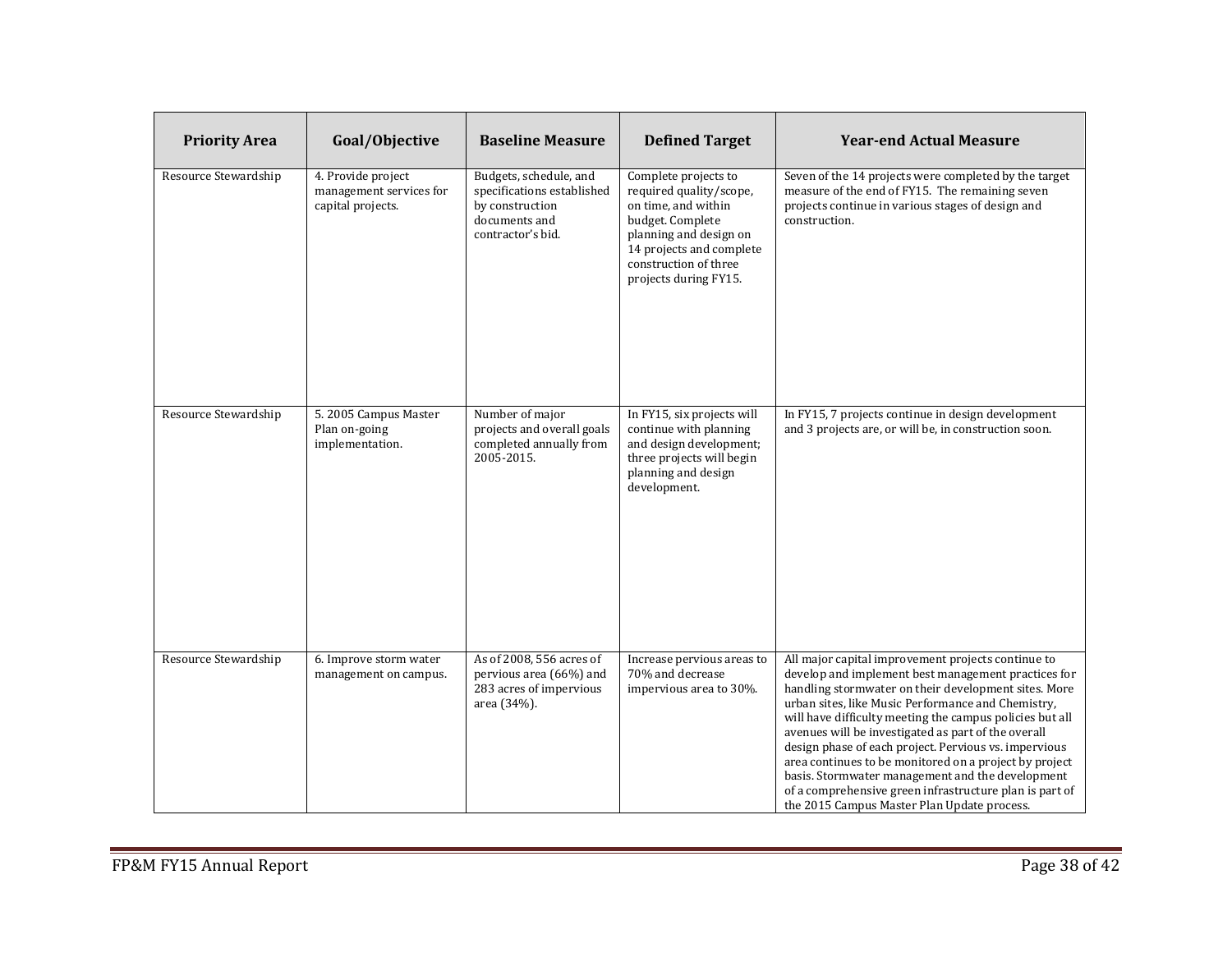| <b>Priority Area</b> | Goal/Objective                                                     | <b>Baseline Measure</b>                                                                                       | <b>Defined Target</b>                                                                                                                                                                              | <b>Year-end Actual Measure</b>                                                                                                                                                                                                                                                                                                                                                                                                                                                                                                                                                                                              |
|----------------------|--------------------------------------------------------------------|---------------------------------------------------------------------------------------------------------------|----------------------------------------------------------------------------------------------------------------------------------------------------------------------------------------------------|-----------------------------------------------------------------------------------------------------------------------------------------------------------------------------------------------------------------------------------------------------------------------------------------------------------------------------------------------------------------------------------------------------------------------------------------------------------------------------------------------------------------------------------------------------------------------------------------------------------------------------|
| Resource Stewardship | 4. Provide project<br>management services for<br>capital projects. | Budgets, schedule, and<br>specifications established<br>by construction<br>documents and<br>contractor's bid. | Complete projects to<br>required quality/scope,<br>on time, and within<br>budget. Complete<br>planning and design on<br>14 projects and complete<br>construction of three<br>projects during FY15. | Seven of the 14 projects were completed by the target<br>measure of the end of FY15. The remaining seven<br>projects continue in various stages of design and<br>construction.                                                                                                                                                                                                                                                                                                                                                                                                                                              |
| Resource Stewardship | 5. 2005 Campus Master<br>Plan on-going<br>implementation.          | Number of major<br>projects and overall goals<br>completed annually from<br>2005-2015.                        | In FY15, six projects will<br>continue with planning<br>and design development;<br>three projects will begin<br>planning and design<br>development.                                                | In FY15, 7 projects continue in design development<br>and 3 projects are, or will be, in construction soon.                                                                                                                                                                                                                                                                                                                                                                                                                                                                                                                 |
| Resource Stewardship | 6. Improve storm water<br>management on campus.                    | As of 2008, 556 acres of<br>pervious area (66%) and<br>283 acres of impervious<br>area (34%).                 | Increase pervious areas to<br>70% and decrease<br>impervious area to 30%.                                                                                                                          | All major capital improvement projects continue to<br>develop and implement best management practices for<br>handling stormwater on their development sites. More<br>urban sites, like Music Performance and Chemistry,<br>will have difficulty meeting the campus policies but all<br>avenues will be investigated as part of the overall<br>design phase of each project. Pervious vs. impervious<br>area continues to be monitored on a project by project<br>basis. Stormwater management and the development<br>of a comprehensive green infrastructure plan is part of<br>the 2015 Campus Master Plan Update process. |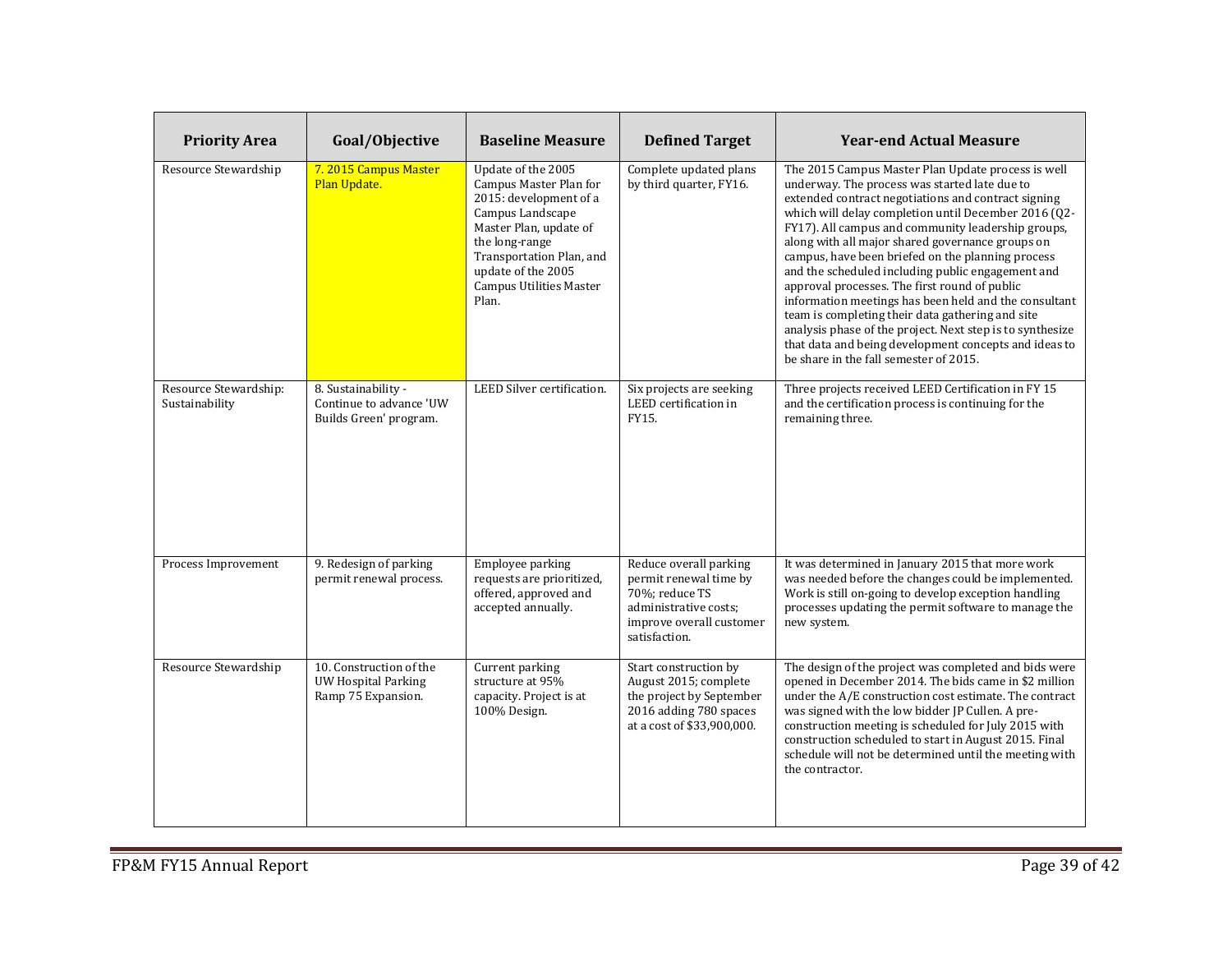| <b>Priority Area</b>                    | Goal/Objective                                                           | <b>Baseline Measure</b>                                                                                                                                                                                                             | <b>Defined Target</b>                                                                                                                    | <b>Year-end Actual Measure</b>                                                                                                                                                                                                                                                                                                                                                                                                                                                                                                                                                                                                                                                                                                                                       |
|-----------------------------------------|--------------------------------------------------------------------------|-------------------------------------------------------------------------------------------------------------------------------------------------------------------------------------------------------------------------------------|------------------------------------------------------------------------------------------------------------------------------------------|----------------------------------------------------------------------------------------------------------------------------------------------------------------------------------------------------------------------------------------------------------------------------------------------------------------------------------------------------------------------------------------------------------------------------------------------------------------------------------------------------------------------------------------------------------------------------------------------------------------------------------------------------------------------------------------------------------------------------------------------------------------------|
| Resource Stewardship                    | 7.2015 Campus Master<br>Plan Update.                                     | Update of the 2005<br>Campus Master Plan for<br>2015: development of a<br>Campus Landscape<br>Master Plan, update of<br>the long-range<br>Transportation Plan, and<br>update of the 2005<br><b>Campus Utilities Master</b><br>Plan. | Complete updated plans<br>by third quarter, FY16.                                                                                        | The 2015 Campus Master Plan Update process is well<br>underway. The process was started late due to<br>extended contract negotiations and contract signing<br>which will delay completion until December 2016 (02-<br>FY17). All campus and community leadership groups,<br>along with all major shared governance groups on<br>campus, have been briefed on the planning process<br>and the scheduled including public engagement and<br>approval processes. The first round of public<br>information meetings has been held and the consultant<br>team is completing their data gathering and site<br>analysis phase of the project. Next step is to synthesize<br>that data and being development concepts and ideas to<br>be share in the fall semester of 2015. |
| Resource Stewardship:<br>Sustainability | 8. Sustainability -<br>Continue to advance 'UW<br>Builds Green' program. | LEED Silver certification.                                                                                                                                                                                                          | Six projects are seeking<br>LEED certification in<br>FY15.                                                                               | Three projects received LEED Certification in FY 15<br>and the certification process is continuing for the<br>remaining three.                                                                                                                                                                                                                                                                                                                                                                                                                                                                                                                                                                                                                                       |
| Process Improvement                     | 9. Redesign of parking<br>permit renewal process.                        | Employee parking<br>requests are prioritized,<br>offered, approved and<br>accepted annually.                                                                                                                                        | Reduce overall parking<br>permit renewal time by<br>70%; reduce TS<br>administrative costs;<br>improve overall customer<br>satisfaction. | It was determined in January 2015 that more work<br>was needed before the changes could be implemented.<br>Work is still on-going to develop exception handling<br>processes updating the permit software to manage the<br>new system.                                                                                                                                                                                                                                                                                                                                                                                                                                                                                                                               |
| Resource Stewardship                    | 10. Construction of the<br>UW Hospital Parking<br>Ramp 75 Expansion.     | Current parking<br>structure at 95%<br>capacity. Project is at<br>100% Design.                                                                                                                                                      | Start construction by<br>August 2015; complete<br>the project by September<br>2016 adding 780 spaces<br>at a cost of \$33,900,000.       | The design of the project was completed and bids were<br>opened in December 2014. The bids came in \$2 million<br>under the A/E construction cost estimate. The contract<br>was signed with the low bidder JP Cullen. A pre-<br>construction meeting is scheduled for July 2015 with<br>construction scheduled to start in August 2015. Final<br>schedule will not be determined until the meeting with<br>the contractor.                                                                                                                                                                                                                                                                                                                                           |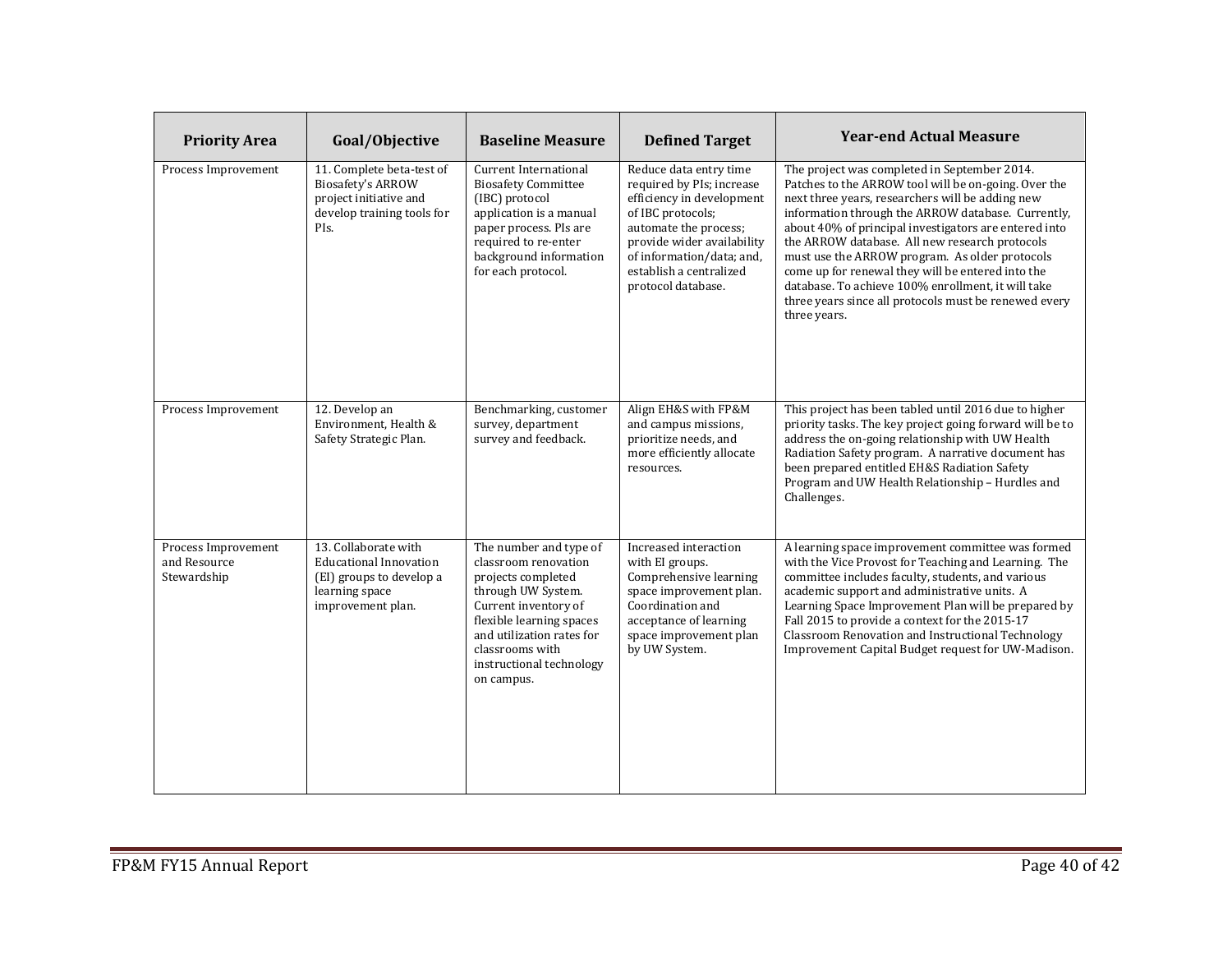| <b>Priority Area</b>                               | Goal/Objective                                                                                                           | <b>Baseline Measure</b>                                                                                                                                                                                                                  | <b>Defined Target</b>                                                                                                                                                                                                                      | <b>Year-end Actual Measure</b>                                                                                                                                                                                                                                                                                                                                                                                                                                                                                                                                  |
|----------------------------------------------------|--------------------------------------------------------------------------------------------------------------------------|------------------------------------------------------------------------------------------------------------------------------------------------------------------------------------------------------------------------------------------|--------------------------------------------------------------------------------------------------------------------------------------------------------------------------------------------------------------------------------------------|-----------------------------------------------------------------------------------------------------------------------------------------------------------------------------------------------------------------------------------------------------------------------------------------------------------------------------------------------------------------------------------------------------------------------------------------------------------------------------------------------------------------------------------------------------------------|
| Process Improvement                                | 11. Complete beta-test of<br><b>Biosafety's ARROW</b><br>project initiative and<br>develop training tools for<br>PIs.    | <b>Current International</b><br><b>Biosafety Committee</b><br>(IBC) protocol<br>application is a manual<br>paper process. PIs are<br>required to re-enter<br>background information<br>for each protocol.                                | Reduce data entry time<br>required by PIs; increase<br>efficiency in development<br>of IBC protocols;<br>automate the process;<br>provide wider availability<br>of information/data; and,<br>establish a centralized<br>protocol database. | The project was completed in September 2014.<br>Patches to the ARROW tool will be on-going. Over the<br>next three years, researchers will be adding new<br>information through the ARROW database. Currently,<br>about 40% of principal investigators are entered into<br>the ARROW database. All new research protocols<br>must use the ARROW program. As older protocols<br>come up for renewal they will be entered into the<br>database. To achieve 100% enrollment, it will take<br>three years since all protocols must be renewed every<br>three years. |
| Process Improvement                                | 12. Develop an<br>Environment, Health &<br>Safety Strategic Plan.                                                        | Benchmarking, customer<br>survey, department<br>survey and feedback.                                                                                                                                                                     | Align EH&S with FP&M<br>and campus missions.<br>prioritize needs, and<br>more efficiently allocate<br>resources.                                                                                                                           | This project has been tabled until 2016 due to higher<br>priority tasks. The key project going forward will be to<br>address the on-going relationship with UW Health<br>Radiation Safety program. A narrative document has<br>been prepared entitled EH&S Radiation Safety<br>Program and UW Health Relationship - Hurdles and<br>Challenges.                                                                                                                                                                                                                  |
| Process Improvement<br>and Resource<br>Stewardship | 13. Collaborate with<br><b>Educational Innovation</b><br>(EI) groups to develop a<br>learning space<br>improvement plan. | The number and type of<br>classroom renovation<br>projects completed<br>through UW System.<br>Current inventory of<br>flexible learning spaces<br>and utilization rates for<br>classrooms with<br>instructional technology<br>on campus. | Increased interaction<br>with EI groups.<br>Comprehensive learning<br>space improvement plan.<br>Coordination and<br>acceptance of learning<br>space improvement plan<br>by UW System.                                                     | A learning space improvement committee was formed<br>with the Vice Provost for Teaching and Learning. The<br>committee includes faculty, students, and various<br>academic support and administrative units. A<br>Learning Space Improvement Plan will be prepared by<br>Fall 2015 to provide a context for the 2015-17<br>Classroom Renovation and Instructional Technology<br>Improvement Capital Budget request for UW-Madison.                                                                                                                              |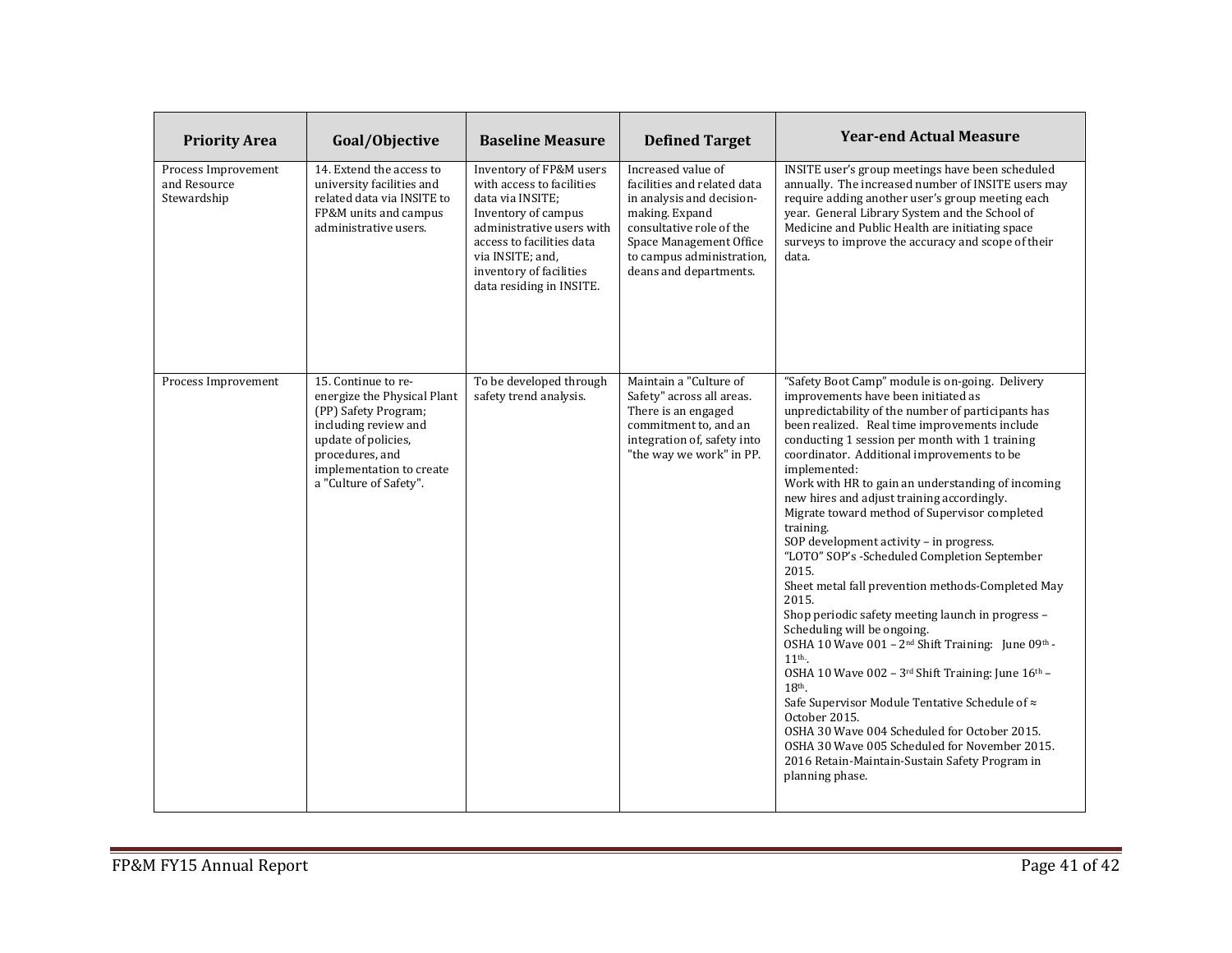| <b>Priority Area</b>                               | Goal/Objective                                                                                                                                                                                     | <b>Baseline Measure</b>                                                                                                                                                                                                              | <b>Defined Target</b>                                                                                                                                                                                          | <b>Year-end Actual Measure</b>                                                                                                                                                                                                                                                                                                                                                                                                                                                                                                                                                                                                                                                                                                                                                                                                                                                                                                                                                                                                                                                                                                          |
|----------------------------------------------------|----------------------------------------------------------------------------------------------------------------------------------------------------------------------------------------------------|--------------------------------------------------------------------------------------------------------------------------------------------------------------------------------------------------------------------------------------|----------------------------------------------------------------------------------------------------------------------------------------------------------------------------------------------------------------|-----------------------------------------------------------------------------------------------------------------------------------------------------------------------------------------------------------------------------------------------------------------------------------------------------------------------------------------------------------------------------------------------------------------------------------------------------------------------------------------------------------------------------------------------------------------------------------------------------------------------------------------------------------------------------------------------------------------------------------------------------------------------------------------------------------------------------------------------------------------------------------------------------------------------------------------------------------------------------------------------------------------------------------------------------------------------------------------------------------------------------------------|
| Process Improvement<br>and Resource<br>Stewardship | 14. Extend the access to<br>university facilities and<br>related data via INSITE to<br>FP&M units and campus<br>administrative users.                                                              | Inventory of FP&M users<br>with access to facilities<br>data via INSITE;<br>Inventory of campus<br>administrative users with<br>access to facilities data<br>via INSITE; and,<br>inventory of facilities<br>data residing in INSITE. | Increased value of<br>facilities and related data<br>in analysis and decision-<br>making. Expand<br>consultative role of the<br>Space Management Office<br>to campus administration,<br>deans and departments. | INSITE user's group meetings have been scheduled<br>annually. The increased number of INSITE users may<br>require adding another user's group meeting each<br>year. General Library System and the School of<br>Medicine and Public Health are initiating space<br>surveys to improve the accuracy and scope of their<br>data.                                                                                                                                                                                                                                                                                                                                                                                                                                                                                                                                                                                                                                                                                                                                                                                                          |
| Process Improvement                                | 15. Continue to re-<br>energize the Physical Plant<br>(PP) Safety Program;<br>including review and<br>update of policies,<br>procedures, and<br>implementation to create<br>a "Culture of Safety". | To be developed through<br>safety trend analysis.                                                                                                                                                                                    | Maintain a "Culture of<br>Safety" across all areas.<br>There is an engaged<br>commitment to, and an<br>integration of, safety into<br>"the way we work" in PP.                                                 | "Safety Boot Camp" module is on-going. Delivery<br>improvements have been initiated as<br>unpredictability of the number of participants has<br>been realized. Real time improvements include<br>conducting 1 session per month with 1 training<br>coordinator. Additional improvements to be<br>implemented:<br>Work with HR to gain an understanding of incoming<br>new hires and adjust training accordingly.<br>Migrate toward method of Supervisor completed<br>training.<br>SOP development activity - in progress.<br>"LOTO" SOP's -Scheduled Completion September<br>2015.<br>Sheet metal fall prevention methods-Completed May<br>2015.<br>Shop periodic safety meeting launch in progress -<br>Scheduling will be ongoing.<br>OSHA 10 Wave 001 - 2 <sup>nd</sup> Shift Training: June 09th -<br>11 <sup>th</sup> .<br>OSHA 10 Wave 002 - 3rd Shift Training: June 16th -<br>$18th$ .<br>Safe Supervisor Module Tentative Schedule of ≈<br>October 2015.<br>OSHA 30 Wave 004 Scheduled for October 2015.<br>OSHA 30 Wave 005 Scheduled for November 2015.<br>2016 Retain-Maintain-Sustain Safety Program in<br>planning phase. |